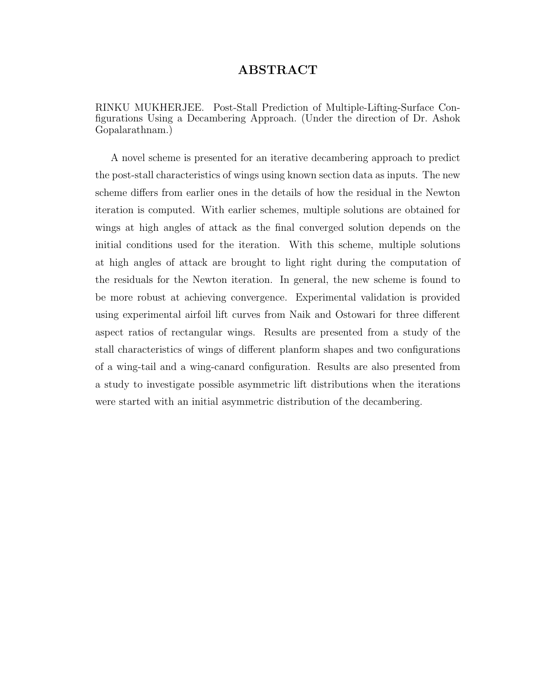## ABSTRACT

RINKU MUKHERJEE. Post-Stall Prediction of Multiple-Lifting-Surface Configurations Using a Decambering Approach. (Under the direction of Dr. Ashok Gopalarathnam.)

A novel scheme is presented for an iterative decambering approach to predict the post-stall characteristics of wings using known section data as inputs. The new scheme differs from earlier ones in the details of how the residual in the Newton iteration is computed. With earlier schemes, multiple solutions are obtained for wings at high angles of attack as the final converged solution depends on the initial conditions used for the iteration. With this scheme, multiple solutions at high angles of attack are brought to light right during the computation of the residuals for the Newton iteration. In general, the new scheme is found to be more robust at achieving convergence. Experimental validation is provided using experimental airfoil lift curves from Naik and Ostowari for three different aspect ratios of rectangular wings. Results are presented from a study of the stall characteristics of wings of different planform shapes and two configurations of a wing-tail and a wing-canard configuration. Results are also presented from a study to investigate possible asymmetric lift distributions when the iterations were started with an initial asymmetric distribution of the decambering.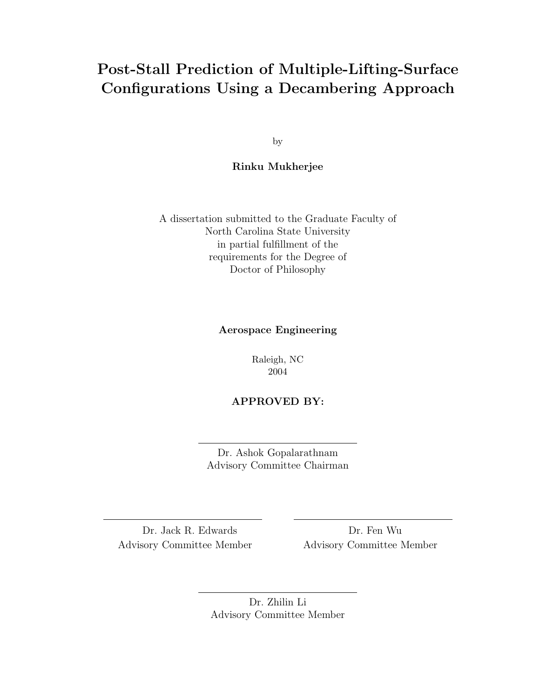# Post-Stall Prediction of Multiple-Lifting-Surface Configurations Using a Decambering Approach

by

### Rinku Mukherjee

A dissertation submitted to the Graduate Faculty of North Carolina State University in partial fulfillment of the requirements for the Degree of Doctor of Philosophy

#### Aerospace Engineering

Raleigh, NC 2004

#### APPROVED BY:

Dr. Ashok Gopalarathnam Advisory Committee Chairman

Dr. Jack R. Edwards Dr. Fen Wu Advisory Committee Member Advisory Committee Member

Dr. Zhilin Li Advisory Committee Member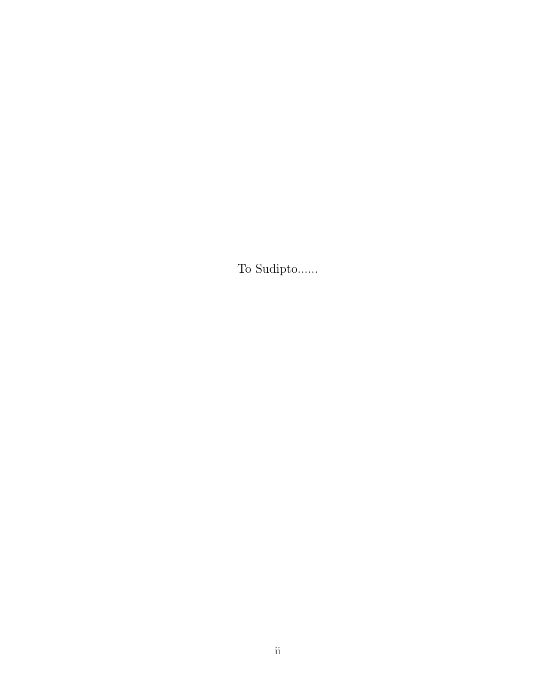To Sudipto......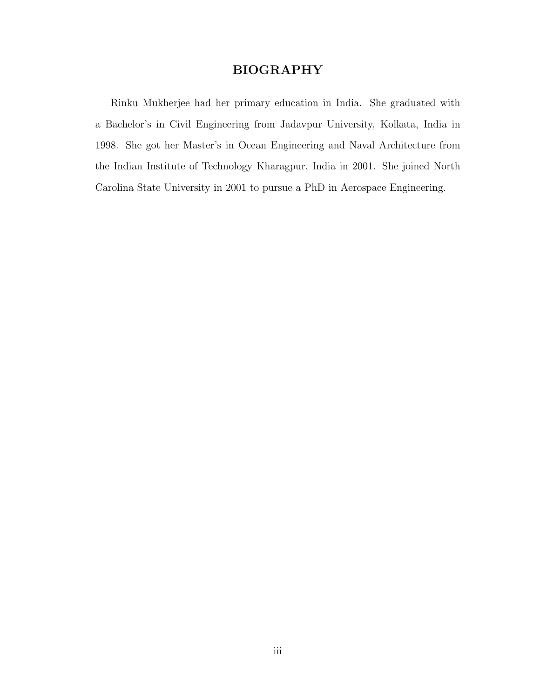## BIOGRAPHY

Rinku Mukherjee had her primary education in India. She graduated with a Bachelor's in Civil Engineering from Jadavpur University, Kolkata, India in 1998. She got her Master's in Ocean Engineering and Naval Architecture from the Indian Institute of Technology Kharagpur, India in 2001. She joined North Carolina State University in 2001 to pursue a PhD in Aerospace Engineering.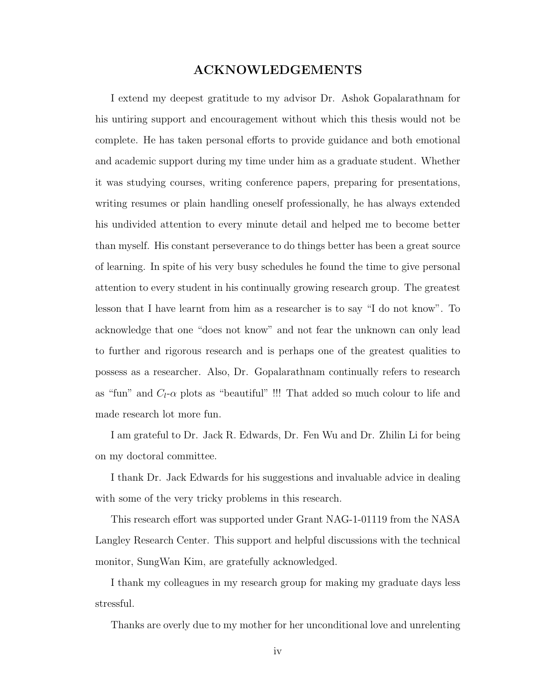### ACKNOWLEDGEMENTS

I extend my deepest gratitude to my advisor Dr. Ashok Gopalarathnam for his untiring support and encouragement without which this thesis would not be complete. He has taken personal efforts to provide guidance and both emotional and academic support during my time under him as a graduate student. Whether it was studying courses, writing conference papers, preparing for presentations, writing resumes or plain handling oneself professionally, he has always extended his undivided attention to every minute detail and helped me to become better than myself. His constant perseverance to do things better has been a great source of learning. In spite of his very busy schedules he found the time to give personal attention to every student in his continually growing research group. The greatest lesson that I have learnt from him as a researcher is to say "I do not know". To acknowledge that one "does not know" and not fear the unknown can only lead to further and rigorous research and is perhaps one of the greatest qualities to possess as a researcher. Also, Dr. Gopalarathnam continually refers to research as "fun" and  $C_l$ - $\alpha$  plots as "beautiful" !!! That added so much colour to life and made research lot more fun.

I am grateful to Dr. Jack R. Edwards, Dr. Fen Wu and Dr. Zhilin Li for being on my doctoral committee.

I thank Dr. Jack Edwards for his suggestions and invaluable advice in dealing with some of the very tricky problems in this research.

This research effort was supported under Grant NAG-1-01119 from the NASA Langley Research Center. This support and helpful discussions with the technical monitor, SungWan Kim, are gratefully acknowledged.

I thank my colleagues in my research group for making my graduate days less stressful.

Thanks are overly due to my mother for her unconditional love and unrelenting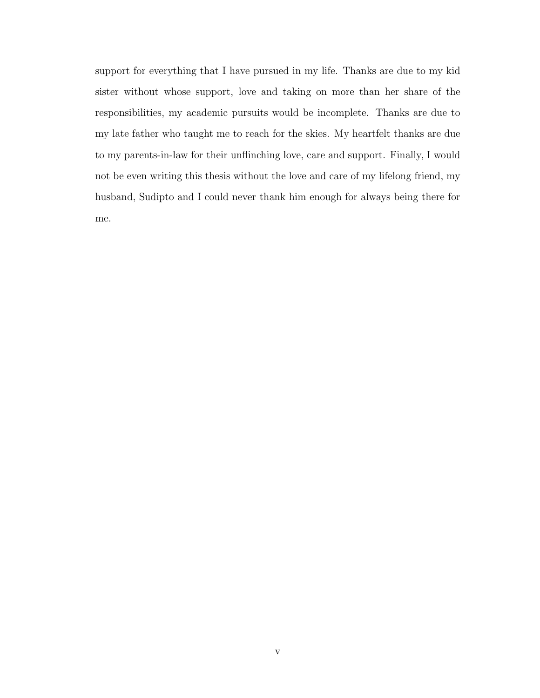support for everything that I have pursued in my life. Thanks are due to my kid sister without whose support, love and taking on more than her share of the responsibilities, my academic pursuits would be incomplete. Thanks are due to my late father who taught me to reach for the skies. My heartfelt thanks are due to my parents-in-law for their unflinching love, care and support. Finally, I would not be even writing this thesis without the love and care of my lifelong friend, my husband, Sudipto and I could never thank him enough for always being there for me.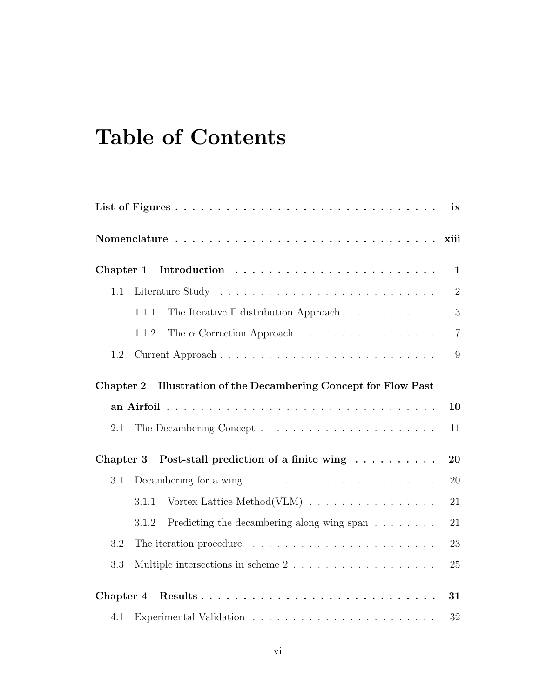# Table of Contents

|           |                                                                                | ix             |
|-----------|--------------------------------------------------------------------------------|----------------|
|           |                                                                                |                |
| Chapter 1 |                                                                                | $\mathbf{1}$   |
| 1.1       |                                                                                | $\sqrt{2}$     |
|           | The Iterative $\Gamma$ distribution Approach $\ldots \ldots \ldots$<br>1.1.1   | 3              |
|           | The $\alpha$ Correction Approach<br>1.1.2                                      | $\overline{7}$ |
| 1.2       | Current Approach                                                               | 9              |
| Chapter 2 | <b>Illustration of the Decambering Concept for Flow Past</b>                   |                |
|           |                                                                                | 10             |
| 2.1       |                                                                                | 11             |
| Chapter 3 | Post-stall prediction of a finite wing                                         | 20             |
| 3.1       | Decambering for a wing $\dots \dots \dots \dots \dots \dots \dots \dots \dots$ | 20             |
|           | Vortex Lattice Method(VLM) $\ldots \ldots \ldots \ldots \ldots$<br>3.1.1       | 21             |
|           | Predicting the decambering along wing span<br>3.1.2                            | 21             |
| 3.2       |                                                                                | 23             |
| 3.3       | Multiple intersections in scheme $2 \ldots \ldots \ldots \ldots \ldots$        | 25             |
| Chapter 4 |                                                                                | 31             |
| 4.1       |                                                                                | $32\,$         |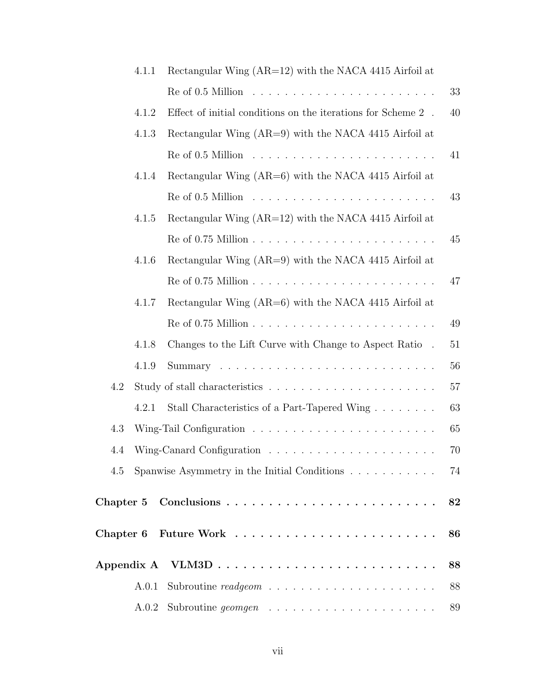|           | 4.1.1 | Rectangular Wing $(AR=12)$ with the NACA 4415 Airfoil at               |    |
|-----------|-------|------------------------------------------------------------------------|----|
|           |       |                                                                        | 33 |
|           | 4.1.2 | Effect of initial conditions on the iterations for Scheme $2$ .        | 40 |
|           | 4.1.3 | Rectangular Wing $(AR=9)$ with the NACA 4415 Airfoil at                |    |
|           |       | $Re of 0.5$ Million $\ldots \ldots \ldots \ldots \ldots \ldots \ldots$ | 41 |
|           | 4.1.4 | Rectangular Wing $(AR=6)$ with the NACA 4415 Airfoil at                |    |
|           |       | $Re of 0.5$ Million $\ldots \ldots \ldots \ldots \ldots \ldots \ldots$ | 43 |
|           | 4.1.5 | Rectangular Wing $(AR=12)$ with the NACA 4415 Airfoil at               |    |
|           |       |                                                                        | 45 |
|           | 4.1.6 | Rectangular Wing $(AR=9)$ with the NACA 4415 Airfoil at                |    |
|           |       |                                                                        | 47 |
|           | 4.1.7 | Rectangular Wing $(AR=6)$ with the NACA 4415 Airfoil at                |    |
|           |       |                                                                        | 49 |
|           | 4.1.8 | Changes to the Lift Curve with Change to Aspect Ratio.                 | 51 |
|           | 4.1.9 |                                                                        | 56 |
| 4.2       |       |                                                                        | 57 |
|           | 4.2.1 | Stall Characteristics of a Part-Tapered Wing                           | 63 |
| 4.3       |       |                                                                        | 65 |
| 4.4       |       |                                                                        | 70 |
| 4.5       |       | Spanwise Asymmetry in the Initial Conditions                           | 74 |
| Chapter 5 |       |                                                                        | 82 |
|           |       | $\rm{Chapter~6}$ $\rm{Future~Work}$                                    | 86 |
|           |       | Appendix A $VLM3D$                                                     | 88 |
|           | A.0.1 |                                                                        | 88 |
|           | A.0.2 |                                                                        | 89 |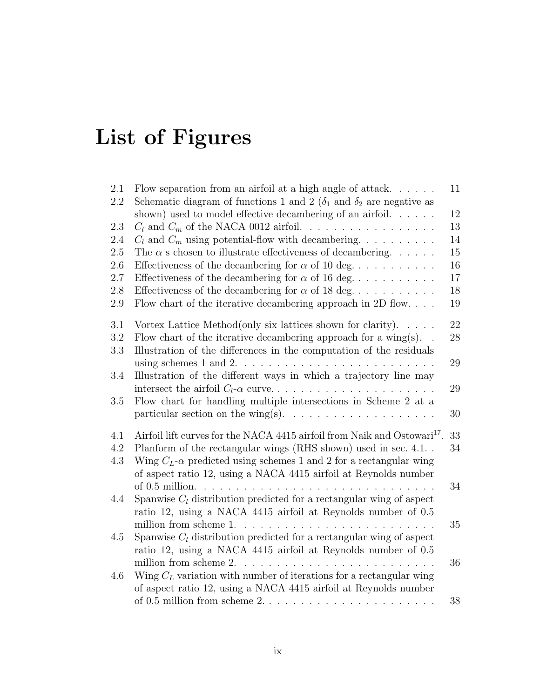# List of Figures

| 2.1     | Flow separation from an airfoil at a high angle of attack. $\dots$ .                            | 11 |
|---------|-------------------------------------------------------------------------------------------------|----|
| 2.2     | Schematic diagram of functions 1 and 2 ( $\delta_1$ and $\delta_2$ are negative as              |    |
|         | shown) used to model effective decambering of an airfoil. $\dots$ .                             | 12 |
| 2.3     | $C_l$ and $C_m$ of the NACA 0012 airfoil.                                                       | 13 |
| 2.4     | $C_l$ and $C_m$ using potential-flow with decambering.                                          | 14 |
| 2.5     | The $\alpha$ s chosen to illustrate effectiveness of decambering                                | 15 |
| 2.6     | Effectiveness of the decambering for $\alpha$ of 10 deg                                         | 16 |
| 2.7     | Effectiveness of the decambering for $\alpha$ of 16 deg                                         | 17 |
| $2.8\,$ | Effectiveness of the decambering for $\alpha$ of 18 deg                                         | 18 |
| $2.9\,$ | Flow chart of the iterative decambering approach in 2D flow. $\ldots$ .                         | 19 |
| 3.1     | Vortex Lattice Method (only six lattices shown for clarity).<br>$\cdot$ $\cdot$ $\cdot$ $\cdot$ | 22 |
| 3.2     | Flow chart of the iterative decambering approach for a wing(s)                                  | 28 |
| 3.3     | Illustration of the differences in the computation of the residuals                             |    |
|         |                                                                                                 | 29 |
| 3.4     | Illustration of the different ways in which a trajectory line may                               |    |
|         |                                                                                                 | 29 |
| 3.5     | Flow chart for handling multiple intersections in Scheme 2 at a                                 |    |
|         | particular section on the wing(s). $\ldots \ldots \ldots \ldots \ldots \ldots$                  | 30 |
| 4.1     | Airfoil lift curves for the NACA 4415 airfoil from Naik and Ostowari <sup>17</sup> .            | 33 |
| 4.2     | Planform of the rectangular wings (RHS shown) used in sec. 4.1                                  | 34 |
| 4.3     | Wing $C_L$ - $\alpha$ predicted using schemes 1 and 2 for a rectangular wing                    |    |
|         | of aspect ratio 12, using a NACA 4415 airfoil at Reynolds number                                |    |
|         |                                                                                                 | 34 |
| 4.4     | Spanwise $C_l$ distribution predicted for a rectangular wing of aspect                          |    |
|         | ratio 12, using a NACA 4415 airfoil at Reynolds number of 0.5                                   |    |
|         |                                                                                                 | 35 |
| 4.5     | Spanwise $C_l$ distribution predicted for a rectangular wing of aspect                          |    |
|         | ratio 12, using a NACA 4415 airfoil at Reynolds number of 0.5                                   |    |
|         | million from scheme $2. \ldots \ldots \ldots \ldots \ldots$                                     | 36 |
| 4.6     | Wing $C_L$ variation with number of iterations for a rectangular wing                           |    |
|         | of aspect ratio 12, using a NACA 4415 airfoil at Reynolds number                                |    |
|         | of $0.5$ million from scheme $2. \ldots \ldots \ldots \ldots \ldots \ldots \ldots$              | 38 |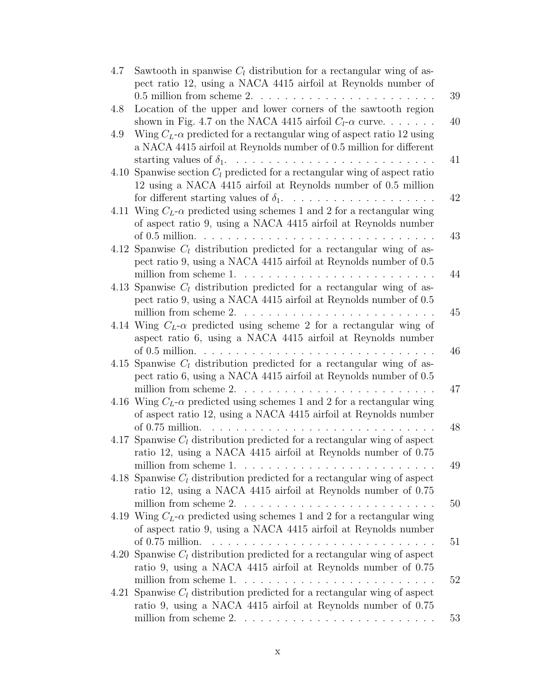| 4.7 | Sawtooth in spanwise $C_l$ distribution for a rectangular wing of as-                   |    |
|-----|-----------------------------------------------------------------------------------------|----|
|     | pect ratio 12, using a NACA 4415 airfoil at Reynolds number of                          |    |
|     | $0.5$ million from scheme $2. \ldots \ldots \ldots \ldots \ldots \ldots \ldots$         | 39 |
| 4.8 | Location of the upper and lower corners of the sawtooth region                          |    |
|     | shown in Fig. 4.7 on the NACA 4415 airfoil $C_l$ - $\alpha$ curve                       | 40 |
| 4.9 | Wing $C_L$ - $\alpha$ predicted for a rectangular wing of aspect ratio 12 using         |    |
|     | a NACA 4415 airfoil at Reynolds number of 0.5 million for different                     |    |
|     |                                                                                         | 41 |
|     | 4.10 Spanwise section $C_l$ predicted for a rectangular wing of aspect ratio            |    |
|     | 12 using a NACA 4415 airfoil at Reynolds number of 0.5 million                          |    |
|     |                                                                                         | 42 |
|     | 4.11 Wing $C_L$ - $\alpha$ predicted using schemes 1 and 2 for a rectangular wing       |    |
|     | of aspect ratio 9, using a NACA 4415 airfoil at Reynolds number                         |    |
|     |                                                                                         | 43 |
|     | 4.12 Spanwise $C_l$ distribution predicted for a rectangular wing of as-                |    |
|     | pect ratio 9, using a NACA 4415 airfoil at Reynolds number of 0.5                       |    |
|     |                                                                                         | 44 |
|     | 4.13 Spanwise $C_l$ distribution predicted for a rectangular wing of as-                |    |
|     | pect ratio 9, using a NACA 4415 airfoil at Reynolds number of 0.5                       |    |
|     |                                                                                         | 45 |
|     | 4.14 Wing $C_L$ - $\alpha$ predicted using scheme 2 for a rectangular wing of           |    |
|     | aspect ratio 6, using a NACA 4415 airfoil at Reynolds number                            |    |
|     |                                                                                         | 46 |
|     | 4.15 Spanwise $C_l$ distribution predicted for a rectangular wing of as-                |    |
|     | pect ratio 6, using a NACA 4415 airfoil at Reynolds number of 0.5                       |    |
|     | million from scheme $2. \ldots \ldots \ldots \ldots \ldots \ldots \ldots$               | 47 |
|     | 4.16 Wing $C_L$ - $\alpha$ predicted using schemes 1 and 2 for a rectangular wing       |    |
|     | of aspect ratio 12, using a NACA 4415 airfoil at Reynolds number                        |    |
|     | of 0.75 million.                                                                        | 48 |
|     | 4.17 Spanwise $C_l$ distribution predicted for a rectangular wing of aspect             |    |
|     | ratio 12, using a NACA 4415 airfoil at Reynolds number of 0.75                          |    |
|     |                                                                                         | 49 |
|     | 4.18 Spanwise $C_l$ distribution predicted for a rectangular wing of aspect             |    |
|     | ratio 12, using a NACA 4415 airfoil at Reynolds number of 0.75                          |    |
|     | million from scheme $2. \ldots \ldots \ldots \ldots \ldots \ldots \ldots \ldots$        | 50 |
|     | 4.19 Wing $C_L$ - $\alpha$ predicted using schemes 1 and 2 for a rectangular wing       |    |
|     | of aspect ratio 9, using a NACA 4415 airfoil at Reynolds number                         |    |
|     | of 0.75 million.                                                                        | 51 |
|     | 4.20 Spanwise $C_l$ distribution predicted for a rectangular wing of aspect             |    |
|     | ratio 9, using a NACA 4415 airfoil at Reynolds number of 0.75                           |    |
|     |                                                                                         | 52 |
|     | 4.21 Spanwise $C_l$ distribution predicted for a rectangular wing of aspect             |    |
|     | ratio 9, using a NACA 4415 airfoil at Reynolds number of 0.75                           |    |
|     | million from scheme $2. \ldots \ldots \ldots \ldots \ldots \ldots \ldots \ldots \ldots$ | 53 |
|     |                                                                                         |    |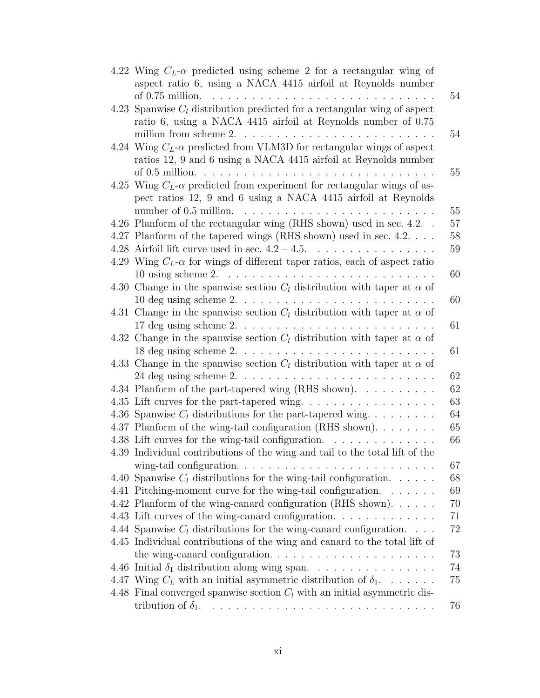| 4.22 Wing $C_L$ - $\alpha$ predicted using scheme 2 for a rectangular wing of                     |
|---------------------------------------------------------------------------------------------------|
| aspect ratio 6, using a NACA 4415 airfoil at Reynolds number                                      |
|                                                                                                   |
| 4.23 Spanwise $C_l$ distribution predicted for a rectangular wing of aspect                       |
| ratio 6, using a NACA 4415 airfoil at Reynolds number of 0.75                                     |
| million from scheme $2. \ldots \ldots \ldots \ldots \ldots \ldots \ldots$                         |
| 4.24 Wing $C_L$ - $\alpha$ predicted from VLM3D for rectangular wings of aspect                   |
| ratios 12, 9 and 6 using a NACA 4415 airfoil at Reynolds number                                   |
| of $0.5$ million. $\dots \dots \dots \dots \dots \dots \dots \dots \dots \dots \dots \dots \dots$ |
| 4.25 Wing $C_L$ - $\alpha$ predicted from experiment for rectangular wings of as-                 |
| pect ratios 12, 9 and 6 using a NACA 4415 airfoil at Reynolds                                     |
| number of 0.5 million.                                                                            |
| 4.26 Planform of the rectangular wing (RHS shown) used in sec. 4.2                                |
| 4.27 Planform of the tapered wings (RHS shown) used in sec. 4.2.                                  |
| 4.28 Airfoil lift curve used in sec. $4.2 - 4.5$ .<br><u>.</u><br>.                               |
| 4.29 Wing $C_L$ - $\alpha$ for wings of different taper ratios, each of aspect ratio              |
| 10 using scheme $2. \ldots \ldots \ldots \ldots \ldots \ldots \ldots \ldots \ldots$               |
| 4.30 Change in the spanwise section $C_l$ distribution with taper at $\alpha$ of                  |
| $10$ deg using scheme $2. \ldots \ldots \ldots \ldots \ldots \ldots \ldots \ldots$                |
| 4.31 Change in the spanwise section $C_l$ distribution with taper at $\alpha$ of                  |
|                                                                                                   |
| 4.32 Change in the spanwise section $C_l$ distribution with taper at $\alpha$ of                  |
| $18$ deg using scheme $2. \ldots \ldots \ldots \ldots \ldots \ldots \ldots \ldots$                |
| 4.33 Change in the spanwise section $C_l$ distribution with taper at $\alpha$ of                  |
|                                                                                                   |
| 4.34 Planform of the part-tapered wing (RHS shown).                                               |
| 4.35 Lift curves for the part-tapered wing                                                        |
| 4.36 Spanwise $C_l$ distributions for the part-tapered wing                                       |
| 4.37 Planform of the wing-tail configuration (RHS shown).                                         |
| 4.38 Lift curves for the wing-tail configuration.                                                 |
| 4.39 Individual contributions of the wing and tail to the total lift of the                       |
|                                                                                                   |
| 4.40 Spanwise $C_l$ distributions for the wing-tail configuration.                                |
| 4.41 Pitching-moment curve for the wing-tail configuration.                                       |
| 4.42 Planform of the wing-canard configuration (RHS shown).                                       |
| 4.43 Lift curves of the wing-canard configuration                                                 |
| 4.44 Spanwise $C_l$ distributions for the wing-canard configuration.                              |
| 4.45 Individual contributions of the wing and canard to the total lift of                         |
|                                                                                                   |
|                                                                                                   |
| 4.47 Wing $C_L$ with an initial asymmetric distribution of $\delta_1$                             |
| 4.48 Final converged spanwise section $C_l$ with an initial asymmetric dis-                       |
|                                                                                                   |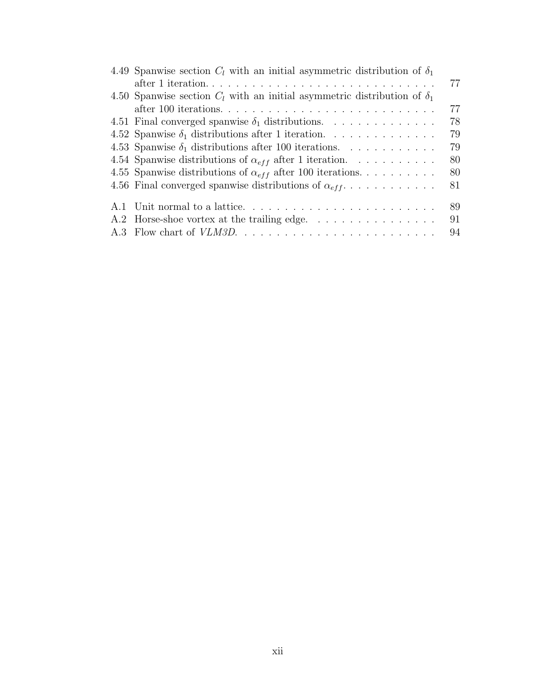| 4.49 Spanwise section $C_l$ with an initial asymmetric distribution of $\delta_1$ |
|-----------------------------------------------------------------------------------|
| 77                                                                                |
| 4.50 Spanwise section $C_l$ with an initial asymmetric distribution of $\delta_1$ |
| 77                                                                                |
| 78<br>4.51 Final converged spanwise $\delta_1$ distributions.                     |
| 79<br>4.52 Spanwise $\delta_1$ distributions after 1 iteration.                   |
| 79<br>4.53 Spanwise $\delta_1$ distributions after 100 iterations.                |
| 4.54 Spanwise distributions of $\alpha_{eff}$ after 1 iteration.<br>80            |
| 4.55 Spanwise distributions of $\alpha_{eff}$ after 100 iterations<br>80          |
| 4.56 Final converged spanwise distributions of $\alpha_{eff}$<br>81               |
| 89                                                                                |
| 91<br>A.2 Horse-shoe vortex at the trailing edge                                  |
| 94                                                                                |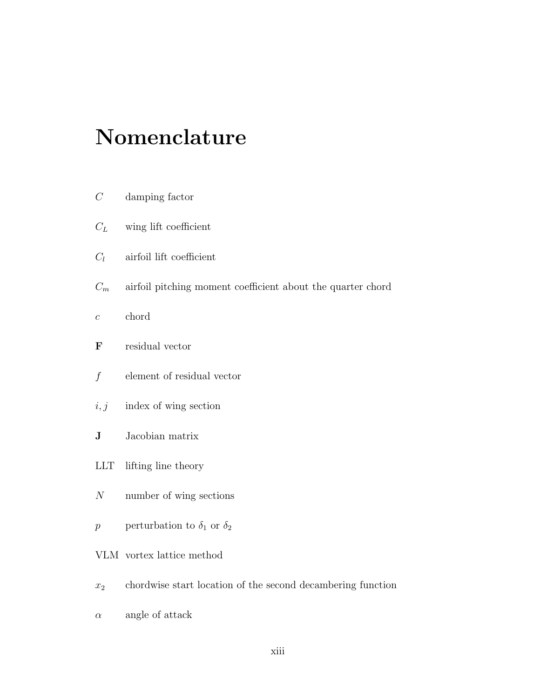# Nomenclature

- C damping factor
- $C_L$  wing lift coefficient
- $C_l$  airfoil lift coefficient
- $C_m$  airfoil pitching moment coefficient about the quarter chord
- $c \qquad \text{chord}$
- F residual vector
- $f$  element of residual vector
- $i, j$  index of wing section
- **J** Jacobian matrix
- LLT lifting line theory
- N number of wing sections
- $p$   $\qquad$  perturbation to  $\delta_1$  or  $\delta_2$
- VLM vortex lattice method
- $x_2$  chordwise start location of the second decambering function
- $\alpha$  angle of attack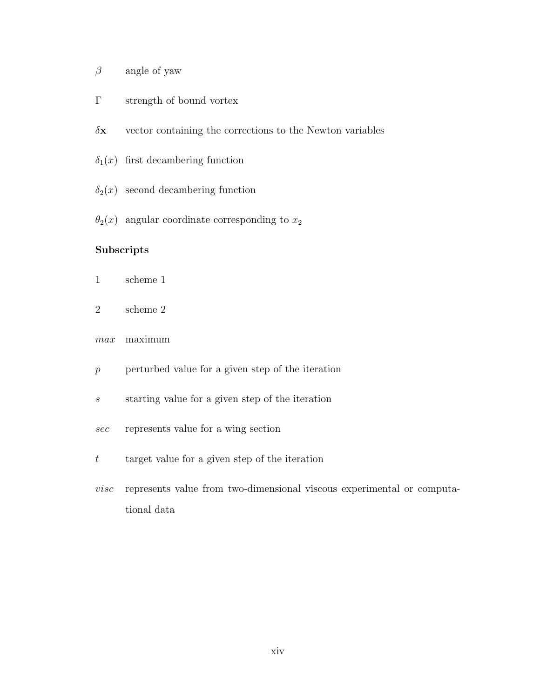- $\beta$  angle of yaw
- Γ strength of bound vortex
- $\delta x$  vector containing the corrections to the Newton variables
- $\delta_1(x)$  first decambering function
- $\delta_2(x)$  second decambering function
- $\theta_2(x)$  angular coordinate corresponding to  $x_2$

#### Subscripts

- 1 scheme 1
- 2 scheme 2
- max maximum
- $p$  perturbed value for a given step of the iteration
- s starting value for a given step of the iteration
- sec represents value for a wing section
- $t$  target value for a given step of the iteration
- visc represents value from two-dimensional viscous experimental or computational data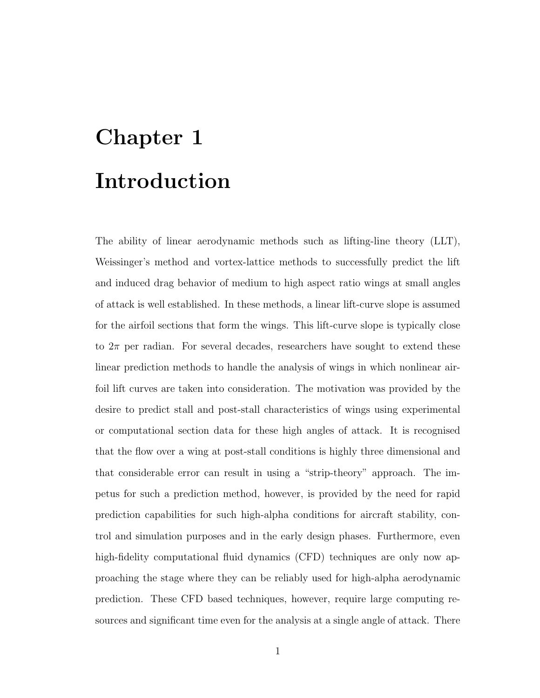# Chapter 1 Introduction

The ability of linear aerodynamic methods such as lifting-line theory (LLT), Weissinger's method and vortex-lattice methods to successfully predict the lift and induced drag behavior of medium to high aspect ratio wings at small angles of attack is well established. In these methods, a linear lift-curve slope is assumed for the airfoil sections that form the wings. This lift-curve slope is typically close to  $2\pi$  per radian. For several decades, researchers have sought to extend these linear prediction methods to handle the analysis of wings in which nonlinear airfoil lift curves are taken into consideration. The motivation was provided by the desire to predict stall and post-stall characteristics of wings using experimental or computational section data for these high angles of attack. It is recognised that the flow over a wing at post-stall conditions is highly three dimensional and that considerable error can result in using a "strip-theory" approach. The impetus for such a prediction method, however, is provided by the need for rapid prediction capabilities for such high-alpha conditions for aircraft stability, control and simulation purposes and in the early design phases. Furthermore, even high-fidelity computational fluid dynamics (CFD) techniques are only now approaching the stage where they can be reliably used for high-alpha aerodynamic prediction. These CFD based techniques, however, require large computing resources and significant time even for the analysis at a single angle of attack. There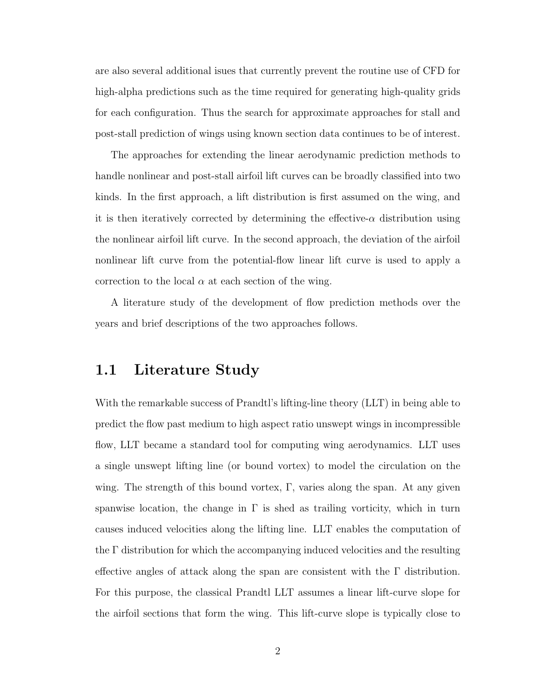are also several additional isues that currently prevent the routine use of CFD for high-alpha predictions such as the time required for generating high-quality grids for each configuration. Thus the search for approximate approaches for stall and post-stall prediction of wings using known section data continues to be of interest.

The approaches for extending the linear aerodynamic prediction methods to handle nonlinear and post-stall airfoil lift curves can be broadly classified into two kinds. In the first approach, a lift distribution is first assumed on the wing, and it is then iteratively corrected by determining the effective- $\alpha$  distribution using the nonlinear airfoil lift curve. In the second approach, the deviation of the airfoil nonlinear lift curve from the potential-flow linear lift curve is used to apply a correction to the local  $\alpha$  at each section of the wing.

A literature study of the development of flow prediction methods over the years and brief descriptions of the two approaches follows.

## 1.1 Literature Study

With the remarkable success of Prandtl's lifting-line theory (LLT) in being able to predict the flow past medium to high aspect ratio unswept wings in incompressible flow, LLT became a standard tool for computing wing aerodynamics. LLT uses a single unswept lifting line (or bound vortex) to model the circulation on the wing. The strength of this bound vortex,  $\Gamma$ , varies along the span. At any given spanwise location, the change in  $\Gamma$  is shed as trailing vorticity, which in turn causes induced velocities along the lifting line. LLT enables the computation of the Γ distribution for which the accompanying induced velocities and the resulting effective angles of attack along the span are consistent with the  $\Gamma$  distribution. For this purpose, the classical Prandtl LLT assumes a linear lift-curve slope for the airfoil sections that form the wing. This lift-curve slope is typically close to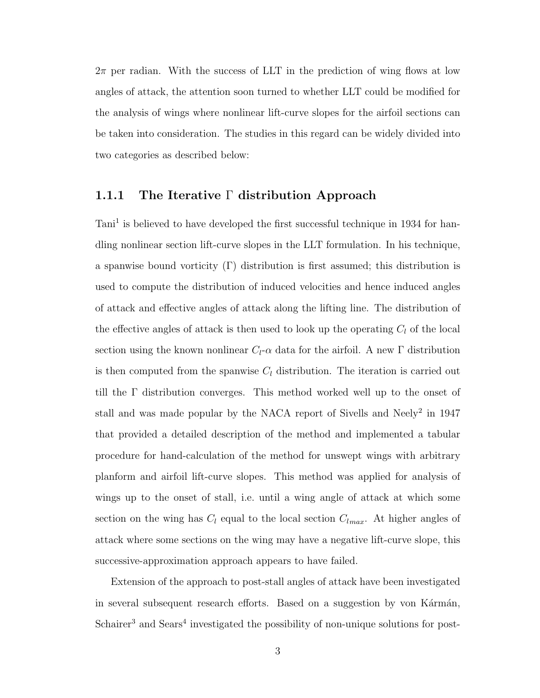$2\pi$  per radian. With the success of LLT in the prediction of wing flows at low angles of attack, the attention soon turned to whether LLT could be modified for the analysis of wings where nonlinear lift-curve slopes for the airfoil sections can be taken into consideration. The studies in this regard can be widely divided into two categories as described below:

#### 1.1.1 The Iterative Γ distribution Approach

Tani<sup>1</sup> is believed to have developed the first successful technique in 1934 for handling nonlinear section lift-curve slopes in the LLT formulation. In his technique, a spanwise bound vorticity (Γ) distribution is first assumed; this distribution is used to compute the distribution of induced velocities and hence induced angles of attack and effective angles of attack along the lifting line. The distribution of the effective angles of attack is then used to look up the operating  $C_l$  of the local section using the known nonlinear  $C_l$ - $\alpha$  data for the airfoil. A new  $\Gamma$  distribution is then computed from the spanwise  $C_l$  distribution. The iteration is carried out till the Γ distribution converges. This method worked well up to the onset of stall and was made popular by the NACA report of Sivells and Neely<sup>2</sup> in 1947 that provided a detailed description of the method and implemented a tabular procedure for hand-calculation of the method for unswept wings with arbitrary planform and airfoil lift-curve slopes. This method was applied for analysis of wings up to the onset of stall, i.e. until a wing angle of attack at which some section on the wing has  $C_l$  equal to the local section  $C_{lmax}$ . At higher angles of attack where some sections on the wing may have a negative lift-curve slope, this successive-approximation approach appears to have failed.

Extension of the approach to post-stall angles of attack have been investigated in several subsequent research efforts. Based on a suggestion by von Kármán, Schairer<sup>3</sup> and Sears<sup>4</sup> investigated the possibility of non-unique solutions for post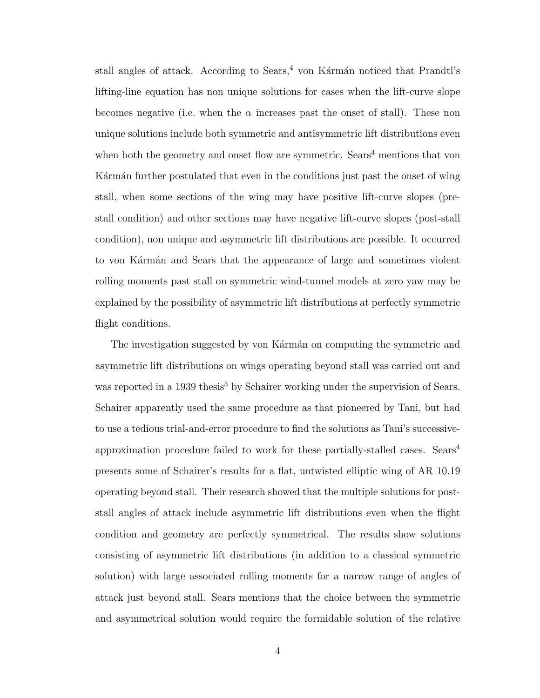stall angles of attack. According to Sears,<sup>4</sup> von Kármán noticed that Prandtl's lifting-line equation has non unique solutions for cases when the lift-curve slope becomes negative (i.e. when the  $\alpha$  increases past the onset of stall). These non unique solutions include both symmetric and antisymmetric lift distributions even when both the geometry and onset flow are symmetric.  $Sears<sup>4</sup>$  mentions that von Karman further postulated that even in the conditions just past the onset of wing stall, when some sections of the wing may have positive lift-curve slopes (prestall condition) and other sections may have negative lift-curve slopes (post-stall condition), non unique and asymmetric lift distributions are possible. It occurred to von Kármán and Sears that the appearance of large and sometimes violent rolling moments past stall on symmetric wind-tunnel models at zero yaw may be explained by the possibility of asymmetric lift distributions at perfectly symmetric flight conditions.

The investigation suggested by von Kármán on computing the symmetric and asymmetric lift distributions on wings operating beyond stall was carried out and was reported in a 1939 thesis<sup>3</sup> by Schairer working under the supervision of Sears. Schairer apparently used the same procedure as that pioneered by Tani, but had to use a tedious trial-and-error procedure to find the solutions as Tani's successiveapproximation procedure failed to work for these partially-stalled cases. Sears<sup>4</sup> presents some of Schairer's results for a flat, untwisted elliptic wing of AR 10.19 operating beyond stall. Their research showed that the multiple solutions for poststall angles of attack include asymmetric lift distributions even when the flight condition and geometry are perfectly symmetrical. The results show solutions consisting of asymmetric lift distributions (in addition to a classical symmetric solution) with large associated rolling moments for a narrow range of angles of attack just beyond stall. Sears mentions that the choice between the symmetric and asymmetrical solution would require the formidable solution of the relative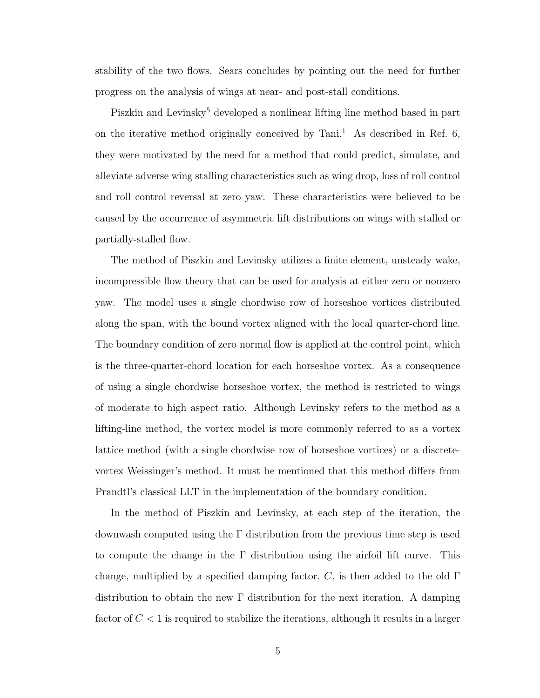stability of the two flows. Sears concludes by pointing out the need for further progress on the analysis of wings at near- and post-stall conditions.

Piszkin and Levinsky<sup>5</sup> developed a nonlinear lifting line method based in part on the iterative method originally conceived by  $Tani<sup>1</sup>$ . As described in Ref. 6, they were motivated by the need for a method that could predict, simulate, and alleviate adverse wing stalling characteristics such as wing drop, loss of roll control and roll control reversal at zero yaw. These characteristics were believed to be caused by the occurrence of asymmetric lift distributions on wings with stalled or partially-stalled flow.

The method of Piszkin and Levinsky utilizes a finite element, unsteady wake, incompressible flow theory that can be used for analysis at either zero or nonzero yaw. The model uses a single chordwise row of horseshoe vortices distributed along the span, with the bound vortex aligned with the local quarter-chord line. The boundary condition of zero normal flow is applied at the control point, which is the three-quarter-chord location for each horseshoe vortex. As a consequence of using a single chordwise horseshoe vortex, the method is restricted to wings of moderate to high aspect ratio. Although Levinsky refers to the method as a lifting-line method, the vortex model is more commonly referred to as a vortex lattice method (with a single chordwise row of horseshoe vortices) or a discretevortex Weissinger's method. It must be mentioned that this method differs from Prandtl's classical LLT in the implementation of the boundary condition.

In the method of Piszkin and Levinsky, at each step of the iteration, the downwash computed using the Γ distribution from the previous time step is used to compute the change in the Γ distribution using the airfoil lift curve. This change, multiplied by a specified damping factor,  $C$ , is then added to the old  $\Gamma$ distribution to obtain the new Γ distribution for the next iteration. A damping factor of  $C < 1$  is required to stabilize the iterations, although it results in a larger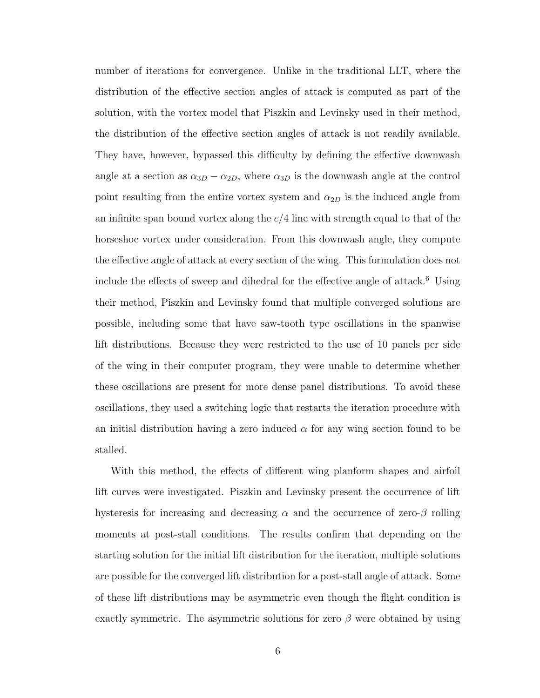number of iterations for convergence. Unlike in the traditional LLT, where the distribution of the effective section angles of attack is computed as part of the solution, with the vortex model that Piszkin and Levinsky used in their method, the distribution of the effective section angles of attack is not readily available. They have, however, bypassed this difficulty by defining the effective downwash angle at a section as  $\alpha_{3D} - \alpha_{2D}$ , where  $\alpha_{3D}$  is the downwash angle at the control point resulting from the entire vortex system and  $\alpha_{2D}$  is the induced angle from an infinite span bound vortex along the  $c/4$  line with strength equal to that of the horseshoe vortex under consideration. From this downwash angle, they compute the effective angle of attack at every section of the wing. This formulation does not include the effects of sweep and dihedral for the effective angle of attack.<sup>6</sup> Using their method, Piszkin and Levinsky found that multiple converged solutions are possible, including some that have saw-tooth type oscillations in the spanwise lift distributions. Because they were restricted to the use of 10 panels per side of the wing in their computer program, they were unable to determine whether these oscillations are present for more dense panel distributions. To avoid these oscillations, they used a switching logic that restarts the iteration procedure with an initial distribution having a zero induced  $\alpha$  for any wing section found to be stalled.

With this method, the effects of different wing planform shapes and airfoil lift curves were investigated. Piszkin and Levinsky present the occurrence of lift hysteresis for increasing and decreasing  $\alpha$  and the occurrence of zero- $\beta$  rolling moments at post-stall conditions. The results confirm that depending on the starting solution for the initial lift distribution for the iteration, multiple solutions are possible for the converged lift distribution for a post-stall angle of attack. Some of these lift distributions may be asymmetric even though the flight condition is exactly symmetric. The asymmetric solutions for zero  $\beta$  were obtained by using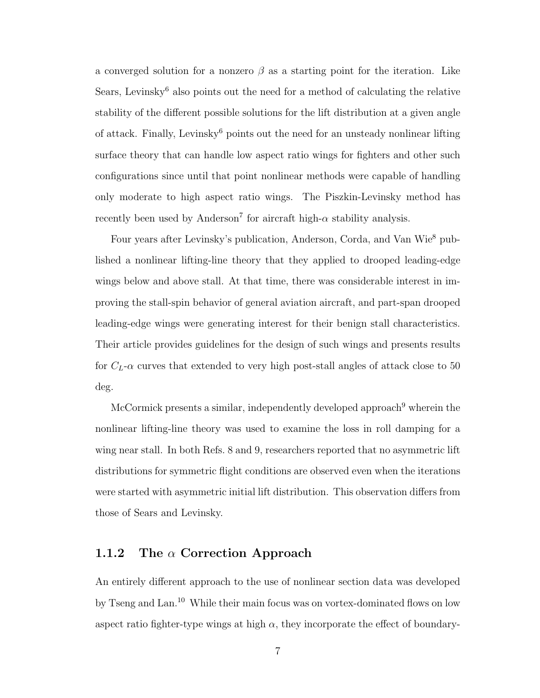a converged solution for a nonzero  $\beta$  as a starting point for the iteration. Like Sears, Levinsky<sup>6</sup> also points out the need for a method of calculating the relative stability of the different possible solutions for the lift distribution at a given angle of attack. Finally, Levinsky<sup>6</sup> points out the need for an unsteady nonlinear lifting surface theory that can handle low aspect ratio wings for fighters and other such configurations since until that point nonlinear methods were capable of handling only moderate to high aspect ratio wings. The Piszkin-Levinsky method has recently been used by Anderson<sup>7</sup> for aircraft high- $\alpha$  stability analysis.

Four years after Levinsky's publication, Anderson, Corda, and Van Wie<sup>8</sup> published a nonlinear lifting-line theory that they applied to drooped leading-edge wings below and above stall. At that time, there was considerable interest in improving the stall-spin behavior of general aviation aircraft, and part-span drooped leading-edge wings were generating interest for their benign stall characteristics. Their article provides guidelines for the design of such wings and presents results for  $C_L$ - $\alpha$  curves that extended to very high post-stall angles of attack close to 50 deg.

McCormick presents a similar, independently developed approach<sup>9</sup> wherein the nonlinear lifting-line theory was used to examine the loss in roll damping for a wing near stall. In both Refs. 8 and 9, researchers reported that no asymmetric lift distributions for symmetric flight conditions are observed even when the iterations were started with asymmetric initial lift distribution. This observation differs from those of Sears and Levinsky.

## 1.1.2 The  $\alpha$  Correction Approach

An entirely different approach to the use of nonlinear section data was developed by Tseng and Lan.<sup>10</sup> While their main focus was on vortex-dominated flows on low aspect ratio fighter-type wings at high  $\alpha$ , they incorporate the effect of boundary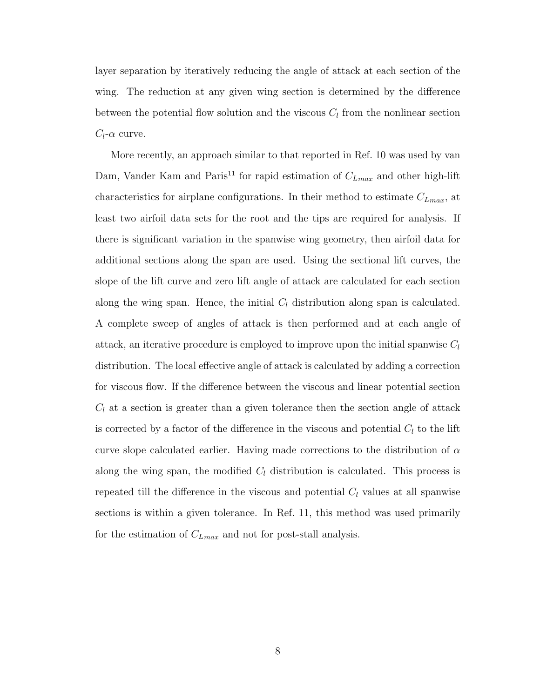layer separation by iteratively reducing the angle of attack at each section of the wing. The reduction at any given wing section is determined by the difference between the potential flow solution and the viscous  $C_l$  from the nonlinear section  $C_l$ - $\alpha$  curve.

More recently, an approach similar to that reported in Ref. 10 was used by van Dam, Vander Kam and Paris<sup>11</sup> for rapid estimation of  $C_{Lmax}$  and other high-lift characteristics for airplane configurations. In their method to estimate  $C_{Lmax}$ , at least two airfoil data sets for the root and the tips are required for analysis. If there is significant variation in the spanwise wing geometry, then airfoil data for additional sections along the span are used. Using the sectional lift curves, the slope of the lift curve and zero lift angle of attack are calculated for each section along the wing span. Hence, the initial  $C_l$  distribution along span is calculated. A complete sweep of angles of attack is then performed and at each angle of attack, an iterative procedure is employed to improve upon the initial spanwise  $C_l$ distribution. The local effective angle of attack is calculated by adding a correction for viscous flow. If the difference between the viscous and linear potential section  $C_l$  at a section is greater than a given tolerance then the section angle of attack is corrected by a factor of the difference in the viscous and potential  $C_l$  to the lift curve slope calculated earlier. Having made corrections to the distribution of  $\alpha$ along the wing span, the modified  $C_l$  distribution is calculated. This process is repeated till the difference in the viscous and potential  $C_l$  values at all spanwise sections is within a given tolerance. In Ref. 11, this method was used primarily for the estimation of  $C_{Lmax}$  and not for post-stall analysis.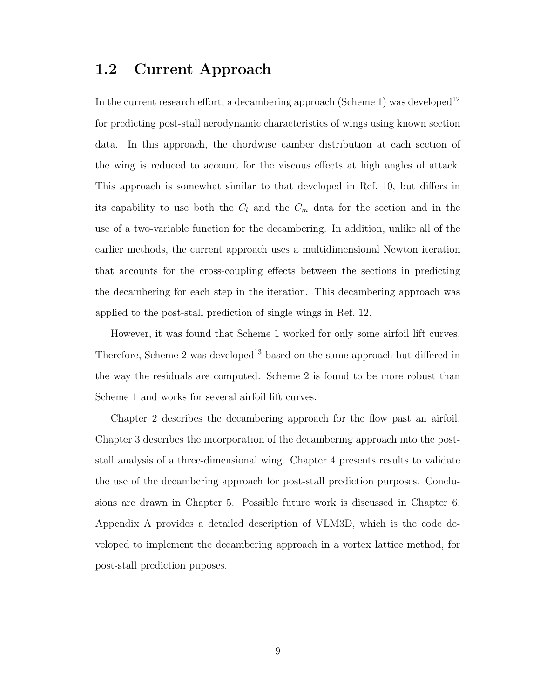## 1.2 Current Approach

In the current research effort, a decambering approach (Scheme 1) was developed<sup>12</sup> for predicting post-stall aerodynamic characteristics of wings using known section data. In this approach, the chordwise camber distribution at each section of the wing is reduced to account for the viscous effects at high angles of attack. This approach is somewhat similar to that developed in Ref. 10, but differs in its capability to use both the  $C_l$  and the  $C_m$  data for the section and in the use of a two-variable function for the decambering. In addition, unlike all of the earlier methods, the current approach uses a multidimensional Newton iteration that accounts for the cross-coupling effects between the sections in predicting the decambering for each step in the iteration. This decambering approach was applied to the post-stall prediction of single wings in Ref. 12.

However, it was found that Scheme 1 worked for only some airfoil lift curves. Therefore, Scheme 2 was developed<sup>13</sup> based on the same approach but differed in the way the residuals are computed. Scheme 2 is found to be more robust than Scheme 1 and works for several airfoil lift curves.

Chapter 2 describes the decambering approach for the flow past an airfoil. Chapter 3 describes the incorporation of the decambering approach into the poststall analysis of a three-dimensional wing. Chapter 4 presents results to validate the use of the decambering approach for post-stall prediction purposes. Conclusions are drawn in Chapter 5. Possible future work is discussed in Chapter 6. Appendix A provides a detailed description of VLM3D, which is the code developed to implement the decambering approach in a vortex lattice method, for post-stall prediction puposes.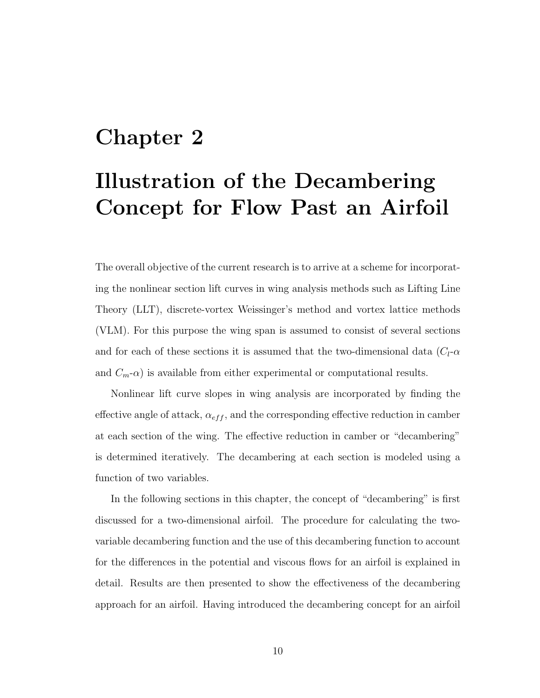# Chapter 2

# Illustration of the Decambering Concept for Flow Past an Airfoil

The overall objective of the current research is to arrive at a scheme for incorporating the nonlinear section lift curves in wing analysis methods such as Lifting Line Theory (LLT), discrete-vortex Weissinger's method and vortex lattice methods (VLM). For this purpose the wing span is assumed to consist of several sections and for each of these sections it is assumed that the two-dimensional data  $(C<sub>l</sub> - \alpha$ and  $C_m$ - $\alpha$ ) is available from either experimental or computational results.

Nonlinear lift curve slopes in wing analysis are incorporated by finding the effective angle of attack,  $\alpha_{eff}$ , and the corresponding effective reduction in camber at each section of the wing. The effective reduction in camber or "decambering" is determined iteratively. The decambering at each section is modeled using a function of two variables.

In the following sections in this chapter, the concept of "decambering" is first discussed for a two-dimensional airfoil. The procedure for calculating the twovariable decambering function and the use of this decambering function to account for the differences in the potential and viscous flows for an airfoil is explained in detail. Results are then presented to show the effectiveness of the decambering approach for an airfoil. Having introduced the decambering concept for an airfoil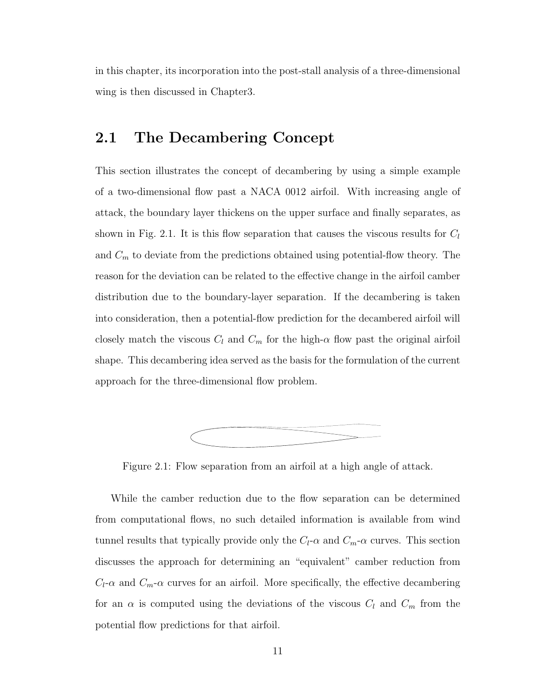in this chapter, its incorporation into the post-stall analysis of a three-dimensional wing is then discussed in Chapter3.

# 2.1 The Decambering Concept

This section illustrates the concept of decambering by using a simple example of a two-dimensional flow past a NACA 0012 airfoil. With increasing angle of attack, the boundary layer thickens on the upper surface and finally separates, as shown in Fig. 2.1. It is this flow separation that causes the viscous results for  $C_l$ and  $C_m$  to deviate from the predictions obtained using potential-flow theory. The reason for the deviation can be related to the effective change in the airfoil camber distribution due to the boundary-layer separation. If the decambering is taken into consideration, then a potential-flow prediction for the decambered airfoil will closely match the viscous  $C_l$  and  $C_m$  for the high- $\alpha$  flow past the original airfoil shape. This decambering idea served as the basis for the formulation of the current approach for the three-dimensional flow problem.



Figure 2.1: Flow separation from an airfoil at a high angle of attack.

While the camber reduction due to the flow separation can be determined from computational flows, no such detailed information is available from wind tunnel results that typically provide only the  $C_l$ - $\alpha$  and  $C_m$ - $\alpha$  curves. This section discusses the approach for determining an "equivalent" camber reduction from  $C_l$ - $\alpha$  and  $C_m$ - $\alpha$  curves for an airfoil. More specifically, the effective decambering for an  $\alpha$  is computed using the deviations of the viscous  $C_l$  and  $C_m$  from the potential flow predictions for that airfoil.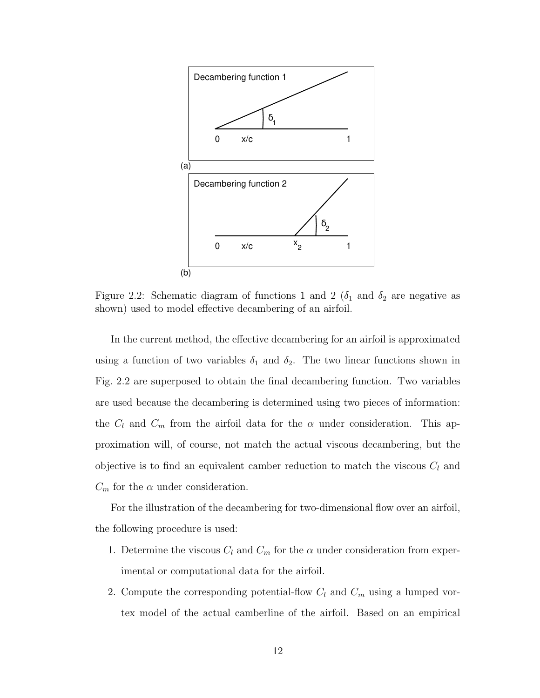

Figure 2.2: Schematic diagram of functions 1 and 2 ( $\delta_1$  and  $\delta_2$  are negative as shown) used to model effective decambering of an airfoil.

In the current method, the effective decambering for an airfoil is approximated using a function of two variables  $\delta_1$  and  $\delta_2$ . The two linear functions shown in Fig. 2.2 are superposed to obtain the final decambering function. Two variables are used because the decambering is determined using two pieces of information: the  $C_l$  and  $C_m$  from the airfoil data for the  $\alpha$  under consideration. This approximation will, of course, not match the actual viscous decambering, but the objective is to find an equivalent camber reduction to match the viscous  $C_l$  and  $C_m$  for the  $\alpha$  under consideration.

For the illustration of the decambering for two-dimensional flow over an airfoil, the following procedure is used:

- 1. Determine the viscous  $C_l$  and  $C_m$  for the  $\alpha$  under consideration from experimental or computational data for the airfoil.
- 2. Compute the corresponding potential-flow  $C_l$  and  $C_m$  using a lumped vortex model of the actual camberline of the airfoil. Based on an empirical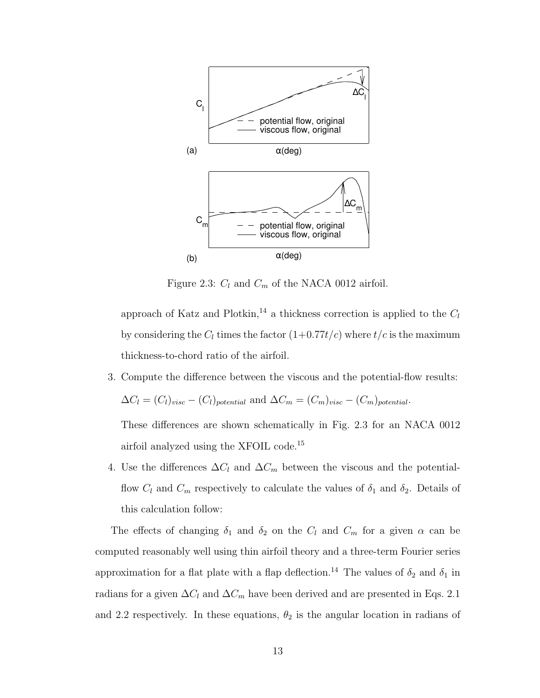

Figure 2.3:  $C_l$  and  $C_m$  of the NACA 0012 airfoil.

approach of Katz and Plotkin,<sup>14</sup> a thickness correction is applied to the  $C_l$ by considering the  $C_l$  times the factor  $(1+0.77t/c)$  where  $t/c$  is the maximum thickness-to-chord ratio of the airfoil.

3. Compute the difference between the viscous and the potential-flow results:

$$
\Delta C_l = (C_l)_{visc} - (C_l)_{potential}
$$
 and 
$$
\Delta C_m = (C_m)_{visc} - (C_m)_{potential}.
$$

These differences are shown schematically in Fig. 2.3 for an NACA 0012 airfoil analyzed using the XFOIL code.<sup>15</sup>

4. Use the differences  $\Delta C_l$  and  $\Delta C_m$  between the viscous and the potentialflow  $C_l$  and  $C_m$  respectively to calculate the values of  $\delta_1$  and  $\delta_2$ . Details of this calculation follow:

The effects of changing  $\delta_1$  and  $\delta_2$  on the  $C_l$  and  $C_m$  for a given  $\alpha$  can be computed reasonably well using thin airfoil theory and a three-term Fourier series approximation for a flat plate with a flap deflection.<sup>14</sup> The values of  $\delta_2$  and  $\delta_1$  in radians for a given  $\Delta C_l$  and  $\Delta C_m$  have been derived and are presented in Eqs. 2.1 and 2.2 respectively. In these equations,  $\theta_2$  is the angular location in radians of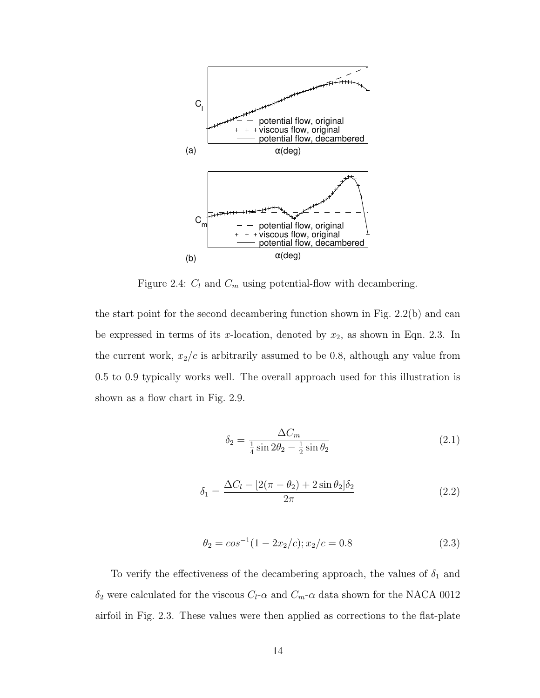

Figure 2.4:  $C_l$  and  $C_m$  using potential-flow with decambering.

the start point for the second decambering function shown in Fig. 2.2(b) and can be expressed in terms of its x-location, denoted by  $x_2$ , as shown in Eqn. 2.3. In the current work,  $x_2/c$  is arbitrarily assumed to be 0.8, although any value from 0.5 to 0.9 typically works well. The overall approach used for this illustration is shown as a flow chart in Fig. 2.9.

$$
\delta_2 = \frac{\Delta C_m}{\frac{1}{4}\sin 2\theta_2 - \frac{1}{2}\sin \theta_2} \tag{2.1}
$$

$$
\delta_1 = \frac{\Delta C_l - [2(\pi - \theta_2) + 2\sin\theta_2]\delta_2}{2\pi} \tag{2.2}
$$

$$
\theta_2 = \cos^{-1}(1 - 2x_2/c); x_2/c = 0.8 \tag{2.3}
$$

To verify the effectiveness of the decambering approach, the values of  $\delta_1$  and  $\delta_2$  were calculated for the viscous  $C_l\text{-}\alpha$  and  $C_m\text{-}\alpha$  data shown for the NACA 0012 airfoil in Fig. 2.3. These values were then applied as corrections to the flat-plate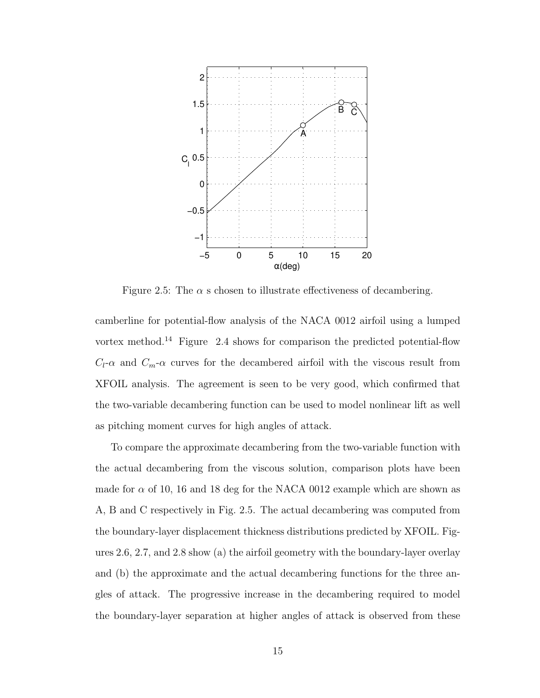

Figure 2.5: The  $\alpha$  s chosen to illustrate effectiveness of decambering.

camberline for potential-flow analysis of the NACA 0012 airfoil using a lumped vortex method.<sup>14</sup> Figure 2.4 shows for comparison the predicted potential-flow  $C_l$ - $\alpha$  and  $C_m$ - $\alpha$  curves for the decambered airfoil with the viscous result from XFOIL analysis. The agreement is seen to be very good, which confirmed that the two-variable decambering function can be used to model nonlinear lift as well as pitching moment curves for high angles of attack.

To compare the approximate decambering from the two-variable function with the actual decambering from the viscous solution, comparison plots have been made for  $\alpha$  of 10, 16 and 18 deg for the NACA 0012 example which are shown as A, B and C respectively in Fig. 2.5. The actual decambering was computed from the boundary-layer displacement thickness distributions predicted by XFOIL. Figures 2.6, 2.7, and 2.8 show (a) the airfoil geometry with the boundary-layer overlay and (b) the approximate and the actual decambering functions for the three angles of attack. The progressive increase in the decambering required to model the boundary-layer separation at higher angles of attack is observed from these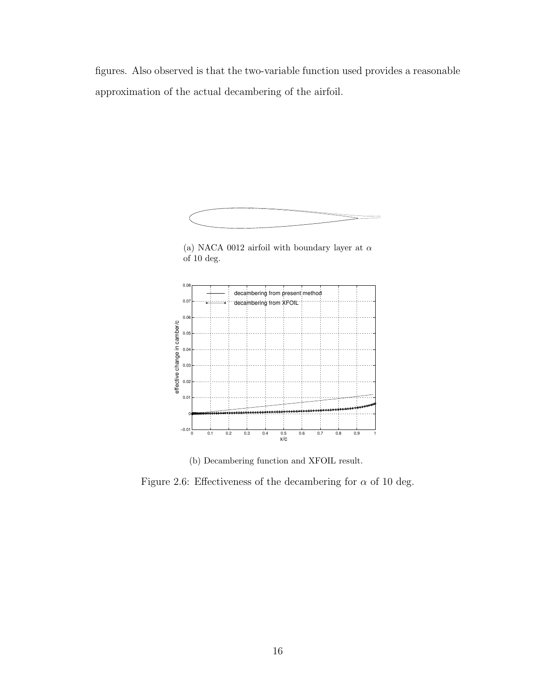figures. Also observed is that the two-variable function used provides a reasonable approximation of the actual decambering of the airfoil.



(a) NACA 0012 airfoil with boundary layer at  $\alpha$ of 10 deg.



(b) Decambering function and XFOIL result.

Figure 2.6: Effectiveness of the decambering for  $\alpha$  of 10 deg.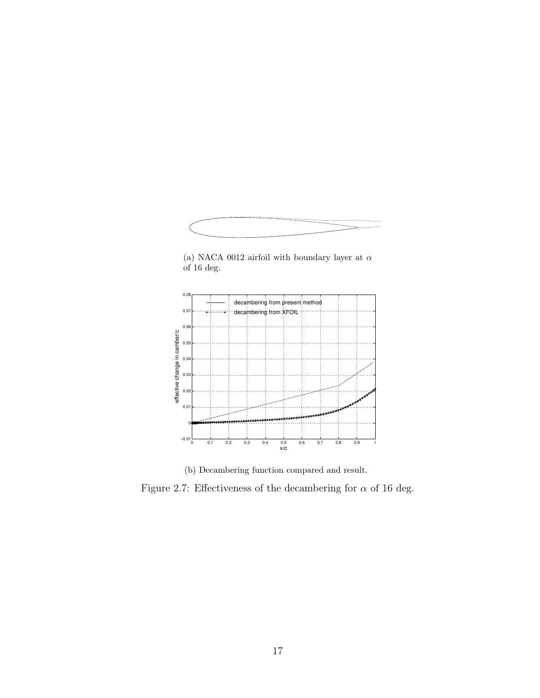

(a) NACA 0012 airfoil with boundary layer at  $\alpha$ of 16 deg.



(b) Decambering function compared and result.

Figure 2.7: Effectiveness of the decambering for  $\alpha$  of 16 deg.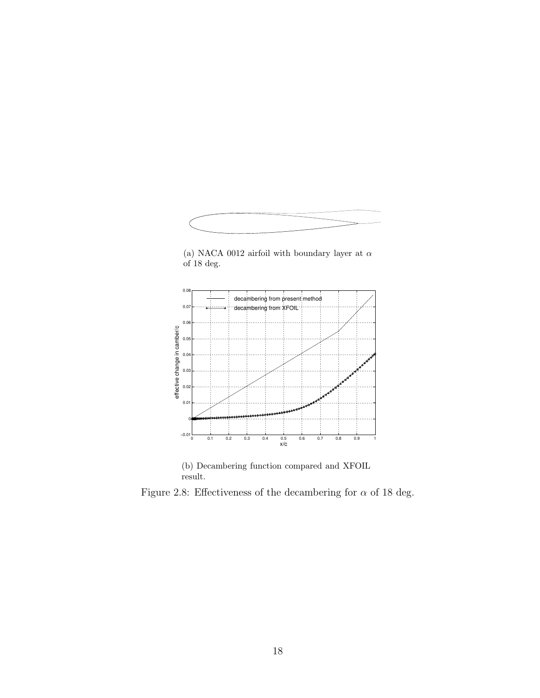

(a) NACA 0012 airfoil with boundary layer at  $\alpha$  $\overline{\text{of}}$  18 deg.



(b) Decambering function compared and XFOIL result.

Figure 2.8: Effectiveness of the decambering for  $\alpha$  of 18 deg.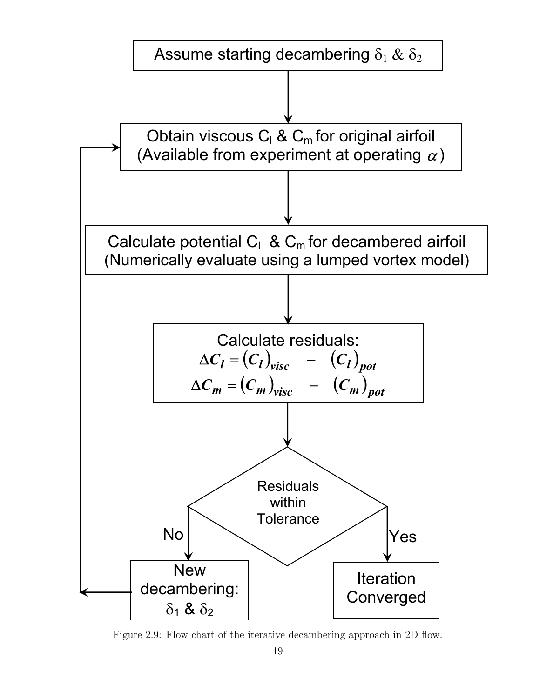

Figure 2.9: Flow chart of the iterative decambering approach in 2D flow.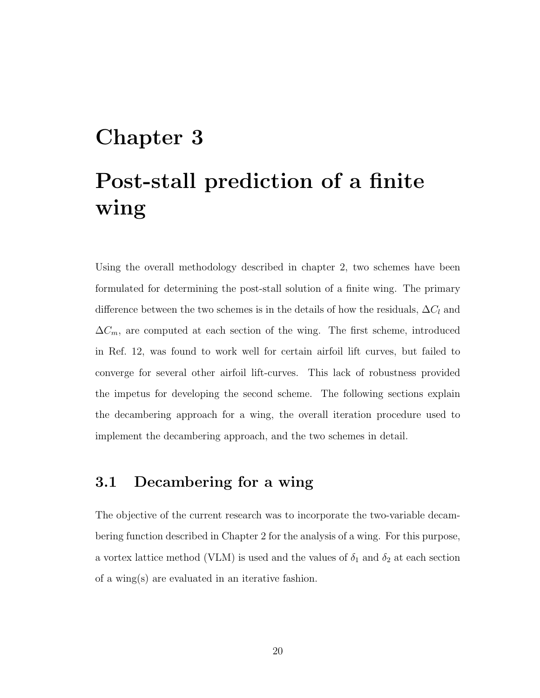# Chapter 3 Post-stall prediction of a finite wing

Using the overall methodology described in chapter 2, two schemes have been formulated for determining the post-stall solution of a finite wing. The primary difference between the two schemes is in the details of how the residuals,  $\Delta C_l$  and  $\Delta C_m$ , are computed at each section of the wing. The first scheme, introduced in Ref. 12, was found to work well for certain airfoil lift curves, but failed to converge for several other airfoil lift-curves. This lack of robustness provided the impetus for developing the second scheme. The following sections explain the decambering approach for a wing, the overall iteration procedure used to implement the decambering approach, and the two schemes in detail.

# 3.1 Decambering for a wing

The objective of the current research was to incorporate the two-variable decambering function described in Chapter 2 for the analysis of a wing. For this purpose, a vortex lattice method (VLM) is used and the values of  $\delta_1$  and  $\delta_2$  at each section of a wing(s) are evaluated in an iterative fashion.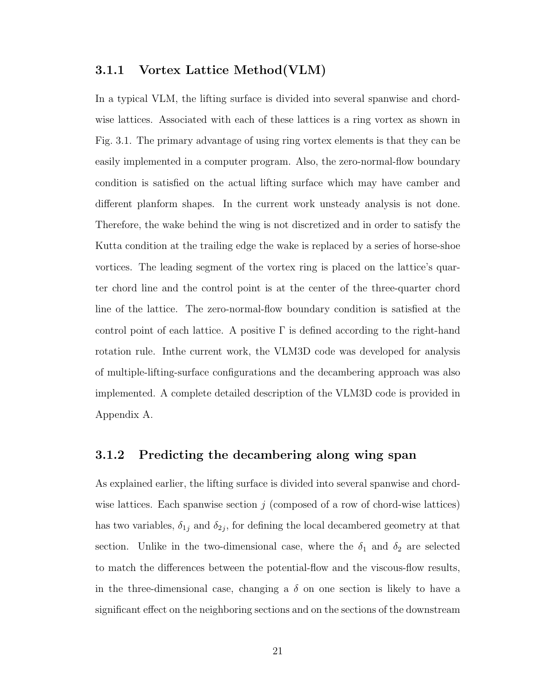#### 3.1.1 Vortex Lattice Method(VLM)

In a typical VLM, the lifting surface is divided into several spanwise and chordwise lattices. Associated with each of these lattices is a ring vortex as shown in Fig. 3.1. The primary advantage of using ring vortex elements is that they can be easily implemented in a computer program. Also, the zero-normal-flow boundary condition is satisfied on the actual lifting surface which may have camber and different planform shapes. In the current work unsteady analysis is not done. Therefore, the wake behind the wing is not discretized and in order to satisfy the Kutta condition at the trailing edge the wake is replaced by a series of horse-shoe vortices. The leading segment of the vortex ring is placed on the lattice's quarter chord line and the control point is at the center of the three-quarter chord line of the lattice. The zero-normal-flow boundary condition is satisfied at the control point of each lattice. A positive  $\Gamma$  is defined according to the right-hand rotation rule. Inthe current work, the VLM3D code was developed for analysis of multiple-lifting-surface configurations and the decambering approach was also implemented. A complete detailed description of the VLM3D code is provided in Appendix A.

#### 3.1.2 Predicting the decambering along wing span

As explained earlier, the lifting surface is divided into several spanwise and chordwise lattices. Each spanwise section  $j$  (composed of a row of chord-wise lattices) has two variables,  $\delta_{1j}$  and  $\delta_{2j}$ , for defining the local decambered geometry at that section. Unlike in the two-dimensional case, where the  $\delta_1$  and  $\delta_2$  are selected to match the differences between the potential-flow and the viscous-flow results, in the three-dimensional case, changing a  $\delta$  on one section is likely to have a significant effect on the neighboring sections and on the sections of the downstream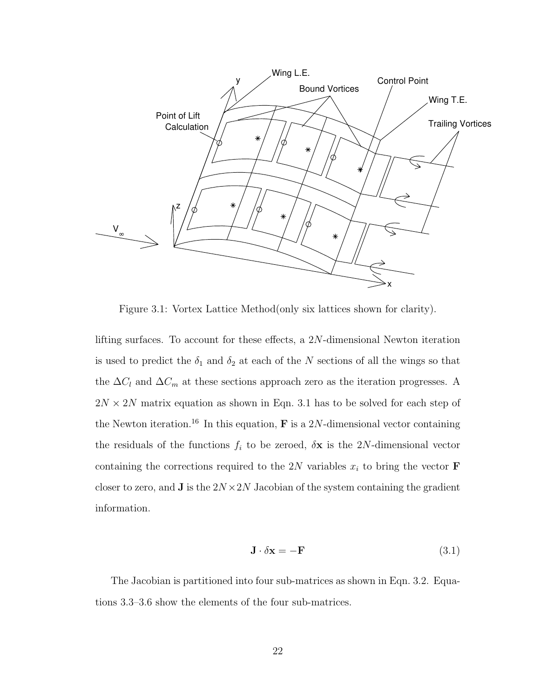

Figure 3.1: Vortex Lattice Method(only six lattices shown for clarity).

lifting surfaces. To account for these effects, a 2N-dimensional Newton iteration is used to predict the  $\delta_1$  and  $\delta_2$  at each of the N sections of all the wings so that the  $\Delta C_l$  and  $\Delta C_m$  at these sections approach zero as the iteration progresses. A  $2N \times 2N$  matrix equation as shown in Eqn. 3.1 has to be solved for each step of the Newton iteration.<sup>16</sup> In this equation, **F** is a 2N-dimensional vector containing the residuals of the functions  $f_i$  to be zeroed,  $\delta \mathbf{x}$  is the 2N-dimensional vector containing the corrections required to the 2N variables  $x_i$  to bring the vector **F** closer to zero, and **J** is the  $2N \times 2N$  Jacobian of the system containing the gradient information.

$$
\mathbf{J} \cdot \delta \mathbf{x} = -\mathbf{F} \tag{3.1}
$$

The Jacobian is partitioned into four sub-matrices as shown in Eqn. 3.2. Equations 3.3–3.6 show the elements of the four sub-matrices.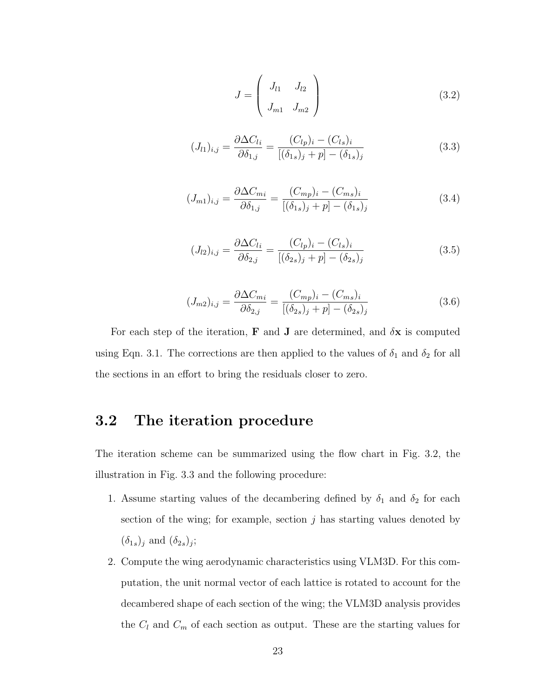$$
J = \begin{pmatrix} J_{l1} & J_{l2} \\ J_{m1} & J_{m2} \end{pmatrix}
$$
 (3.2)

$$
(J_{l1})_{i,j} = \frac{\partial \Delta C_{li}}{\partial \delta_{1,j}} = \frac{(C_{lp})_i - (C_{ls})_i}{[(\delta_{1s})_j + p] - (\delta_{1s})_j}
$$
(3.3)

$$
(J_{m1})_{i,j} = \frac{\partial \Delta C_{mi}}{\partial \delta_{1,j}} = \frac{(C_{mp})_i - (C_{ms})_i}{[(\delta_{1s})_j + p] - (\delta_{1s})_j}
$$
(3.4)

$$
(J_{l2})_{i,j} = \frac{\partial \Delta C_{li}}{\partial \delta_{2,j}} = \frac{(C_{lp})_i - (C_{ls})_i}{[(\delta_{2s})_j + p] - (\delta_{2s})_j}
$$
(3.5)

$$
(J_{m2})_{i,j} = \frac{\partial \Delta C_{mi}}{\partial \delta_{2,j}} = \frac{(C_{mp})_i - (C_{ms})_i}{[(\delta_{2s})_j + p] - (\delta_{2s})_j}
$$
(3.6)

For each step of the iteration, **F** and **J** are determined, and  $\delta$ **x** is computed using Eqn. 3.1. The corrections are then applied to the values of  $\delta_1$  and  $\delta_2$  for all the sections in an effort to bring the residuals closer to zero.

## 3.2 The iteration procedure

The iteration scheme can be summarized using the flow chart in Fig. 3.2, the illustration in Fig. 3.3 and the following procedure:

- 1. Assume starting values of the decambering defined by  $\delta_1$  and  $\delta_2$  for each section of the wing; for example, section  $j$  has starting values denoted by  $(\delta_{1s})_j$  and  $(\delta_{2s})_j$ ;
- 2. Compute the wing aerodynamic characteristics using VLM3D. For this computation, the unit normal vector of each lattice is rotated to account for the decambered shape of each section of the wing; the VLM3D analysis provides the  $C_l$  and  $C_m$  of each section as output. These are the starting values for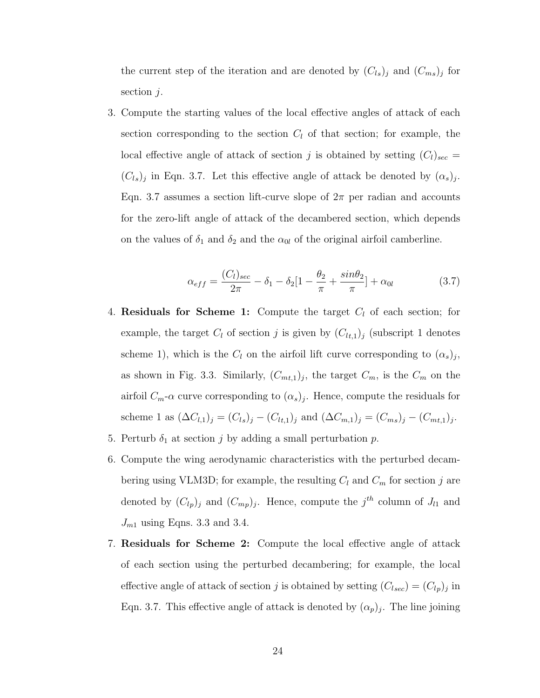the current step of the iteration and are denoted by  $(C_{ls})_j$  and  $(C_{ms})_j$  for section  $j$ .

3. Compute the starting values of the local effective angles of attack of each section corresponding to the section  $C_l$  of that section; for example, the local effective angle of attack of section j is obtained by setting  $(C_l)_{sec}$  =  $(C_{ls})_j$  in Eqn. 3.7. Let this effective angle of attack be denoted by  $(\alpha_s)_j$ . Eqn. 3.7 assumes a section lift-curve slope of  $2\pi$  per radian and accounts for the zero-lift angle of attack of the decambered section, which depends on the values of  $\delta_1$  and  $\delta_2$  and the  $\alpha_{0l}$  of the original airfoil camberline.

$$
\alpha_{eff} = \frac{(C_l)_{sec}}{2\pi} - \delta_1 - \delta_2 \left[1 - \frac{\theta_2}{\pi} + \frac{\sin \theta_2}{\pi}\right] + \alpha_{0l} \tag{3.7}
$$

- 4. **Residuals for Scheme 1:** Compute the target  $C_l$  of each section; for example, the target  $C_l$  of section j is given by  $(C_{l,t,1})_j$  (subscript 1 denotes scheme 1), which is the  $C_l$  on the airfoil lift curve corresponding to  $(\alpha_s)_j$ , as shown in Fig. 3.3. Similarly,  $(C_{m,t,1})_j$ , the target  $C_m$ , is the  $C_m$  on the airfoil  $C_m$ - $\alpha$  curve corresponding to  $(\alpha_s)_j$ . Hence, compute the residuals for scheme 1 as  $(\Delta C_{l,1})_j = (C_{l,s})_j - (C_{l,t,1})_j$  and  $(\Delta C_{m,1})_j = (C_{m,s})_j - (C_{m,t,1})_j$ .
- 5. Perturb  $\delta_1$  at section j by adding a small perturbation p.
- 6. Compute the wing aerodynamic characteristics with the perturbed decambering using VLM3D; for example, the resulting  $C_l$  and  $C_m$  for section j are denoted by  $(C_{lp})_j$  and  $(C_{mp})_j$ . Hence, compute the  $j<sup>th</sup>$  column of  $J_{l1}$  and  $J_{m1}$  using Eqns. 3.3 and 3.4.
- 7. Residuals for Scheme 2: Compute the local effective angle of attack of each section using the perturbed decambering; for example, the local effective angle of attack of section j is obtained by setting  $(C_{l, sec}) = (C_{lp})_j$  in Eqn. 3.7. This effective angle of attack is denoted by  $(\alpha_p)_j$ . The line joining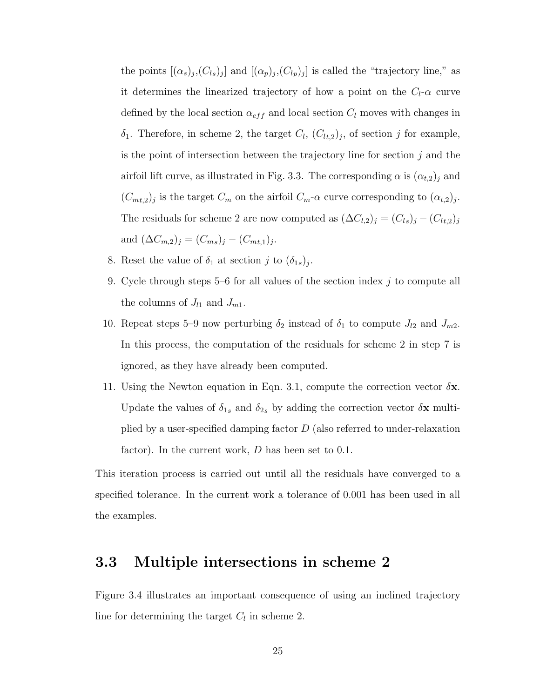the points  $[(\alpha_s)_j,(C_{ls})_j]$  and  $[(\alpha_p)_j,(C_{lp})_j]$  is called the "trajectory line," as it determines the linearized trajectory of how a point on the  $C_l$ - $\alpha$  curve defined by the local section  $\alpha_{eff}$  and local section  $C_l$  moves with changes in  $\delta_1$ . Therefore, in scheme 2, the target  $C_l$ ,  $(C_{lt,2})_j$ , of section j for example, is the point of intersection between the trajectory line for section  $j$  and the airfoil lift curve, as illustrated in Fig. 3.3. The corresponding  $\alpha$  is  $(\alpha_{t,2})_j$  and  $(C_{m_t,2})_j$  is the target  $C_m$  on the airfoil  $C_m$ - $\alpha$  curve corresponding to  $(\alpha_{t,2})_j$ . The residuals for scheme 2 are now computed as  $(\Delta C_{l,2})_j = (C_{ls})_j - (C_{lt,2})_j$ and  $(\Delta C_{m,2})_j = (C_{ms})_j - (C_{mt,1})_j$ .

- 8. Reset the value of  $\delta_1$  at section j to  $(\delta_{1s})_j$ .
- 9. Cycle through steps 5–6 for all values of the section index  $j$  to compute all the columns of  $J_{l1}$  and  $J_{m1}$ .
- 10. Repeat steps 5–9 now perturbing  $\delta_2$  instead of  $\delta_1$  to compute  $J_{l2}$  and  $J_{m2}$ . In this process, the computation of the residuals for scheme 2 in step 7 is ignored, as they have already been computed.
- 11. Using the Newton equation in Eqn. 3.1, compute the correction vector  $\delta \mathbf{x}$ . Update the values of  $\delta_{1s}$  and  $\delta_{2s}$  by adding the correction vector  $\delta \mathbf{x}$  multiplied by a user-specified damping factor  $D$  (also referred to under-relaxation factor). In the current work,  $D$  has been set to 0.1.

This iteration process is carried out until all the residuals have converged to a specified tolerance. In the current work a tolerance of 0.001 has been used in all the examples.

### 3.3 Multiple intersections in scheme 2

Figure 3.4 illustrates an important consequence of using an inclined trajectory line for determining the target  $C_l$  in scheme 2.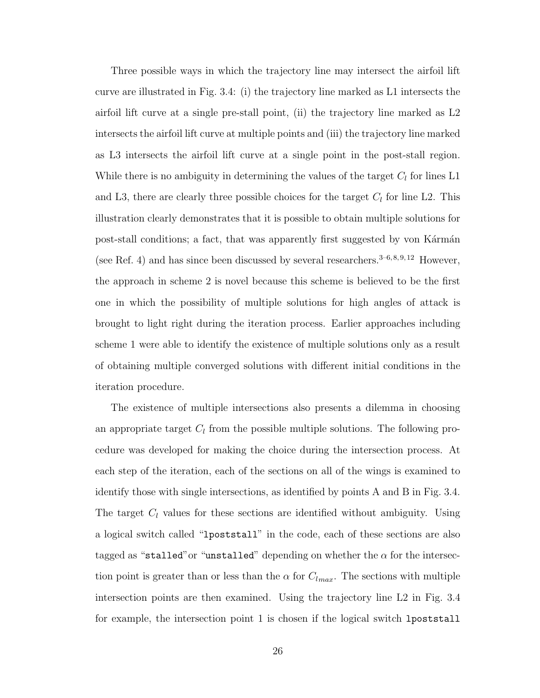Three possible ways in which the trajectory line may intersect the airfoil lift curve are illustrated in Fig. 3.4: (i) the trajectory line marked as L1 intersects the airfoil lift curve at a single pre-stall point, (ii) the trajectory line marked as L2 intersects the airfoil lift curve at multiple points and (iii) the trajectory line marked as L3 intersects the airfoil lift curve at a single point in the post-stall region. While there is no ambiguity in determining the values of the target  $C_l$  for lines L1 and L3, there are clearly three possible choices for the target  $C_l$  for line L2. This illustration clearly demonstrates that it is possible to obtain multiple solutions for post-stall conditions; a fact, that was apparently first suggested by von Kármán (see Ref. 4) and has since been discussed by several researchers.<sup>3–6,8,9,12</sup> However, the approach in scheme 2 is novel because this scheme is believed to be the first one in which the possibility of multiple solutions for high angles of attack is brought to light right during the iteration process. Earlier approaches including scheme 1 were able to identify the existence of multiple solutions only as a result of obtaining multiple converged solutions with different initial conditions in the iteration procedure.

The existence of multiple intersections also presents a dilemma in choosing an appropriate target  $C_l$  from the possible multiple solutions. The following procedure was developed for making the choice during the intersection process. At each step of the iteration, each of the sections on all of the wings is examined to identify those with single intersections, as identified by points A and B in Fig. 3.4. The target  $C_l$  values for these sections are identified without ambiguity. Using a logical switch called "lpoststall" in the code, each of these sections are also tagged as "stalled" or "unstalled" depending on whether the  $\alpha$  for the intersection point is greater than or less than the  $\alpha$  for  $C_{lmax}$ . The sections with multiple intersection points are then examined. Using the trajectory line L2 in Fig. 3.4 for example, the intersection point 1 is chosen if the logical switch lpoststall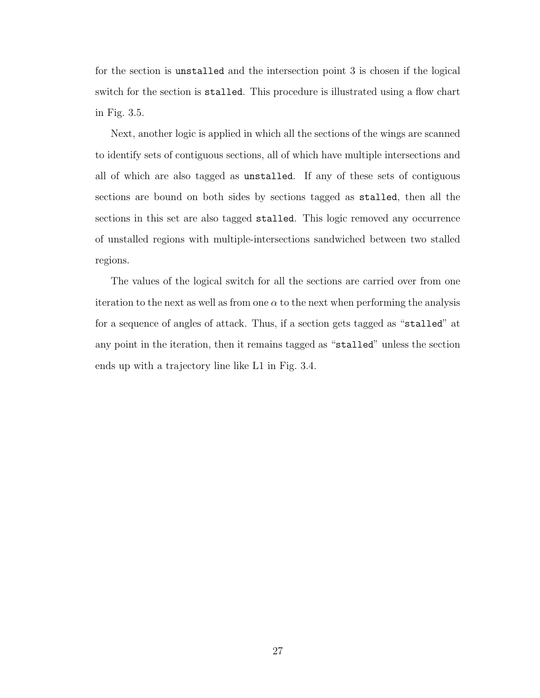for the section is unstalled and the intersection point 3 is chosen if the logical switch for the section is stalled. This procedure is illustrated using a flow chart in Fig. 3.5.

Next, another logic is applied in which all the sections of the wings are scanned to identify sets of contiguous sections, all of which have multiple intersections and all of which are also tagged as unstalled. If any of these sets of contiguous sections are bound on both sides by sections tagged as stalled, then all the sections in this set are also tagged stalled. This logic removed any occurrence of unstalled regions with multiple-intersections sandwiched between two stalled regions.

The values of the logical switch for all the sections are carried over from one iteration to the next as well as from one  $\alpha$  to the next when performing the analysis for a sequence of angles of attack. Thus, if a section gets tagged as "stalled" at any point in the iteration, then it remains tagged as "stalled" unless the section ends up with a trajectory line like L1 in Fig. 3.4.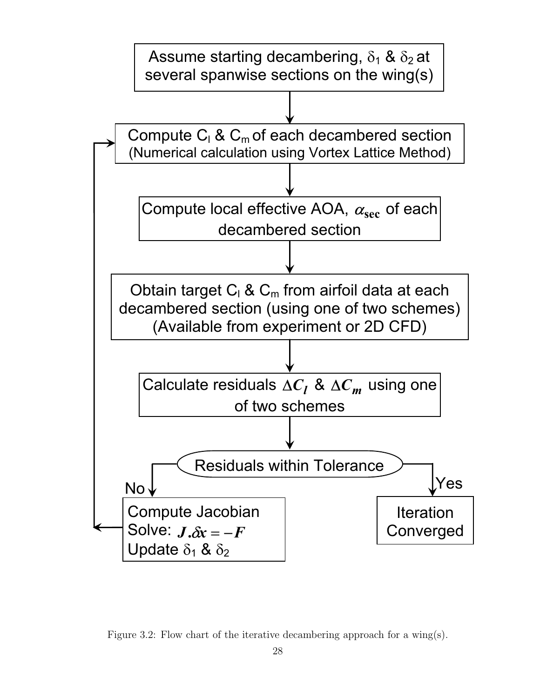

Figure 3.2: Flow chart of the iterative decambering approach for a wing(s).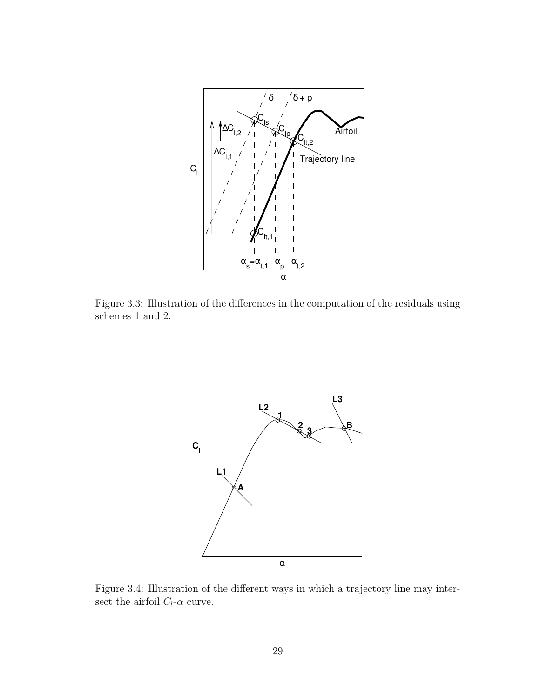

Figure 3.3: Illustration of the differences in the computation of the residuals using schemes 1 and 2.



Figure 3.4: Illustration of the different ways in which a trajectory line may intersect the airfoil  $C_l\text{-}\alpha$  curve.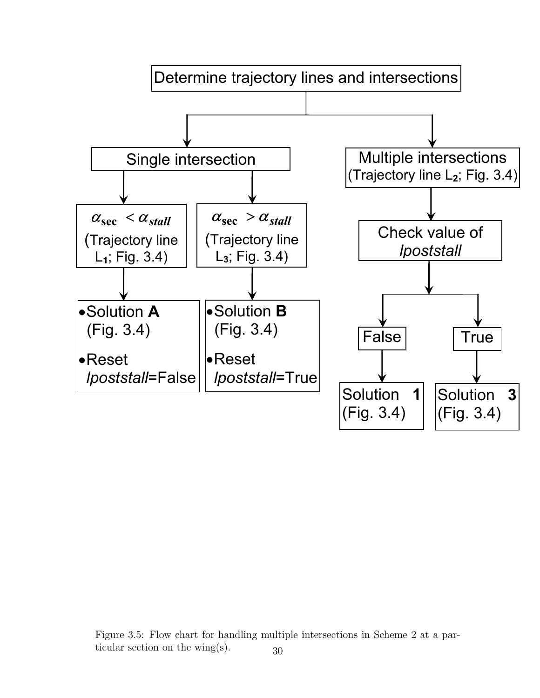

Figure 3.5: Flow chart for handling multiple intersections in Scheme 2 at a particular section on the wing(s).  $30$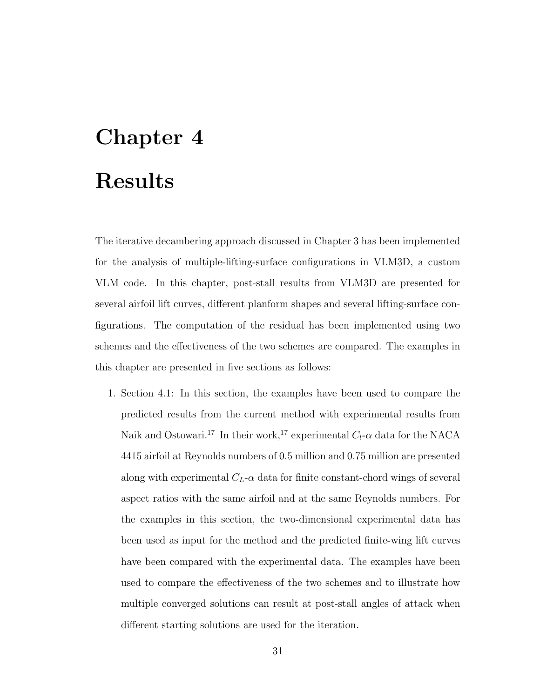# Chapter 4 Results

The iterative decambering approach discussed in Chapter 3 has been implemented for the analysis of multiple-lifting-surface configurations in VLM3D, a custom VLM code. In this chapter, post-stall results from VLM3D are presented for several airfoil lift curves, different planform shapes and several lifting-surface configurations. The computation of the residual has been implemented using two schemes and the effectiveness of the two schemes are compared. The examples in this chapter are presented in five sections as follows:

1. Section 4.1: In this section, the examples have been used to compare the predicted results from the current method with experimental results from Naik and Ostowari.<sup>17</sup> In their work,<sup>17</sup> experimental  $C_l$ - $\alpha$  data for the NACA 4415 airfoil at Reynolds numbers of 0.5 million and 0.75 million are presented along with experimental  $C_L$ - $\alpha$  data for finite constant-chord wings of several aspect ratios with the same airfoil and at the same Reynolds numbers. For the examples in this section, the two-dimensional experimental data has been used as input for the method and the predicted finite-wing lift curves have been compared with the experimental data. The examples have been used to compare the effectiveness of the two schemes and to illustrate how multiple converged solutions can result at post-stall angles of attack when different starting solutions are used for the iteration.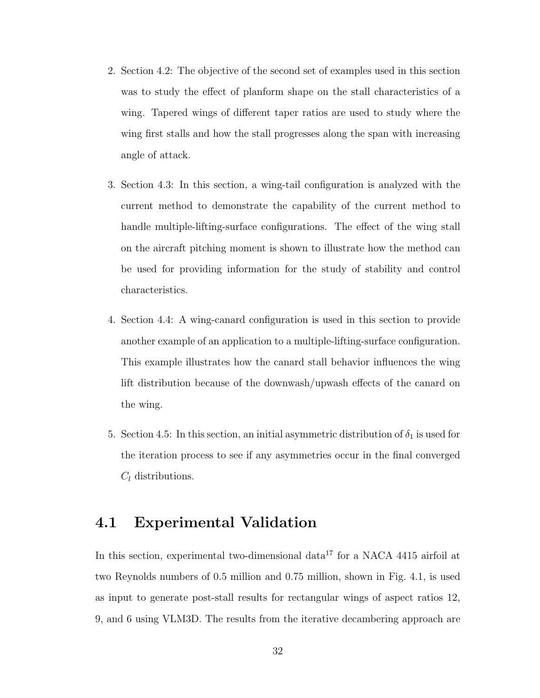- 2. Section 4.2: The objective of the second set of examples used in this section was to study the effect of planform shape on the stall characteristics of a wing. Tapered wings of different taper ratios are used to study where the wing first stalls and how the stall progresses along the span with increasing angle of attack.
- 3. Section 4.3: In this section, a wing-tail configuration is analyzed with the current method to demonstrate the capability of the current method to handle multiple-lifting-surface configurations. The effect of the wing stall on the aircraft pitching moment is shown to illustrate how the method can be used for providing information for the study of stability and control characteristics.
- 4. Section 4.4: A wing-canard configuration is used in this section to provide another example of an application to a multiple-lifting-surface configuration. This example illustrates how the canard stall behavior influences the wing lift distribution because of the downwash/upwash effects of the canard on the wing.
- 5. Section 4.5: In this section, an initial asymmetric distribution of  $\delta_1$  is used for the iteration process to see if any asymmetries occur in the final converged  $C_l$  distributions.

## 4.1 Experimental Validation

In this section, experimental two-dimensional data<sup>17</sup> for a NACA 4415 airfoil at two Reynolds numbers of 0.5 million and 0.75 million, shown in Fig. 4.1, is used as input to generate post-stall results for rectangular wings of aspect ratios 12, 9, and 6 using VLM3D. The results from the iterative decambering approach are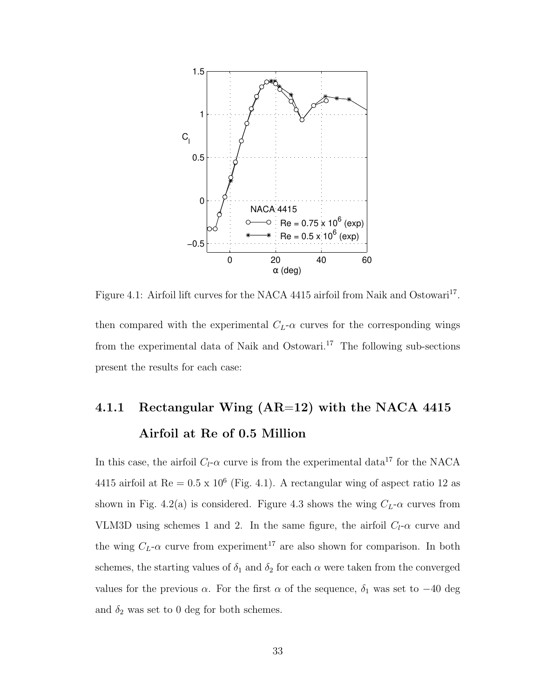

Figure 4.1: Airfoil lift curves for the NACA 4415 airfoil from Naik and Ostowari<sup>17</sup>. then compared with the experimental  $C_L$ - $\alpha$  curves for the corresponding wings from the experimental data of Naik and Ostowari.<sup>17</sup> The following sub-sections present the results for each case:

# 4.1.1 Rectangular Wing (AR=12) with the NACA 4415 Airfoil at Re of 0.5 Million

In this case, the airfoil  $C_l$ - $\alpha$  curve is from the experimental data<sup>17</sup> for the NACA 4415 airfoil at  $\text{Re} = 0.5 \times 10^6$  (Fig. 4.1). A rectangular wing of aspect ratio 12 as shown in Fig. 4.2(a) is considered. Figure 4.3 shows the wing  $C_L$ - $\alpha$  curves from VLM3D using schemes 1 and 2. In the same figure, the airfoil  $C_l$ - $\alpha$  curve and the wing  $C_L$ - $\alpha$  curve from experiment<sup>17</sup> are also shown for comparison. In both schemes, the starting values of  $\delta_1$  and  $\delta_2$  for each  $\alpha$  were taken from the converged values for the previous  $\alpha$ . For the first  $\alpha$  of the sequence,  $\delta_1$  was set to  $-40$  deg and  $\delta_2$  was set to 0 deg for both schemes.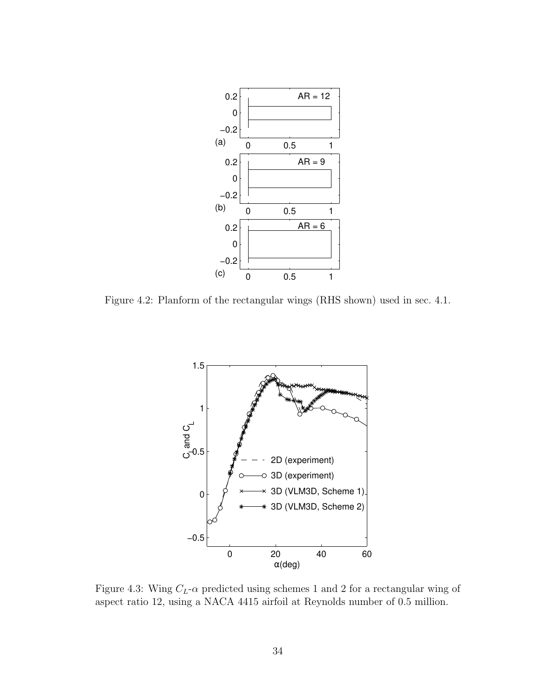

Figure 4.2: Planform of the rectangular wings (RHS shown) used in sec. 4.1.



Figure 4.3: Wing  $C_L$ - $\alpha$  predicted using schemes 1 and 2 for a rectangular wing of aspect ratio 12, using a NACA 4415 airfoil at Reynolds number of 0.5 million.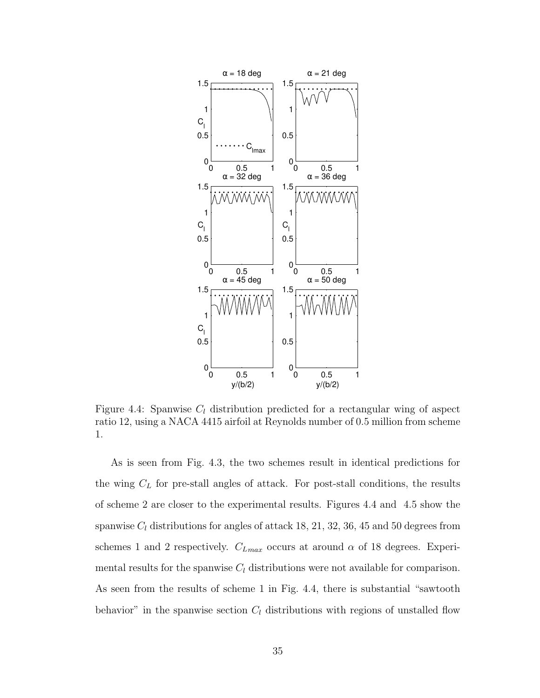

Figure 4.4: Spanwise  $C_l$  distribution predicted for a rectangular wing of aspect ratio 12, using a NACA 4415 airfoil at Reynolds number of 0.5 million from scheme 1.

As is seen from Fig. 4.3, the two schemes result in identical predictions for the wing  $C<sub>L</sub>$  for pre-stall angles of attack. For post-stall conditions, the results of scheme 2 are closer to the experimental results. Figures 4.4 and 4.5 show the spanwise  $C_l$  distributions for angles of attack 18, 21, 32, 36, 45 and 50 degrees from schemes 1 and 2 respectively.  $C_{Lmax}$  occurs at around  $\alpha$  of 18 degrees. Experimental results for the spanwise  $C_l$  distributions were not available for comparison. As seen from the results of scheme 1 in Fig. 4.4, there is substantial "sawtooth behavior" in the spanwise section  $C_l$  distributions with regions of unstalled flow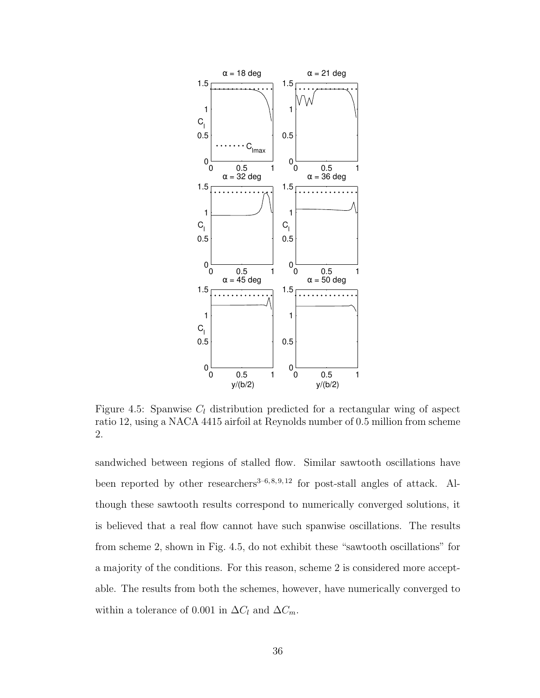

Figure 4.5: Spanwise  $C_l$  distribution predicted for a rectangular wing of aspect ratio 12, using a NACA 4415 airfoil at Reynolds number of 0.5 million from scheme 2.

sandwiched between regions of stalled flow. Similar sawtooth oscillations have been reported by other researchers<sup>3-6, 8, 9, 12</sup> for post-stall angles of attack. Although these sawtooth results correspond to numerically converged solutions, it is believed that a real flow cannot have such spanwise oscillations. The results from scheme 2, shown in Fig. 4.5, do not exhibit these "sawtooth oscillations" for a majority of the conditions. For this reason, scheme 2 is considered more acceptable. The results from both the schemes, however, have numerically converged to within a tolerance of 0.001 in  $\Delta C_l$  and  $\Delta C_m$ .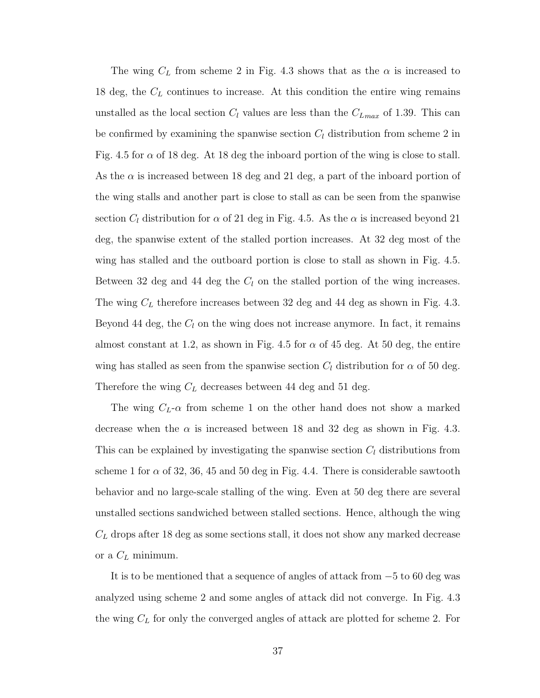The wing  $C_L$  from scheme 2 in Fig. 4.3 shows that as the  $\alpha$  is increased to 18 deg, the  $C<sub>L</sub>$  continues to increase. At this condition the entire wing remains unstalled as the local section  $C_l$  values are less than the  $C_{Lmax}$  of 1.39. This can be confirmed by examining the spanwise section  $C_l$  distribution from scheme 2 in Fig. 4.5 for  $\alpha$  of 18 deg. At 18 deg the inboard portion of the wing is close to stall. As the  $\alpha$  is increased between 18 deg and 21 deg, a part of the inboard portion of the wing stalls and another part is close to stall as can be seen from the spanwise section  $C_l$  distribution for  $\alpha$  of 21 deg in Fig. 4.5. As the  $\alpha$  is increased beyond 21 deg, the spanwise extent of the stalled portion increases. At 32 deg most of the wing has stalled and the outboard portion is close to stall as shown in Fig. 4.5. Between 32 deg and 44 deg the  $C_l$  on the stalled portion of the wing increases. The wing  $C_L$  therefore increases between 32 deg and 44 deg as shown in Fig. 4.3. Beyond 44 deg, the  $C_l$  on the wing does not increase anymore. In fact, it remains almost constant at 1.2, as shown in Fig. 4.5 for  $\alpha$  of 45 deg. At 50 deg, the entire wing has stalled as seen from the spanwise section  $C_l$  distribution for  $\alpha$  of 50 deg. Therefore the wing  $C_L$  decreases between 44 deg and 51 deg.

The wing  $C_L$ - $\alpha$  from scheme 1 on the other hand does not show a marked decrease when the  $\alpha$  is increased between 18 and 32 deg as shown in Fig. 4.3. This can be explained by investigating the spanwise section  $C_l$  distributions from scheme 1 for  $\alpha$  of 32, 36, 45 and 50 deg in Fig. 4.4. There is considerable sawtooth behavior and no large-scale stalling of the wing. Even at 50 deg there are several unstalled sections sandwiched between stalled sections. Hence, although the wing  $C_L$  drops after 18 deg as some sections stall, it does not show any marked decrease or a  $C_L$  minimum.

It is to be mentioned that a sequence of angles of attack from −5 to 60 deg was analyzed using scheme 2 and some angles of attack did not converge. In Fig. 4.3 the wing  $C_L$  for only the converged angles of attack are plotted for scheme 2. For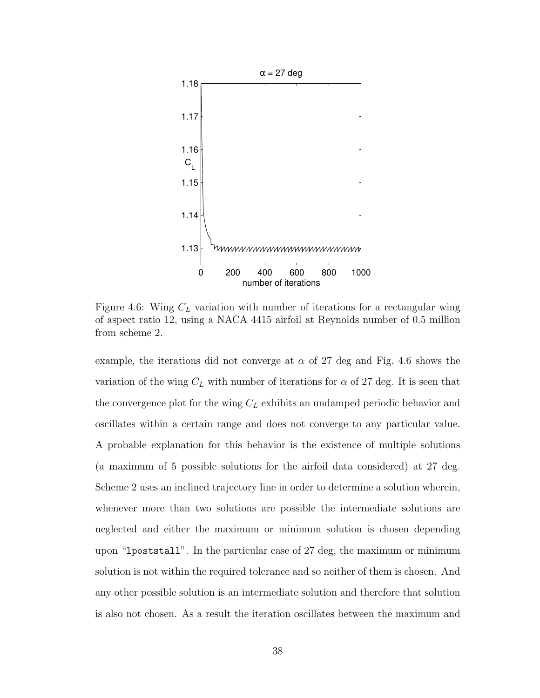

Figure 4.6: Wing  $C_L$  variation with number of iterations for a rectangular wing of aspect ratio 12, using a NACA 4415 airfoil at Reynolds number of 0.5 million from scheme 2.

example, the iterations did not converge at  $\alpha$  of 27 deg and Fig. 4.6 shows the variation of the wing  $C<sub>L</sub>$  with number of iterations for  $\alpha$  of 27 deg. It is seen that the convergence plot for the wing  $C<sub>L</sub>$  exhibits an undamped periodic behavior and oscillates within a certain range and does not converge to any particular value. A probable explanation for this behavior is the existence of multiple solutions (a maximum of 5 possible solutions for the airfoil data considered) at 27 deg. Scheme 2 uses an inclined trajectory line in order to determine a solution wherein, whenever more than two solutions are possible the intermediate solutions are neglected and either the maximum or minimum solution is chosen depending upon "lpoststall". In the particular case of 27 deg, the maximum or minimum solution is not within the required tolerance and so neither of them is chosen. And any other possible solution is an intermediate solution and therefore that solution is also not chosen. As a result the iteration oscillates between the maximum and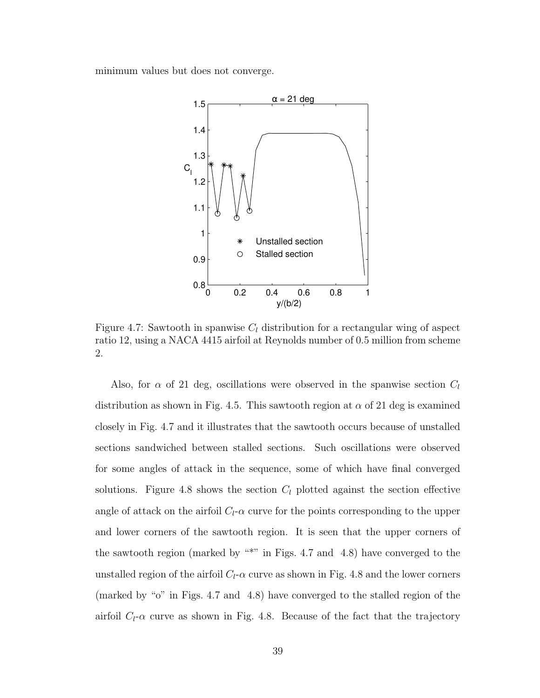minimum values but does not converge.



Figure 4.7: Sawtooth in spanwise  $C_l$  distribution for a rectangular wing of aspect ratio 12, using a NACA 4415 airfoil at Reynolds number of 0.5 million from scheme 2.

Also, for  $\alpha$  of 21 deg, oscillations were observed in the spanwise section  $C_l$ distribution as shown in Fig. 4.5. This sawtooth region at  $\alpha$  of 21 deg is examined closely in Fig. 4.7 and it illustrates that the sawtooth occurs because of unstalled sections sandwiched between stalled sections. Such oscillations were observed for some angles of attack in the sequence, some of which have final converged solutions. Figure 4.8 shows the section  $C_l$  plotted against the section effective angle of attack on the airfoil  $C_l$ - $\alpha$  curve for the points corresponding to the upper and lower corners of the sawtooth region. It is seen that the upper corners of the sawtooth region (marked by  $"$ "" in Figs. 4.7 and 4.8) have converged to the unstalled region of the airfoil  $C_l$ - $\alpha$  curve as shown in Fig. 4.8 and the lower corners (marked by "o" in Figs. 4.7 and 4.8) have converged to the stalled region of the airfoil  $C_l$ - $\alpha$  curve as shown in Fig. 4.8. Because of the fact that the trajectory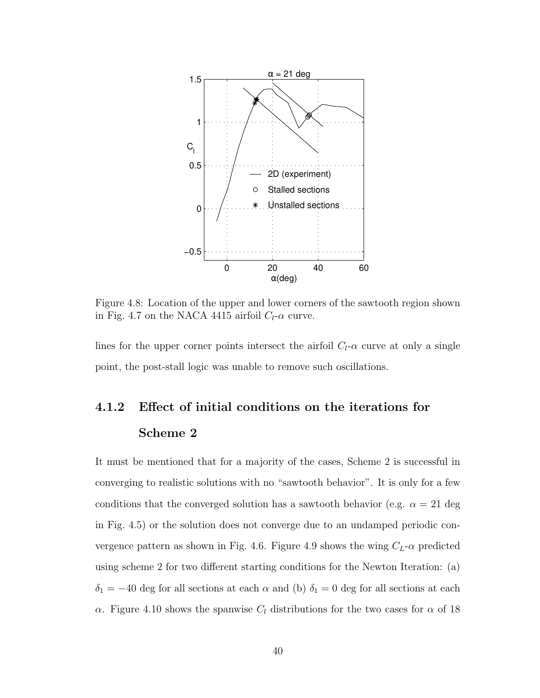

Figure 4.8: Location of the upper and lower corners of the sawtooth region shown in Fig. 4.7 on the NACA 4415 airfoil  $C_l$ - $\alpha$  curve.

lines for the upper corner points intersect the airfoil  $C_l$ - $\alpha$  curve at only a single point, the post-stall logic was unable to remove such oscillations.

# 4.1.2 Effect of initial conditions on the iterations for Scheme 2

It must be mentioned that for a majority of the cases, Scheme 2 is successful in converging to realistic solutions with no "sawtooth behavior". It is only for a few conditions that the converged solution has a sawtooth behavior (e.g.  $\alpha = 21$  deg in Fig. 4.5) or the solution does not converge due to an undamped periodic convergence pattern as shown in Fig. 4.6. Figure 4.9 shows the wing  $C_L$ - $\alpha$  predicted using scheme 2 for two different starting conditions for the Newton Iteration: (a)  $\delta_1 = -40$  deg for all sections at each  $\alpha$  and (b)  $\delta_1 = 0$  deg for all sections at each α. Figure 4.10 shows the spanwise  $C_l$  distributions for the two cases for  $\alpha$  of 18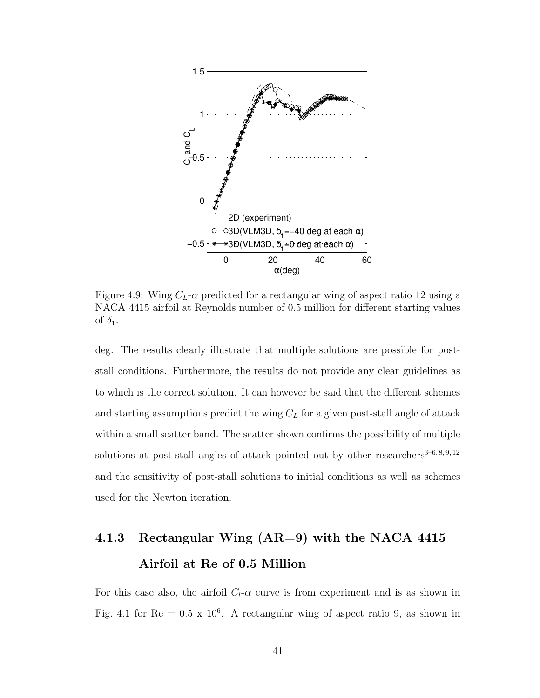

Figure 4.9: Wing  $C_L$ - $\alpha$  predicted for a rectangular wing of aspect ratio 12 using a NACA 4415 airfoil at Reynolds number of 0.5 million for different starting values of  $\delta_1$ .

deg. The results clearly illustrate that multiple solutions are possible for poststall conditions. Furthermore, the results do not provide any clear guidelines as to which is the correct solution. It can however be said that the different schemes and starting assumptions predict the wing  $C<sub>L</sub>$  for a given post-stall angle of attack within a small scatter band. The scatter shown confirms the possibility of multiple solutions at post-stall angles of attack pointed out by other researchers<sup>3-6,8,9,12</sup> and the sensitivity of post-stall solutions to initial conditions as well as schemes used for the Newton iteration.

## 4.1.3 Rectangular Wing (AR=9) with the NACA 4415 Airfoil at Re of 0.5 Million

For this case also, the airfoil  $C_l$ - $\alpha$  curve is from experiment and is as shown in Fig. 4.1 for  $Re = 0.5 \times 10^6$ . A rectangular wing of aspect ratio 9, as shown in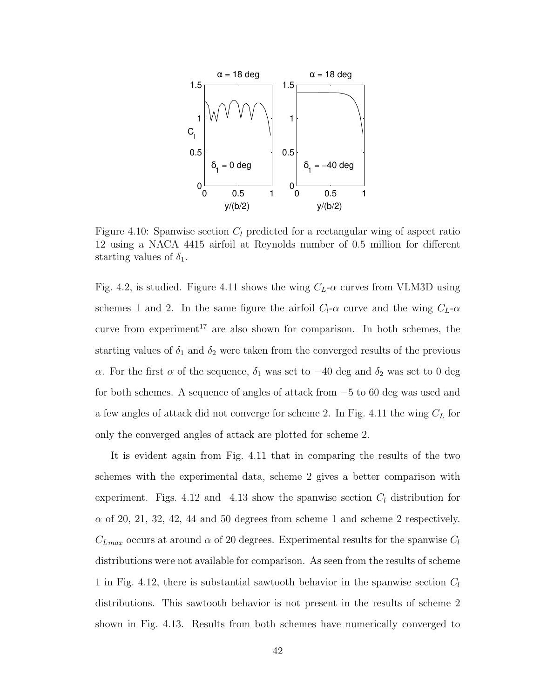

Figure 4.10: Spanwise section  $C_l$  predicted for a rectangular wing of aspect ratio 12 using a NACA 4415 airfoil at Reynolds number of 0.5 million for different starting values of  $\delta_1$ .

Fig. 4.2, is studied. Figure 4.11 shows the wing  $C_L$ - $\alpha$  curves from VLM3D using schemes 1 and 2. In the same figure the airfoil  $C_l$ - $\alpha$  curve and the wing  $C_L$ - $\alpha$ curve from experiment<sup>17</sup> are also shown for comparison. In both schemes, the starting values of  $\delta_1$  and  $\delta_2$  were taken from the converged results of the previous α. For the first α of the sequence,  $\delta_1$  was set to  $-40$  deg and  $\delta_2$  was set to 0 deg for both schemes. A sequence of angles of attack from −5 to 60 deg was used and a few angles of attack did not converge for scheme 2. In Fig. 4.11 the wing  $C_L$  for only the converged angles of attack are plotted for scheme 2.

It is evident again from Fig. 4.11 that in comparing the results of the two schemes with the experimental data, scheme 2 gives a better comparison with experiment. Figs. 4.12 and 4.13 show the spanwise section  $C_l$  distribution for  $\alpha$  of 20, 21, 32, 42, 44 and 50 degrees from scheme 1 and scheme 2 respectively.  $C_{Lmax}$  occurs at around  $\alpha$  of 20 degrees. Experimental results for the spanwise  $C_l$ distributions were not available for comparison. As seen from the results of scheme 1 in Fig. 4.12, there is substantial sawtooth behavior in the spanwise section  $C_l$ distributions. This sawtooth behavior is not present in the results of scheme 2 shown in Fig. 4.13. Results from both schemes have numerically converged to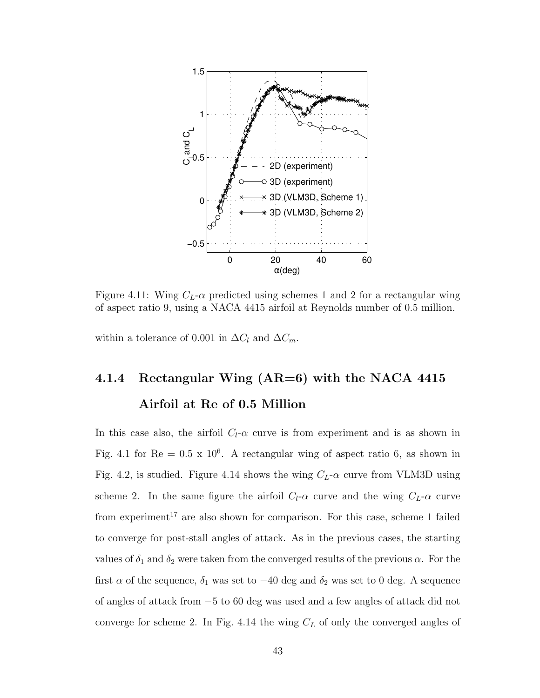

Figure 4.11: Wing  $C_L$ - $\alpha$  predicted using schemes 1 and 2 for a rectangular wing of aspect ratio 9, using a NACA 4415 airfoil at Reynolds number of 0.5 million.

within a tolerance of 0.001 in  $\Delta C_l$  and  $\Delta C_m$ .

# 4.1.4 Rectangular Wing  $(AR=6)$  with the NACA 4415 Airfoil at Re of 0.5 Million

In this case also, the airfoil  $C_l$ - $\alpha$  curve is from experiment and is as shown in Fig. 4.1 for  $Re = 0.5 \times 10^6$ . A rectangular wing of aspect ratio 6, as shown in Fig. 4.2, is studied. Figure 4.14 shows the wing  $C_L$ - $\alpha$  curve from VLM3D using scheme 2. In the same figure the airfoil  $C_l$ - $\alpha$  curve and the wing  $C_l$ - $\alpha$  curve from experiment<sup>17</sup> are also shown for comparison. For this case, scheme 1 failed to converge for post-stall angles of attack. As in the previous cases, the starting values of  $\delta_1$  and  $\delta_2$  were taken from the converged results of the previous  $\alpha$ . For the first  $\alpha$  of the sequence,  $\delta_1$  was set to  $-40$  deg and  $\delta_2$  was set to 0 deg. A sequence of angles of attack from −5 to 60 deg was used and a few angles of attack did not converge for scheme 2. In Fig. 4.14 the wing  $C<sub>L</sub>$  of only the converged angles of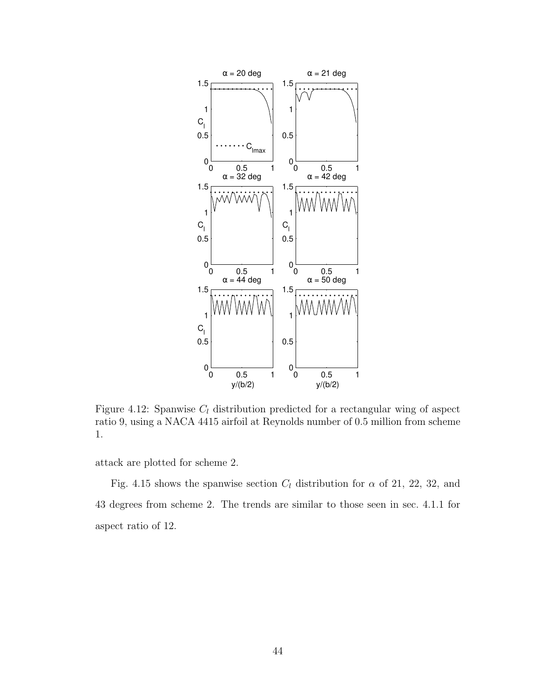

Figure 4.12: Spanwise  $C_l$  distribution predicted for a rectangular wing of aspect ratio 9, using a NACA 4415 airfoil at Reynolds number of 0.5 million from scheme 1.

attack are plotted for scheme 2.

Fig. 4.15 shows the spanwise section  $C_l$  distribution for  $\alpha$  of 21, 22, 32, and 43 degrees from scheme 2. The trends are similar to those seen in sec. 4.1.1 for aspect ratio of 12.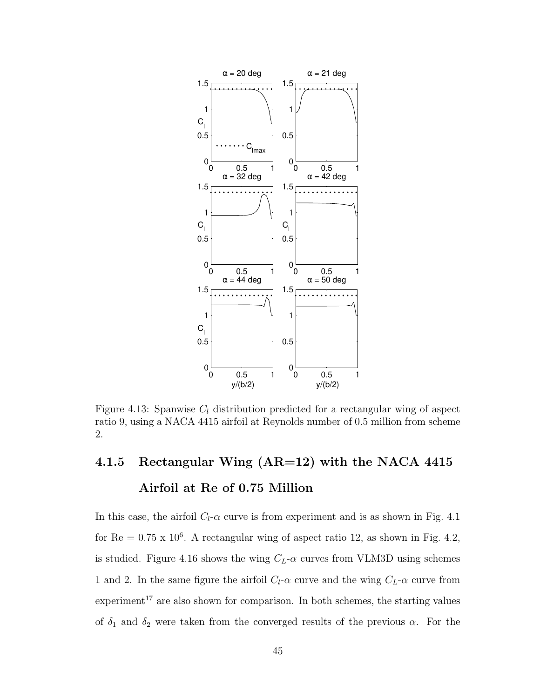

Figure 4.13: Spanwise  $C_l$  distribution predicted for a rectangular wing of aspect ratio 9, using a NACA 4415 airfoil at Reynolds number of 0.5 million from scheme 2.

# 4.1.5 Rectangular Wing (AR=12) with the NACA 4415 Airfoil at Re of 0.75 Million

In this case, the airfoil  $C_l$ - $\alpha$  curve is from experiment and is as shown in Fig. 4.1 for  $\text{Re} = 0.75 \times 10^6$ . A rectangular wing of aspect ratio 12, as shown in Fig. 4.2, is studied. Figure 4.16 shows the wing  $C_L$ - $\alpha$  curves from VLM3D using schemes 1 and 2. In the same figure the airfoil  $C_l$ - $\alpha$  curve and the wing  $C_L$ - $\alpha$  curve from experiment<sup>17</sup> are also shown for comparison. In both schemes, the starting values of  $\delta_1$  and  $\delta_2$  were taken from the converged results of the previous  $\alpha$ . For the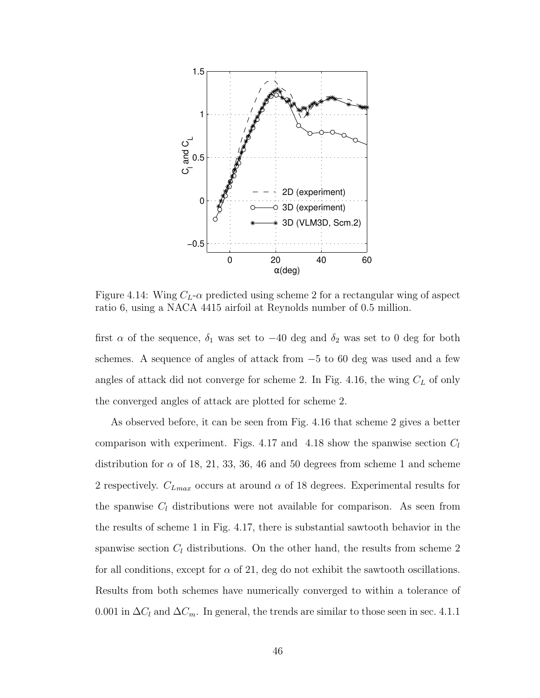

Figure 4.14: Wing  $C_L$ - $\alpha$  predicted using scheme 2 for a rectangular wing of aspect ratio 6, using a NACA 4415 airfoil at Reynolds number of 0.5 million.

first  $\alpha$  of the sequence,  $\delta_1$  was set to  $-40$  deg and  $\delta_2$  was set to 0 deg for both schemes. A sequence of angles of attack from −5 to 60 deg was used and a few angles of attack did not converge for scheme 2. In Fig. 4.16, the wing  $C_L$  of only the converged angles of attack are plotted for scheme 2.

As observed before, it can be seen from Fig. 4.16 that scheme 2 gives a better comparison with experiment. Figs. 4.17 and 4.18 show the spanwise section  $C_l$ distribution for  $\alpha$  of 18, 21, 33, 36, 46 and 50 degrees from scheme 1 and scheme 2 respectively.  $C_{Lmax}$  occurs at around  $\alpha$  of 18 degrees. Experimental results for the spanwise  $C_l$  distributions were not available for comparison. As seen from the results of scheme 1 in Fig. 4.17, there is substantial sawtooth behavior in the spanwise section  $C_l$  distributions. On the other hand, the results from scheme 2 for all conditions, except for  $\alpha$  of 21, deg do not exhibit the sawtooth oscillations. Results from both schemes have numerically converged to within a tolerance of 0.001 in  $\Delta C_l$  and  $\Delta C_m$ . In general, the trends are similar to those seen in sec. 4.1.1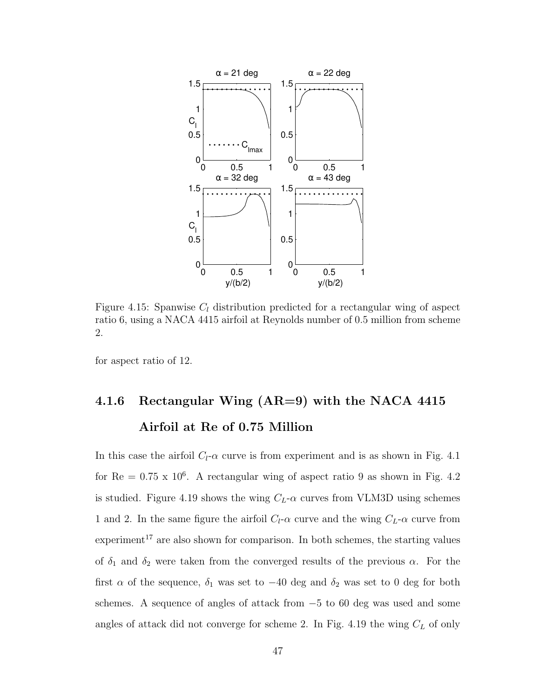

Figure 4.15: Spanwise  $C_l$  distribution predicted for a rectangular wing of aspect ratio 6, using a NACA 4415 airfoil at Reynolds number of 0.5 million from scheme 2.

for aspect ratio of 12.

# 4.1.6 Rectangular Wing  $(AR=9)$  with the NACA 4415 Airfoil at Re of 0.75 Million

In this case the airfoil  $C_l$ - $\alpha$  curve is from experiment and is as shown in Fig. 4.1 for  $Re = 0.75 \times 10^6$ . A rectangular wing of aspect ratio 9 as shown in Fig. 4.2 is studied. Figure 4.19 shows the wing  $C_L$ - $\alpha$  curves from VLM3D using schemes 1 and 2. In the same figure the airfoil  $C_l$ - $\alpha$  curve and the wing  $C_L$ - $\alpha$  curve from  $experiment<sup>17</sup>$  are also shown for comparison. In both schemes, the starting values of  $\delta_1$  and  $\delta_2$  were taken from the converged results of the previous  $\alpha$ . For the first  $\alpha$  of the sequence,  $\delta_1$  was set to -40 deg and  $\delta_2$  was set to 0 deg for both schemes. A sequence of angles of attack from  $-5$  to 60 deg was used and some angles of attack did not converge for scheme 2. In Fig. 4.19 the wing  $C_L$  of only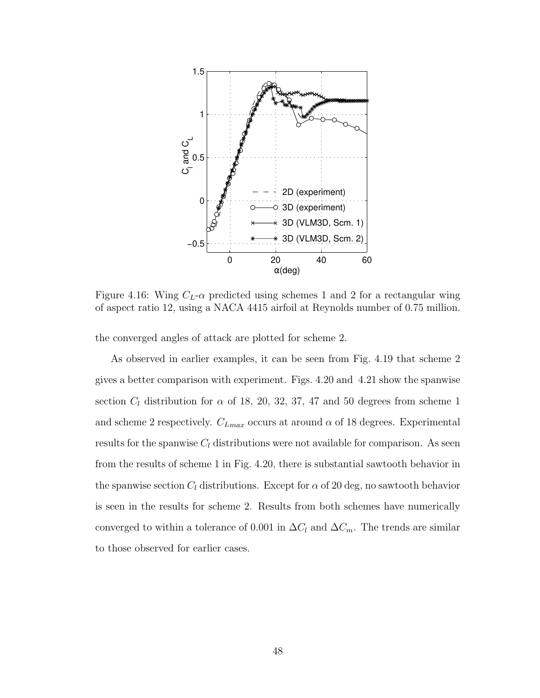

Figure 4.16: Wing  $C_L$ - $\alpha$  predicted using schemes 1 and 2 for a rectangular wing of aspect ratio 12, using a NACA 4415 airfoil at Reynolds number of 0.75 million.

the converged angles of attack are plotted for scheme 2.

As observed in earlier examples, it can be seen from Fig. 4.19 that scheme 2 gives a better comparison with experiment. Figs. 4.20 and 4.21 show the spanwise section  $C_l$  distribution for  $\alpha$  of 18, 20, 32, 37, 47 and 50 degrees from scheme 1 and scheme 2 respectively.  $C_{Lmax}$  occurs at around  $\alpha$  of 18 degrees. Experimental results for the spanwise  $C_l$  distributions were not available for comparison. As seen from the results of scheme 1 in Fig. 4.20, there is substantial sawtooth behavior in the spanwise section  $C_l$  distributions. Except for  $\alpha$  of 20 deg, no sawtooth behavior is seen in the results for scheme 2. Results from both schemes have numerically converged to within a tolerance of 0.001 in  $\Delta C_l$  and  $\Delta C_m$ . The trends are similar to those observed for earlier cases.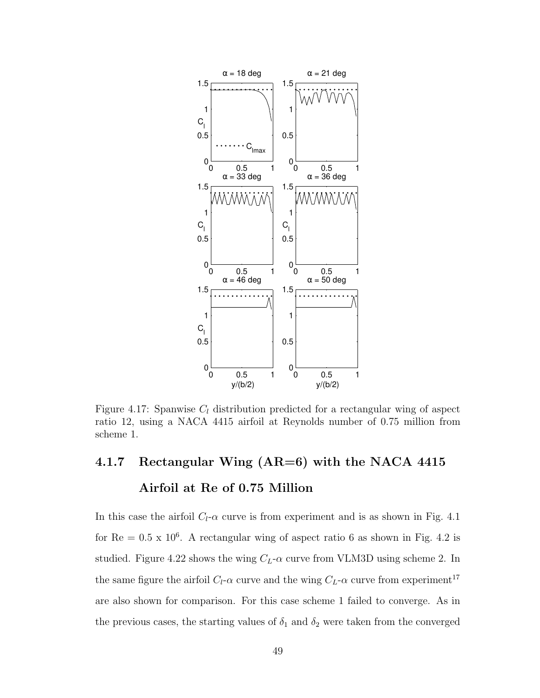

Figure 4.17: Spanwise  $C_l$  distribution predicted for a rectangular wing of aspect ratio 12, using a NACA 4415 airfoil at Reynolds number of 0.75 million from scheme 1.

# 4.1.7 Rectangular Wing (AR=6) with the NACA 4415 Airfoil at Re of 0.75 Million

In this case the airfoil  $C_l$ - $\alpha$  curve is from experiment and is as shown in Fig. 4.1 for  $Re = 0.5 \times 10^6$ . A rectangular wing of aspect ratio 6 as shown in Fig. 4.2 is studied. Figure 4.22 shows the wing  $C_L$ - $\alpha$  curve from VLM3D using scheme 2. In the same figure the airfoil  $C_l$ - $\alpha$  curve and the wing  $C_L$ - $\alpha$  curve from experiment<sup>17</sup> are also shown for comparison. For this case scheme 1 failed to converge. As in the previous cases, the starting values of  $\delta_1$  and  $\delta_2$  were taken from the converged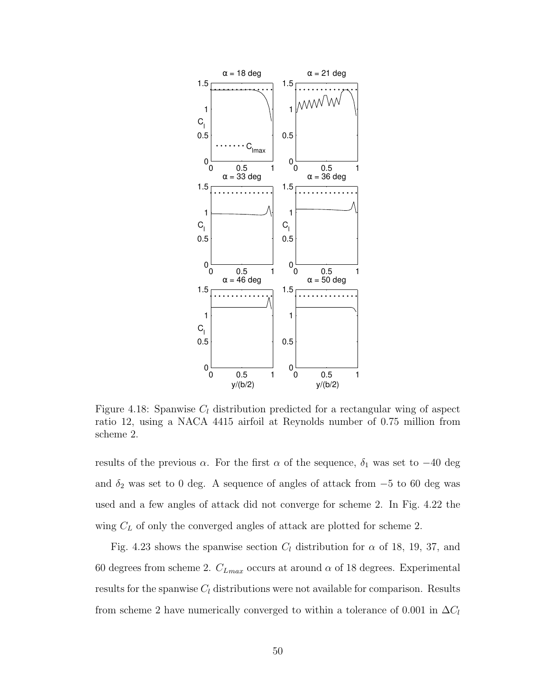

Figure 4.18: Spanwise  $C_l$  distribution predicted for a rectangular wing of aspect ratio 12, using a NACA 4415 airfoil at Reynolds number of 0.75 million from scheme 2.

results of the previous  $\alpha$ . For the first  $\alpha$  of the sequence,  $\delta_1$  was set to  $-40$  deg and  $\delta_2$  was set to 0 deg. A sequence of angles of attack from  $-5$  to 60 deg was used and a few angles of attack did not converge for scheme 2. In Fig. 4.22 the wing  $C_L$  of only the converged angles of attack are plotted for scheme 2.

Fig. 4.23 shows the spanwise section  $C_l$  distribution for  $\alpha$  of 18, 19, 37, and 60 degrees from scheme 2.  $C_{Lmax}$  occurs at around  $\alpha$  of 18 degrees. Experimental results for the spanwise  $C_l$  distributions were not available for comparison. Results from scheme 2 have numerically converged to within a tolerance of 0.001 in  $\Delta C_l$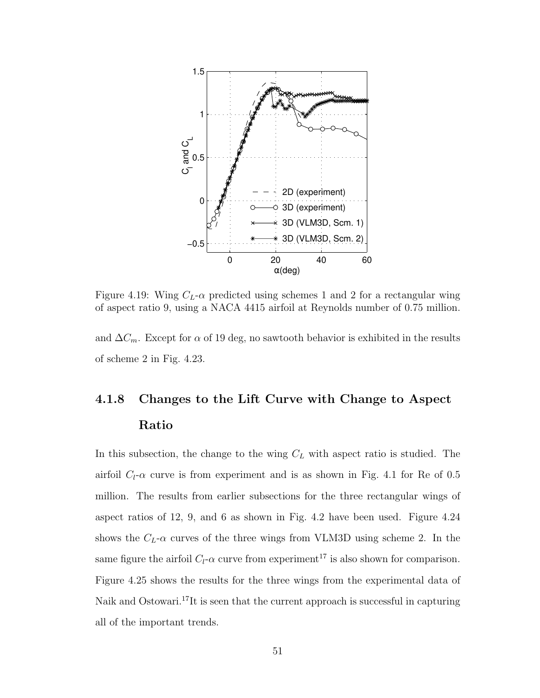

Figure 4.19: Wing  $C_L$ - $\alpha$  predicted using schemes 1 and 2 for a rectangular wing of aspect ratio 9, using a NACA 4415 airfoil at Reynolds number of 0.75 million.

and  $\Delta C_m$ . Except for  $\alpha$  of 19 deg, no sawtooth behavior is exhibited in the results of scheme 2 in Fig. 4.23.

# 4.1.8 Changes to the Lift Curve with Change to Aspect Ratio

In this subsection, the change to the wing  $C<sub>L</sub>$  with aspect ratio is studied. The airfoil  $C_l$ - $\alpha$  curve is from experiment and is as shown in Fig. 4.1 for Re of 0.5 million. The results from earlier subsections for the three rectangular wings of aspect ratios of 12, 9, and 6 as shown in Fig. 4.2 have been used. Figure 4.24 shows the  $C_L$ - $\alpha$  curves of the three wings from VLM3D using scheme 2. In the same figure the airfoil  $C_l$ - $\alpha$  curve from experiment<sup>17</sup> is also shown for comparison. Figure 4.25 shows the results for the three wings from the experimental data of Naik and Ostowari.<sup>17</sup>It is seen that the current approach is successful in capturing all of the important trends.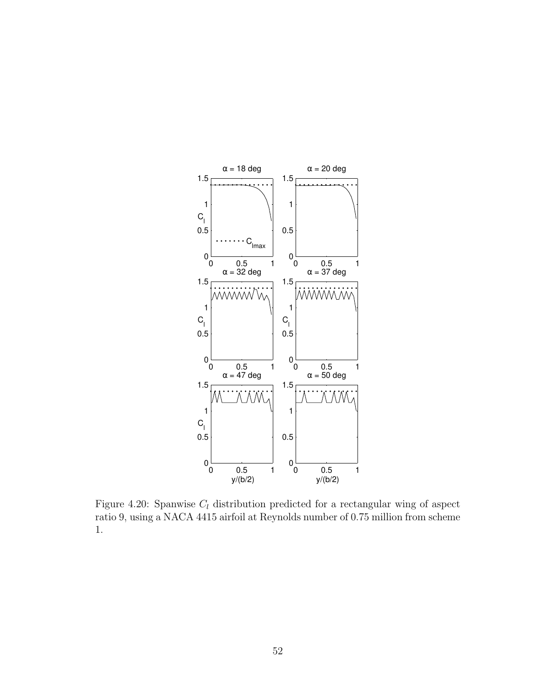

Figure 4.20: Spanwise  $C_l$  distribution predicted for a rectangular wing of aspect ratio 9, using a NACA 4415 airfoil at Reynolds number of 0.75 million from scheme 1.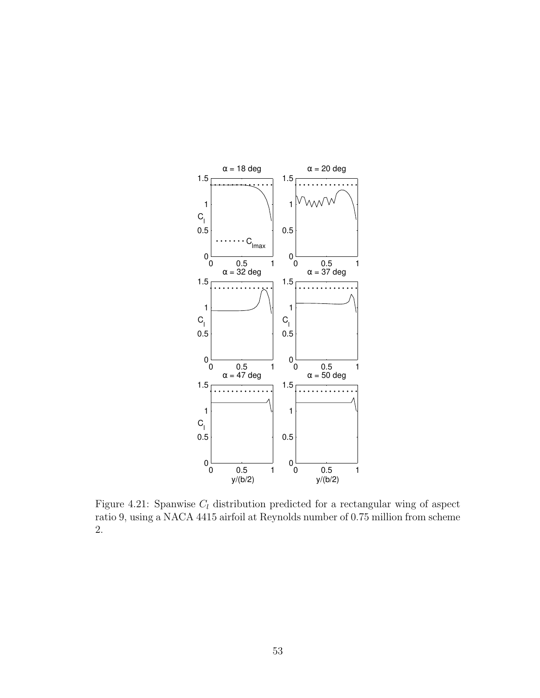

Figure 4.21: Spanwise  $C_l$  distribution predicted for a rectangular wing of aspect ratio 9, using a NACA 4415 airfoil at Reynolds number of 0.75 million from scheme 2.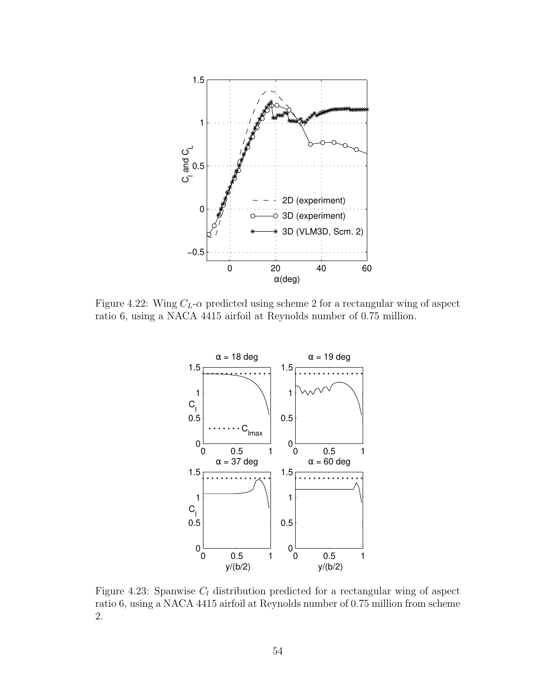

Figure 4.22: Wing  $C_L$ - $\alpha$  predicted using scheme 2 for a rectangular wing of aspect ratio 6, using a NACA 4415 airfoil at Reynolds number of 0.75 million.



Figure 4.23: Spanwise  $C_l$  distribution predicted for a rectangular wing of aspect ratio 6, using a NACA 4415 airfoil at Reynolds number of 0.75 million from scheme 2.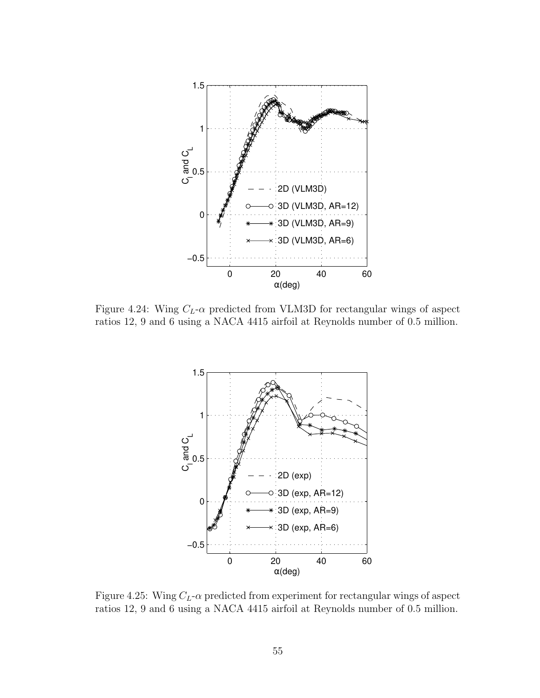

Figure 4.24: Wing  $C_L$ - $\alpha$  predicted from VLM3D for rectangular wings of aspect ratios 12, 9 and 6 using a NACA 4415 airfoil at Reynolds number of 0.5 million.



Figure 4.25: Wing  $C_L$ - $\alpha$  predicted from experiment for rectangular wings of aspect ratios 12, 9 and 6 using a NACA 4415 airfoil at Reynolds number of 0.5 million.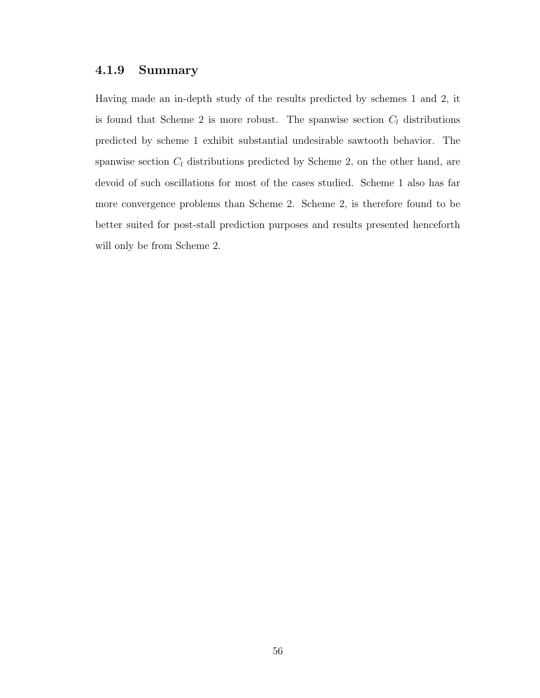#### 4.1.9 Summary

Having made an in-depth study of the results predicted by schemes 1 and 2, it is found that Scheme 2 is more robust. The spanwise section  $C_l$  distributions predicted by scheme 1 exhibit substantial undesirable sawtooth behavior. The spanwise section  $C_l$  distributions predicted by Scheme 2, on the other hand, are devoid of such oscillations for most of the cases studied. Scheme 1 also has far more convergence problems than Scheme 2. Scheme 2, is therefore found to be better suited for post-stall prediction purposes and results presented henceforth will only be from Scheme 2.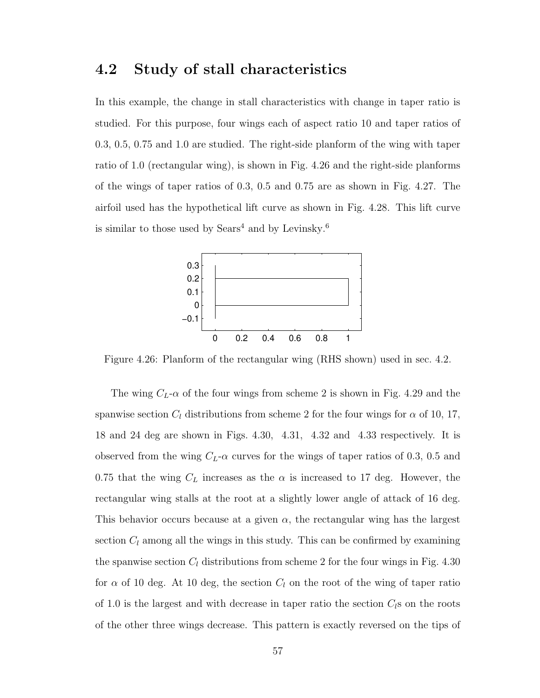## 4.2 Study of stall characteristics

In this example, the change in stall characteristics with change in taper ratio is studied. For this purpose, four wings each of aspect ratio 10 and taper ratios of 0.3, 0.5, 0.75 and 1.0 are studied. The right-side planform of the wing with taper ratio of 1.0 (rectangular wing), is shown in Fig. 4.26 and the right-side planforms of the wings of taper ratios of 0.3, 0.5 and 0.75 are as shown in Fig. 4.27. The airfoil used has the hypothetical lift curve as shown in Fig. 4.28. This lift curve is similar to those used by  $Sears<sup>4</sup>$  and by Levinsky.<sup>6</sup>



Figure 4.26: Planform of the rectangular wing (RHS shown) used in sec. 4.2.

The wing  $C_L$ - $\alpha$  of the four wings from scheme 2 is shown in Fig. 4.29 and the spanwise section  $C_l$  distributions from scheme 2 for the four wings for  $\alpha$  of 10, 17, 18 and 24 deg are shown in Figs. 4.30, 4.31, 4.32 and 4.33 respectively. It is observed from the wing  $C_L$ - $\alpha$  curves for the wings of taper ratios of 0.3, 0.5 and 0.75 that the wing  $C_L$  increases as the  $\alpha$  is increased to 17 deg. However, the rectangular wing stalls at the root at a slightly lower angle of attack of 16 deg. This behavior occurs because at a given  $\alpha$ , the rectangular wing has the largest section  $C_l$  among all the wings in this study. This can be confirmed by examining the spanwise section  $C_l$  distributions from scheme 2 for the four wings in Fig. 4.30 for  $\alpha$  of 10 deg. At 10 deg, the section  $C_l$  on the root of the wing of taper ratio of 1.0 is the largest and with decrease in taper ratio the section  $C_{l}$ s on the roots of the other three wings decrease. This pattern is exactly reversed on the tips of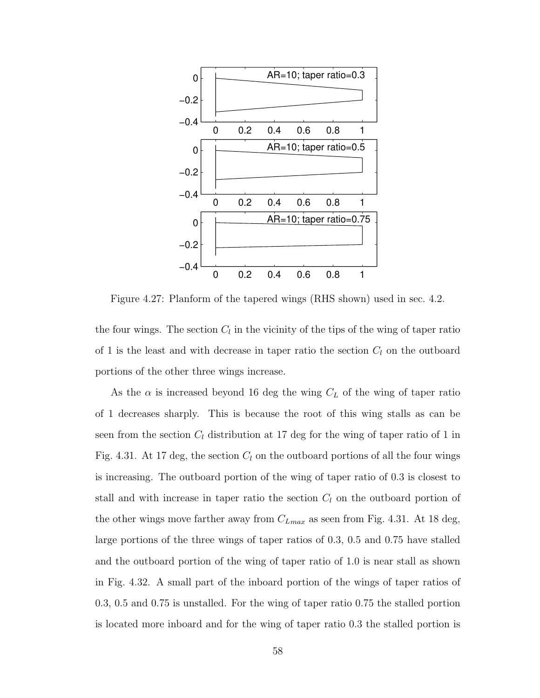

Figure 4.27: Planform of the tapered wings (RHS shown) used in sec. 4.2.

the four wings. The section  $C_l$  in the vicinity of the tips of the wing of taper ratio of 1 is the least and with decrease in taper ratio the section  $C_l$  on the outboard portions of the other three wings increase.

As the  $\alpha$  is increased beyond 16 deg the wing  $C<sub>L</sub>$  of the wing of taper ratio of 1 decreases sharply. This is because the root of this wing stalls as can be seen from the section  $C_l$  distribution at 17 deg for the wing of taper ratio of 1 in Fig. 4.31. At 17 deg, the section  $C_l$  on the outboard portions of all the four wings is increasing. The outboard portion of the wing of taper ratio of 0.3 is closest to stall and with increase in taper ratio the section  $C_l$  on the outboard portion of the other wings move farther away from  $C_{Lmax}$  as seen from Fig. 4.31. At 18 deg, large portions of the three wings of taper ratios of 0.3, 0.5 and 0.75 have stalled and the outboard portion of the wing of taper ratio of 1.0 is near stall as shown in Fig. 4.32. A small part of the inboard portion of the wings of taper ratios of 0.3, 0.5 and 0.75 is unstalled. For the wing of taper ratio 0.75 the stalled portion is located more inboard and for the wing of taper ratio 0.3 the stalled portion is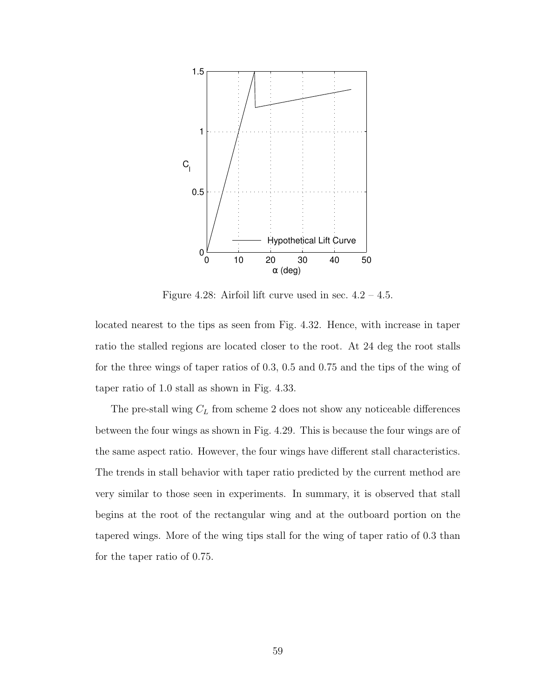

Figure 4.28: Airfoil lift curve used in sec.  $4.2 - 4.5$ .

located nearest to the tips as seen from Fig. 4.32. Hence, with increase in taper ratio the stalled regions are located closer to the root. At 24 deg the root stalls for the three wings of taper ratios of 0.3, 0.5 and 0.75 and the tips of the wing of taper ratio of 1.0 stall as shown in Fig. 4.33.

The pre-stall wing  $C_L$  from scheme 2 does not show any noticeable differences between the four wings as shown in Fig. 4.29. This is because the four wings are of the same aspect ratio. However, the four wings have different stall characteristics. The trends in stall behavior with taper ratio predicted by the current method are very similar to those seen in experiments. In summary, it is observed that stall begins at the root of the rectangular wing and at the outboard portion on the tapered wings. More of the wing tips stall for the wing of taper ratio of 0.3 than for the taper ratio of 0.75.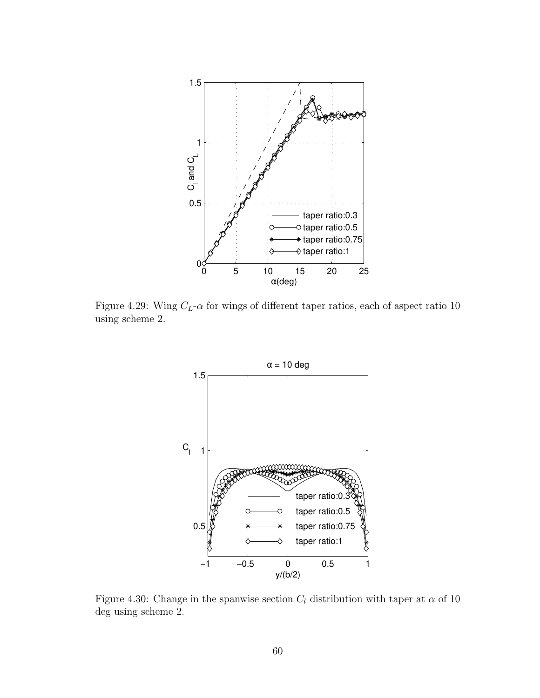

Figure 4.29: Wing  $C_L$ - $\alpha$  for wings of different taper ratios, each of aspect ratio 10 using scheme 2.



Figure 4.30: Change in the spanwise section  $C_l$  distribution with taper at  $\alpha$  of 10 deg using scheme 2.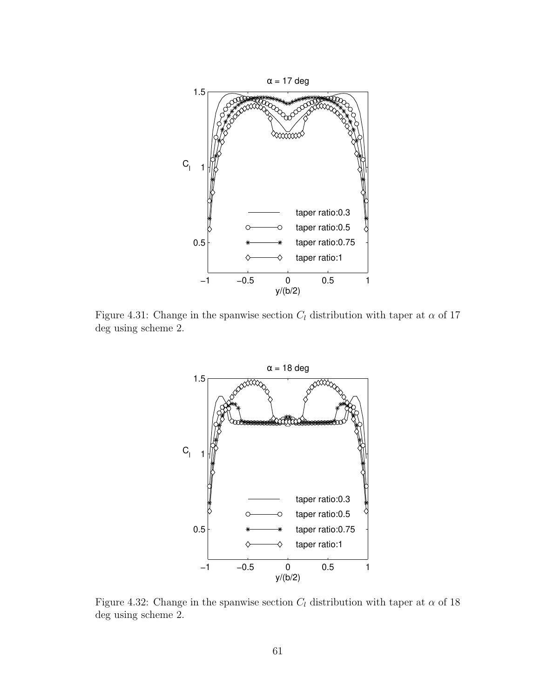

Figure 4.31: Change in the spanwise section  $C_l$  distribution with taper at  $\alpha$  of 17 deg using scheme 2.



Figure 4.32: Change in the spanwise section  $C_l$  distribution with taper at  $\alpha$  of 18 deg using scheme 2.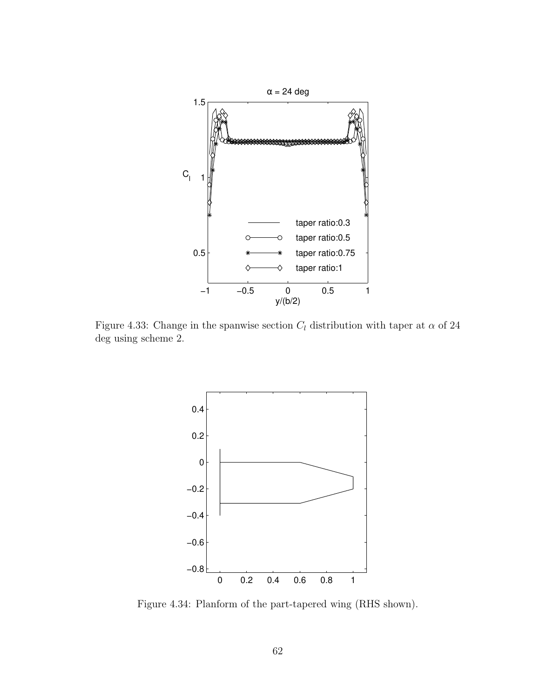

Figure 4.33: Change in the spanwise section  $C_l$  distribution with taper at  $\alpha$  of 24 deg using scheme 2.



Figure 4.34: Planform of the part-tapered wing (RHS shown).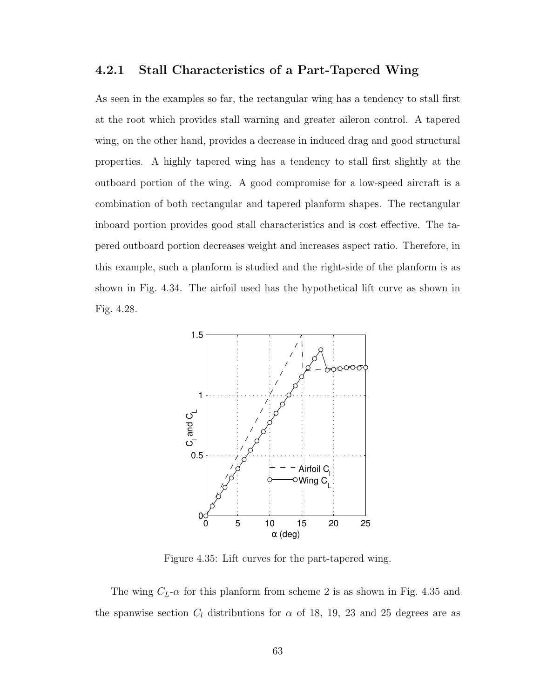#### 4.2.1 Stall Characteristics of a Part-Tapered Wing

As seen in the examples so far, the rectangular wing has a tendency to stall first at the root which provides stall warning and greater aileron control. A tapered wing, on the other hand, provides a decrease in induced drag and good structural properties. A highly tapered wing has a tendency to stall first slightly at the outboard portion of the wing. A good compromise for a low-speed aircraft is a combination of both rectangular and tapered planform shapes. The rectangular inboard portion provides good stall characteristics and is cost effective. The tapered outboard portion decreases weight and increases aspect ratio. Therefore, in this example, such a planform is studied and the right-side of the planform is as shown in Fig. 4.34. The airfoil used has the hypothetical lift curve as shown in Fig. 4.28.



Figure 4.35: Lift curves for the part-tapered wing.

The wing  $C_L$ - $\alpha$  for this planform from scheme 2 is as shown in Fig. 4.35 and the spanwise section  $C_l$  distributions for  $\alpha$  of 18, 19, 23 and 25 degrees are as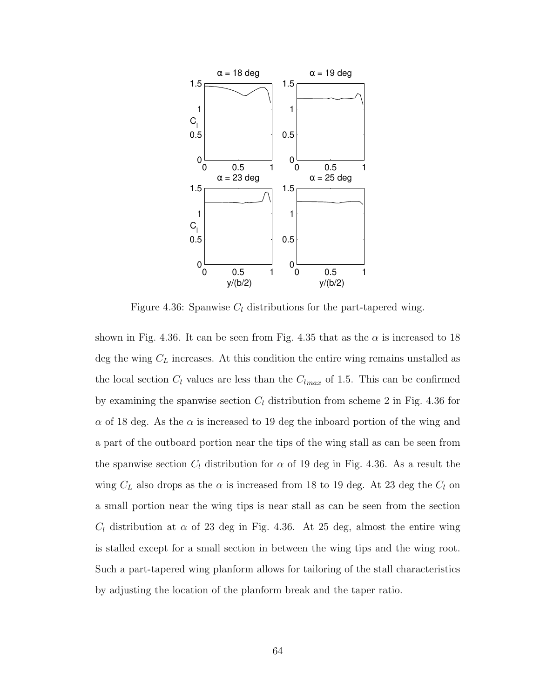

Figure 4.36: Spanwise  $C_l$  distributions for the part-tapered wing.

shown in Fig. 4.36. It can be seen from Fig. 4.35 that as the  $\alpha$  is increased to 18 deg the wing  $C_L$  increases. At this condition the entire wing remains unstalled as the local section  $C_l$  values are less than the  $C_{lmax}$  of 1.5. This can be confirmed by examining the spanwise section  $C_l$  distribution from scheme 2 in Fig. 4.36 for  $\alpha$  of 18 deg. As the  $\alpha$  is increased to 19 deg the inboard portion of the wing and a part of the outboard portion near the tips of the wing stall as can be seen from the spanwise section  $C_l$  distribution for  $\alpha$  of 19 deg in Fig. 4.36. As a result the wing  $C_L$  also drops as the  $\alpha$  is increased from 18 to 19 deg. At 23 deg the  $C_l$  on a small portion near the wing tips is near stall as can be seen from the section  $C_l$  distribution at  $\alpha$  of 23 deg in Fig. 4.36. At 25 deg, almost the entire wing is stalled except for a small section in between the wing tips and the wing root. Such a part-tapered wing planform allows for tailoring of the stall characteristics by adjusting the location of the planform break and the taper ratio.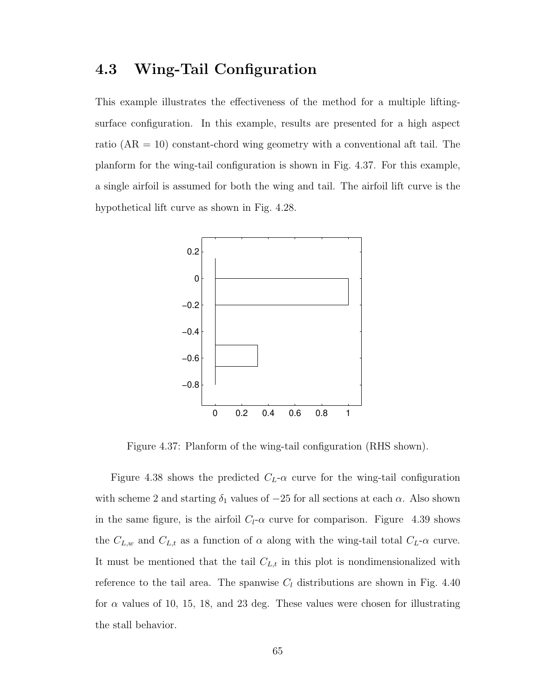### 4.3 Wing-Tail Configuration

This example illustrates the effectiveness of the method for a multiple liftingsurface configuration. In this example, results are presented for a high aspect ratio  $(AR = 10)$  constant-chord wing geometry with a conventional aft tail. The planform for the wing-tail configuration is shown in Fig. 4.37. For this example, a single airfoil is assumed for both the wing and tail. The airfoil lift curve is the hypothetical lift curve as shown in Fig. 4.28.



Figure 4.37: Planform of the wing-tail configuration (RHS shown).

Figure 4.38 shows the predicted  $C_L$ - $\alpha$  curve for the wing-tail configuration with scheme 2 and starting  $\delta_1$  values of  $-25$  for all sections at each  $\alpha$ . Also shown in the same figure, is the airfoil  $C_l$ - $\alpha$  curve for comparison. Figure 4.39 shows the  $C_{L,w}$  and  $C_{L,t}$  as a function of  $\alpha$  along with the wing-tail total  $C_{L}$ - $\alpha$  curve. It must be mentioned that the tail  $C_{L,t}$  in this plot is nondimensionalized with reference to the tail area. The spanwise  $C_l$  distributions are shown in Fig. 4.40 for  $\alpha$  values of 10, 15, 18, and 23 deg. These values were chosen for illustrating the stall behavior.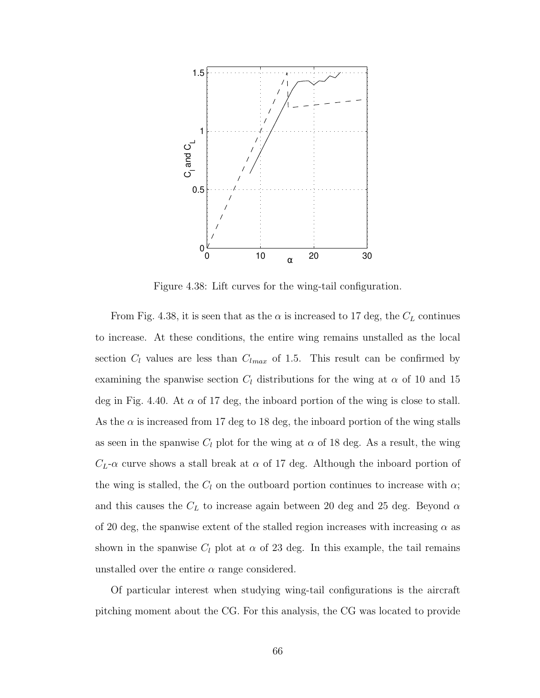

Figure 4.38: Lift curves for the wing-tail configuration.

From Fig. 4.38, it is seen that as the  $\alpha$  is increased to 17 deg, the  $C_L$  continues to increase. At these conditions, the entire wing remains unstalled as the local section  $C_l$  values are less than  $C_{lmax}$  of 1.5. This result can be confirmed by examining the spanwise section  $C_l$  distributions for the wing at  $\alpha$  of 10 and 15 deg in Fig. 4.40. At  $\alpha$  of 17 deg, the inboard portion of the wing is close to stall. As the  $\alpha$  is increased from 17 deg to 18 deg, the inboard portion of the wing stalls as seen in the spanwise  $C_l$  plot for the wing at  $\alpha$  of 18 deg. As a result, the wing  $C_L$ - $\alpha$  curve shows a stall break at  $\alpha$  of 17 deg. Although the inboard portion of the wing is stalled, the  $C_l$  on the outboard portion continues to increase with  $\alpha$ ; and this causes the  $C_L$  to increase again between 20 deg and 25 deg. Beyond  $\alpha$ of 20 deg, the spanwise extent of the stalled region increases with increasing  $\alpha$  as shown in the spanwise  $C_l$  plot at  $\alpha$  of 23 deg. In this example, the tail remains unstalled over the entire  $\alpha$  range considered.

Of particular interest when studying wing-tail configurations is the aircraft pitching moment about the CG. For this analysis, the CG was located to provide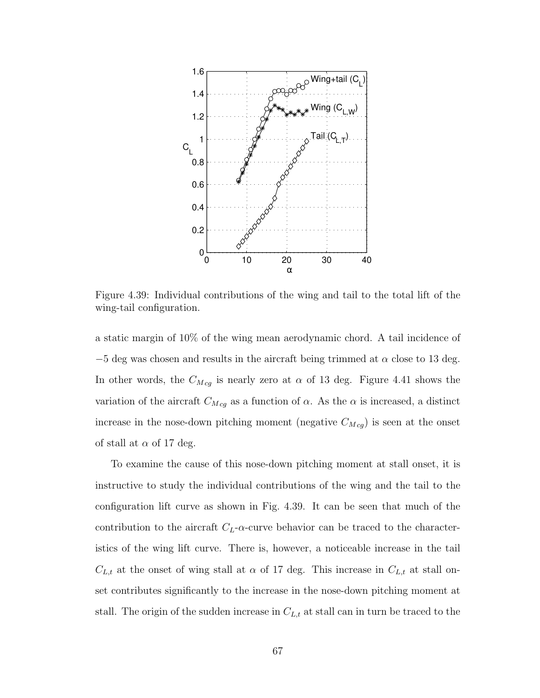

Figure 4.39: Individual contributions of the wing and tail to the total lift of the wing-tail configuration.

a static margin of 10% of the wing mean aerodynamic chord. A tail incidence of  $-5$  deg was chosen and results in the aircraft being trimmed at  $\alpha$  close to 13 deg. In other words, the  $C_{Mcg}$  is nearly zero at  $\alpha$  of 13 deg. Figure 4.41 shows the variation of the aircraft  $C_{Mcg}$  as a function of  $\alpha$ . As the  $\alpha$  is increased, a distinct increase in the nose-down pitching moment (negative  $C_{Mcg}$ ) is seen at the onset of stall at  $\alpha$  of 17 deg.

To examine the cause of this nose-down pitching moment at stall onset, it is instructive to study the individual contributions of the wing and the tail to the configuration lift curve as shown in Fig. 4.39. It can be seen that much of the contribution to the aircraft  $C<sub>L</sub>$ - $\alpha$ -curve behavior can be traced to the characteristics of the wing lift curve. There is, however, a noticeable increase in the tail  $C_{L,t}$  at the onset of wing stall at  $\alpha$  of 17 deg. This increase in  $C_{L,t}$  at stall onset contributes significantly to the increase in the nose-down pitching moment at stall. The origin of the sudden increase in  $C_{L,t}$  at stall can in turn be traced to the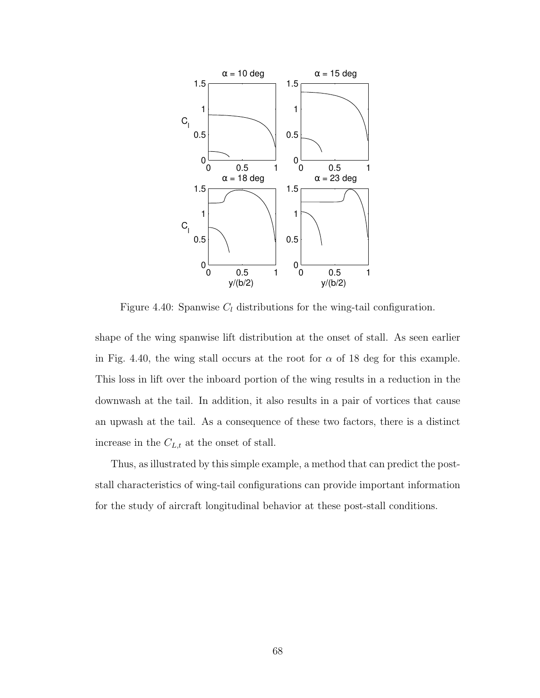

Figure 4.40: Spanwise  $C_l$  distributions for the wing-tail configuration.

shape of the wing spanwise lift distribution at the onset of stall. As seen earlier in Fig. 4.40, the wing stall occurs at the root for  $\alpha$  of 18 deg for this example. This loss in lift over the inboard portion of the wing results in a reduction in the downwash at the tail. In addition, it also results in a pair of vortices that cause an upwash at the tail. As a consequence of these two factors, there is a distinct increase in the  $C_{L,t}$  at the onset of stall.

Thus, as illustrated by this simple example, a method that can predict the poststall characteristics of wing-tail configurations can provide important information for the study of aircraft longitudinal behavior at these post-stall conditions.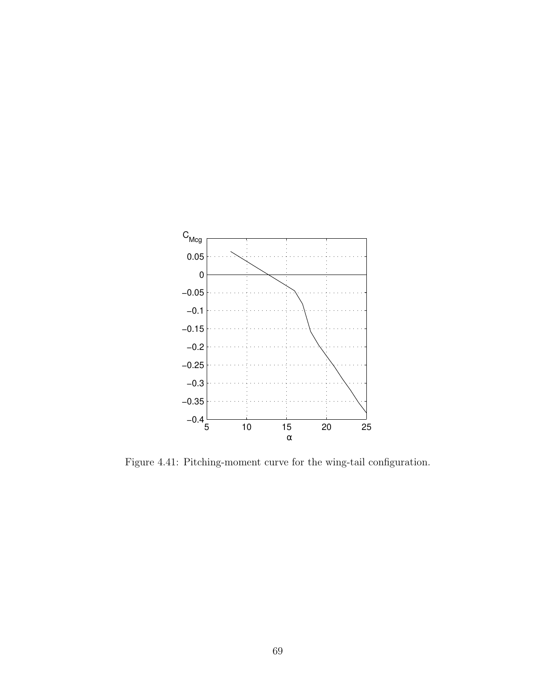

Figure 4.41: Pitching-moment curve for the wing-tail configuration.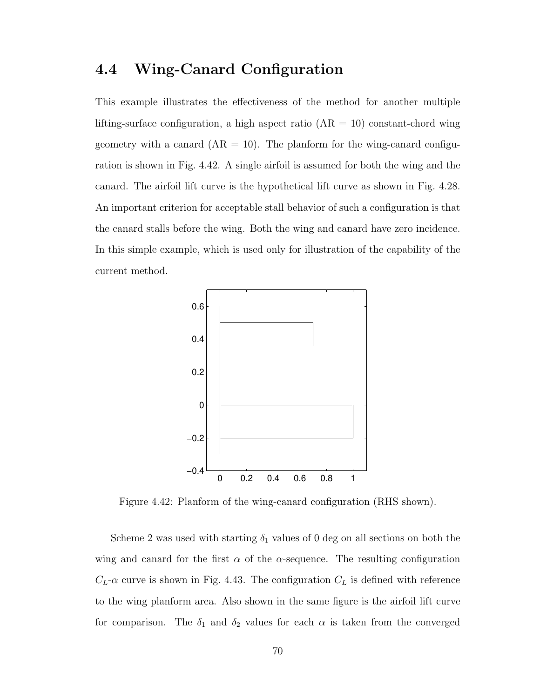### 4.4 Wing-Canard Configuration

This example illustrates the effectiveness of the method for another multiple lifting-surface configuration, a high aspect ratio  $(AR = 10)$  constant-chord wing geometry with a canard  $(AR = 10)$ . The planform for the wing-canard configuration is shown in Fig. 4.42. A single airfoil is assumed for both the wing and the canard. The airfoil lift curve is the hypothetical lift curve as shown in Fig. 4.28. An important criterion for acceptable stall behavior of such a configuration is that the canard stalls before the wing. Both the wing and canard have zero incidence. In this simple example, which is used only for illustration of the capability of the current method.



Figure 4.42: Planform of the wing-canard configuration (RHS shown).

Scheme 2 was used with starting  $\delta_1$  values of 0 deg on all sections on both the wing and canard for the first  $\alpha$  of the  $\alpha$ -sequence. The resulting configuration  $C_L$ - $\alpha$  curve is shown in Fig. 4.43. The configuration  $C_L$  is defined with reference to the wing planform area. Also shown in the same figure is the airfoil lift curve for comparison. The  $\delta_1$  and  $\delta_2$  values for each  $\alpha$  is taken from the converged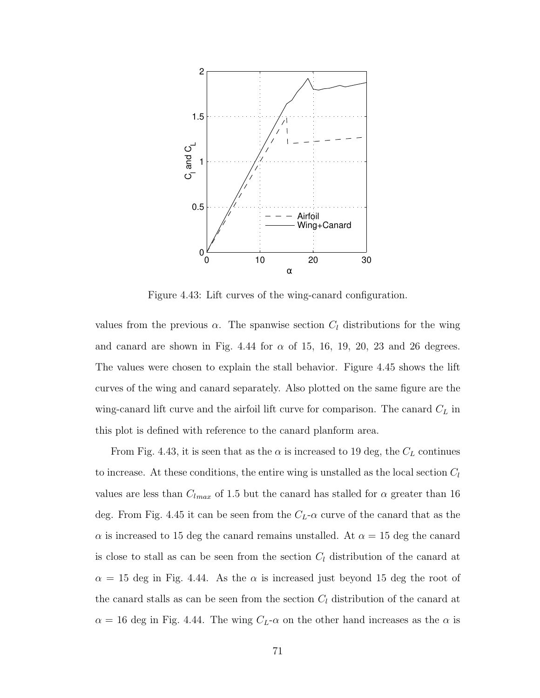

Figure 4.43: Lift curves of the wing-canard configuration.

values from the previous  $\alpha$ . The spanwise section  $C_l$  distributions for the wing and canard are shown in Fig. 4.44 for  $\alpha$  of 15, 16, 19, 20, 23 and 26 degrees. The values were chosen to explain the stall behavior. Figure 4.45 shows the lift curves of the wing and canard separately. Also plotted on the same figure are the wing-canard lift curve and the airfoil lift curve for comparison. The canard  $C_L$  in this plot is defined with reference to the canard planform area.

From Fig. 4.43, it is seen that as the  $\alpha$  is increased to 19 deg, the  $C_L$  continues to increase. At these conditions, the entire wing is unstalled as the local section  $C_l$ values are less than  $C_{lmax}$  of 1.5 but the canard has stalled for  $\alpha$  greater than 16 deg. From Fig. 4.45 it can be seen from the  $C_L$ - $\alpha$  curve of the canard that as the  $\alpha$  is increased to 15 deg the canard remains unstalled. At  $\alpha = 15$  deg the canard is close to stall as can be seen from the section  $C_l$  distribution of the canard at  $\alpha = 15$  deg in Fig. 4.44. As the  $\alpha$  is increased just beyond 15 deg the root of the canard stalls as can be seen from the section  $C_l$  distribution of the canard at  $\alpha = 16$  deg in Fig. 4.44. The wing  $C_L$ - $\alpha$  on the other hand increases as the  $\alpha$  is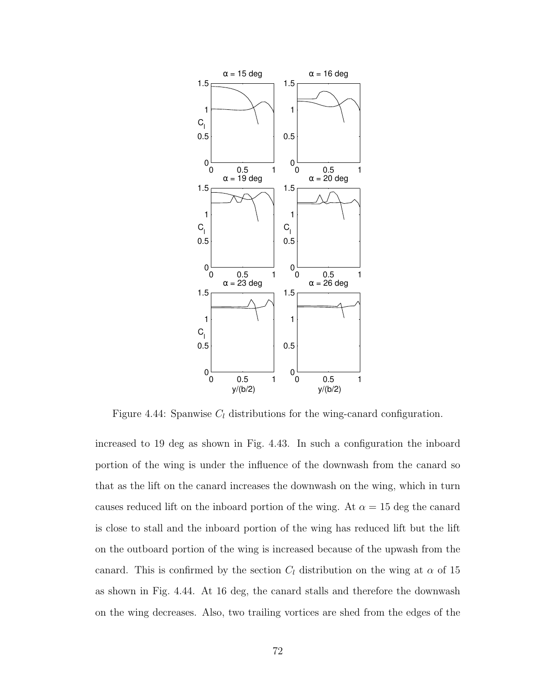

Figure 4.44: Spanwise  $C_l$  distributions for the wing-canard configuration.

increased to 19 deg as shown in Fig. 4.43. In such a configuration the inboard portion of the wing is under the influence of the downwash from the canard so that as the lift on the canard increases the downwash on the wing, which in turn causes reduced lift on the inboard portion of the wing. At  $\alpha = 15$  deg the canard is close to stall and the inboard portion of the wing has reduced lift but the lift on the outboard portion of the wing is increased because of the upwash from the canard. This is confirmed by the section  $C_l$  distribution on the wing at  $\alpha$  of 15 as shown in Fig. 4.44. At 16 deg, the canard stalls and therefore the downwash on the wing decreases. Also, two trailing vortices are shed from the edges of the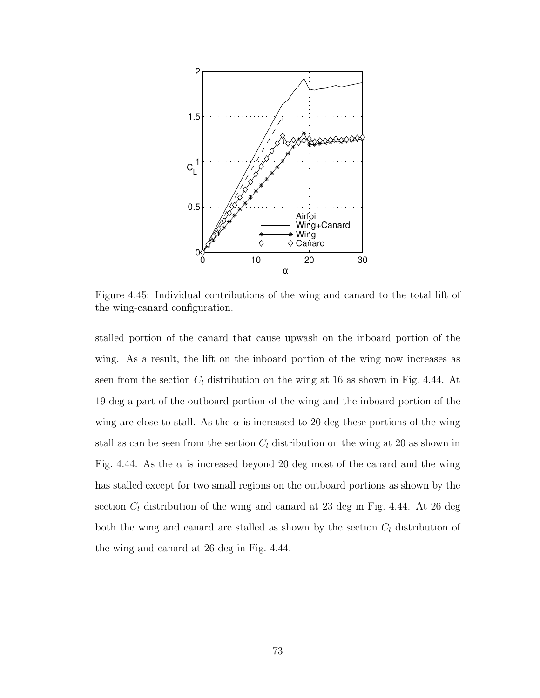

Figure 4.45: Individual contributions of the wing and canard to the total lift of the wing-canard configuration.

stalled portion of the canard that cause upwash on the inboard portion of the wing. As a result, the lift on the inboard portion of the wing now increases as seen from the section  $C_l$  distribution on the wing at 16 as shown in Fig. 4.44. At 19 deg a part of the outboard portion of the wing and the inboard portion of the wing are close to stall. As the  $\alpha$  is increased to 20 deg these portions of the wing stall as can be seen from the section  $C_l$  distribution on the wing at 20 as shown in Fig. 4.44. As the  $\alpha$  is increased beyond 20 deg most of the canard and the wing has stalled except for two small regions on the outboard portions as shown by the section  $C_l$  distribution of the wing and canard at 23 deg in Fig. 4.44. At 26 deg both the wing and canard are stalled as shown by the section  $C_l$  distribution of the wing and canard at 26 deg in Fig. 4.44.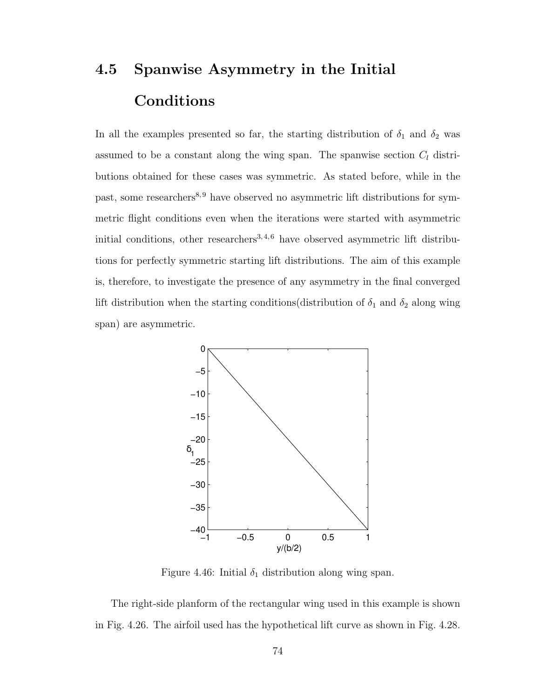### 4.5 Spanwise Asymmetry in the Initial Conditions

In all the examples presented so far, the starting distribution of  $\delta_1$  and  $\delta_2$  was assumed to be a constant along the wing span. The spanwise section  $C<sub>l</sub>$  distributions obtained for these cases was symmetric. As stated before, while in the past, some researchers<sup>8, 9</sup> have observed no asymmetric lift distributions for symmetric flight conditions even when the iterations were started with asymmetric initial conditions, other researchers<sup>3,4,6</sup> have observed asymmetric lift distributions for perfectly symmetric starting lift distributions. The aim of this example is, therefore, to investigate the presence of any asymmetry in the final converged lift distribution when the starting conditions (distribution of  $\delta_1$  and  $\delta_2$  along wing span) are asymmetric.



Figure 4.46: Initial  $\delta_1$  distribution along wing span.

The right-side planform of the rectangular wing used in this example is shown in Fig. 4.26. The airfoil used has the hypothetical lift curve as shown in Fig. 4.28.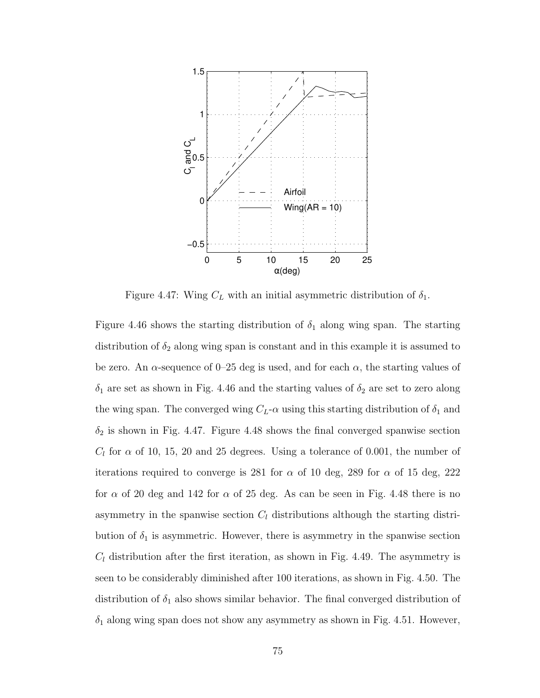

Figure 4.47: Wing  $C_L$  with an initial asymmetric distribution of  $\delta_1$ .

Figure 4.46 shows the starting distribution of  $\delta_1$  along wing span. The starting distribution of  $\delta_2$  along wing span is constant and in this example it is assumed to be zero. An  $\alpha$ -sequence of 0–25 deg is used, and for each  $\alpha$ , the starting values of  $\delta_1$  are set as shown in Fig. 4.46 and the starting values of  $\delta_2$  are set to zero along the wing span. The converged wing  $C_L$ - $\alpha$  using this starting distribution of  $\delta_1$  and  $\delta_2$  is shown in Fig. 4.47. Figure 4.48 shows the final converged spanwise section  $C_l$  for  $\alpha$  of 10, 15, 20 and 25 degrees. Using a tolerance of 0.001, the number of iterations required to converge is 281 for  $\alpha$  of 10 deg, 289 for  $\alpha$  of 15 deg, 222 for  $\alpha$  of 20 deg and 142 for  $\alpha$  of 25 deg. As can be seen in Fig. 4.48 there is no asymmetry in the spanwise section  $C_l$  distributions although the starting distribution of  $\delta_1$  is asymmetric. However, there is asymmetry in the spanwise section  $C_l$  distribution after the first iteration, as shown in Fig. 4.49. The asymmetry is seen to be considerably diminished after 100 iterations, as shown in Fig. 4.50. The distribution of  $\delta_1$  also shows similar behavior. The final converged distribution of  $\delta_1$  along wing span does not show any asymmetry as shown in Fig. 4.51. However,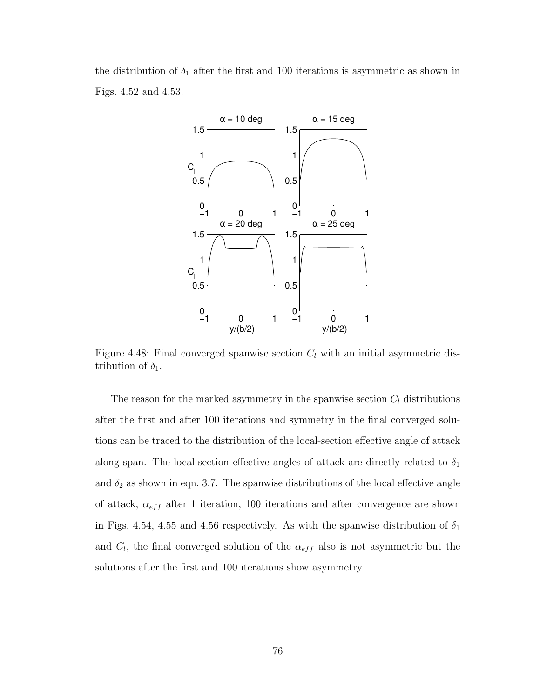the distribution of  $\delta_1$  after the first and 100 iterations is asymmetric as shown in Figs. 4.52 and 4.53.



Figure 4.48: Final converged spanwise section  $C_l$  with an initial asymmetric distribution of  $\delta_1$ .

The reason for the marked asymmetry in the spanwise section  $C_l$  distributions after the first and after 100 iterations and symmetry in the final converged solutions can be traced to the distribution of the local-section effective angle of attack along span. The local-section effective angles of attack are directly related to  $\delta_1$ and  $\delta_2$  as shown in eqn. 3.7. The spanwise distributions of the local effective angle of attack,  $\alpha_{eff}$  after 1 iteration, 100 iterations and after convergence are shown in Figs. 4.54, 4.55 and 4.56 respectively. As with the spanwise distribution of  $\delta_1$ and  $C_l$ , the final converged solution of the  $\alpha_{eff}$  also is not asymmetric but the solutions after the first and 100 iterations show asymmetry.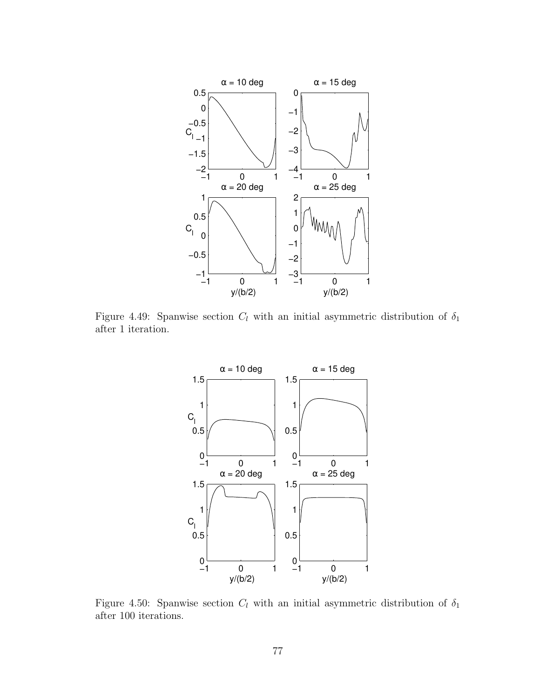

Figure 4.49: Spanwise section  $C_l$  with an initial asymmetric distribution of  $\delta_1$ after 1 iteration.



Figure 4.50: Spanwise section  $C_l$  with an initial asymmetric distribution of  $\delta_1$ after 100 iterations.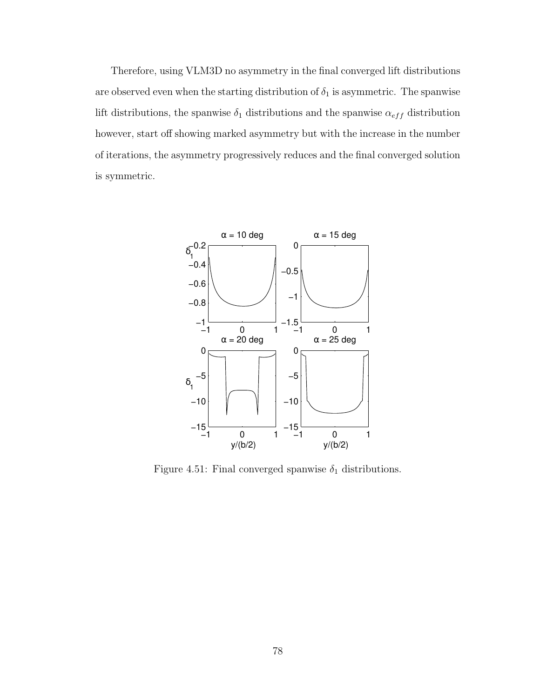Therefore, using VLM3D no asymmetry in the final converged lift distributions are observed even when the starting distribution of  $\delta_1$  is asymmetric. The spanwise lift distributions, the spanwise  $\delta_1$  distributions and the spanwise  $\alpha_{eff}$  distribution however, start off showing marked asymmetry but with the increase in the number of iterations, the asymmetry progressively reduces and the final converged solution is symmetric.



Figure 4.51: Final converged spanwise  $\delta_1$  distributions.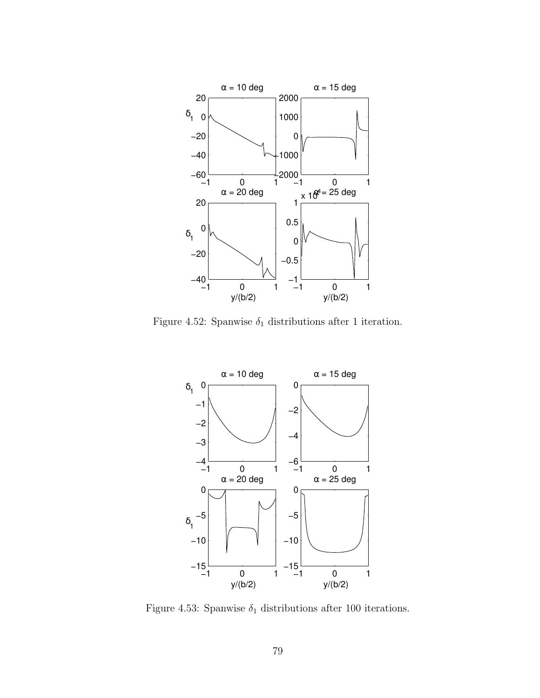

Figure 4.52: Spanwise  $\delta_1$  distributions after 1 iteration.



Figure 4.53: Spanwise  $\delta_1$  distributions after 100 iterations.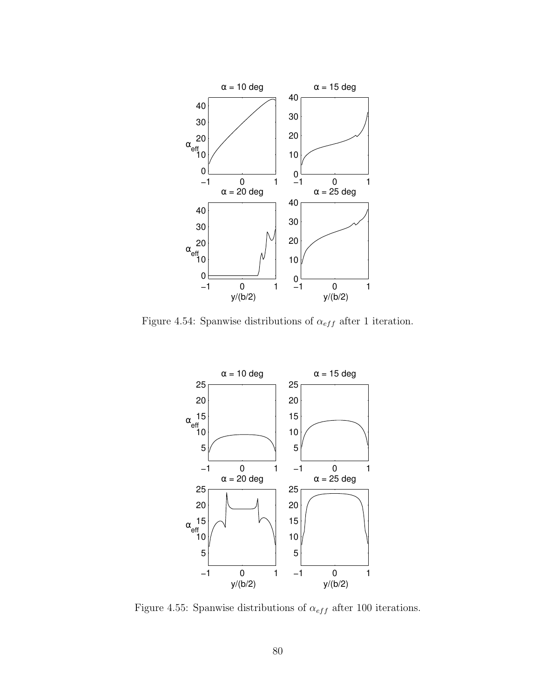

Figure 4.54: Spanwise distributions of  $\alpha_{eff}$  after 1 iteration.



Figure 4.55: Spanwise distributions of  $\alpha_{eff}$  after 100 iterations.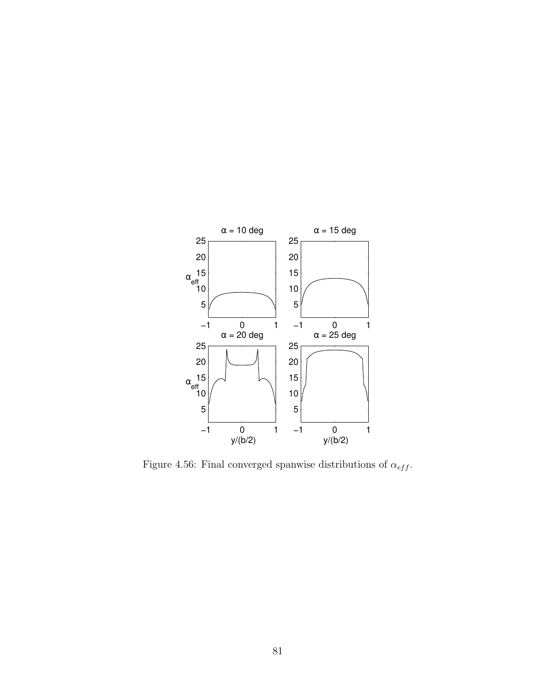

Figure 4.56: Final converged spanwise distributions of  $\alpha_{eff}.$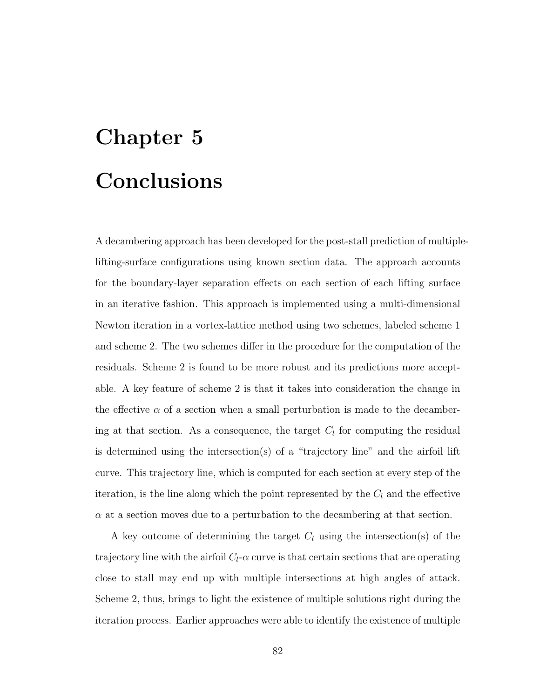## Chapter 5 Conclusions

A decambering approach has been developed for the post-stall prediction of multiplelifting-surface configurations using known section data. The approach accounts for the boundary-layer separation effects on each section of each lifting surface in an iterative fashion. This approach is implemented using a multi-dimensional Newton iteration in a vortex-lattice method using two schemes, labeled scheme 1 and scheme 2. The two schemes differ in the procedure for the computation of the residuals. Scheme 2 is found to be more robust and its predictions more acceptable. A key feature of scheme 2 is that it takes into consideration the change in the effective  $\alpha$  of a section when a small perturbation is made to the decambering at that section. As a consequence, the target  $C_l$  for computing the residual is determined using the intersection(s) of a "trajectory line" and the airfoil lift curve. This trajectory line, which is computed for each section at every step of the iteration, is the line along which the point represented by the  $C_l$  and the effective  $\alpha$  at a section moves due to a perturbation to the decambering at that section.

A key outcome of determining the target  $C_l$  using the intersection(s) of the trajectory line with the airfoil  $C_l$ - $\alpha$  curve is that certain sections that are operating close to stall may end up with multiple intersections at high angles of attack. Scheme 2, thus, brings to light the existence of multiple solutions right during the iteration process. Earlier approaches were able to identify the existence of multiple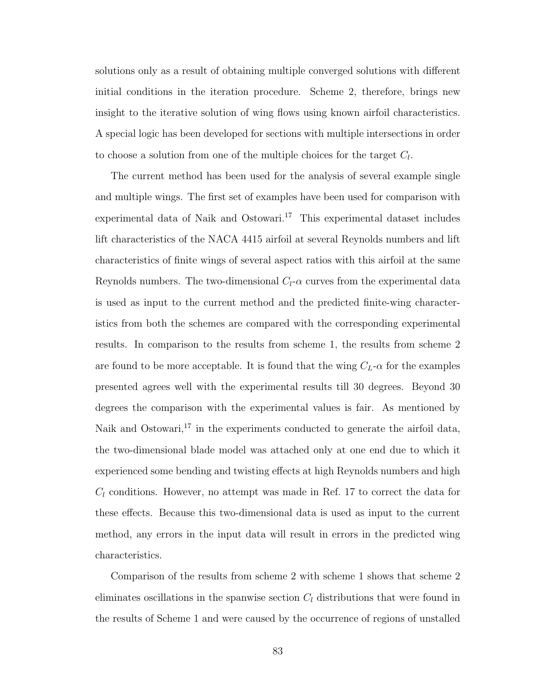solutions only as a result of obtaining multiple converged solutions with different initial conditions in the iteration procedure. Scheme 2, therefore, brings new insight to the iterative solution of wing flows using known airfoil characteristics. A special logic has been developed for sections with multiple intersections in order to choose a solution from one of the multiple choices for the target  $C_l$ .

The current method has been used for the analysis of several example single and multiple wings. The first set of examples have been used for comparison with experimental data of Naik and Ostowari.<sup>17</sup> This experimental dataset includes lift characteristics of the NACA 4415 airfoil at several Reynolds numbers and lift characteristics of finite wings of several aspect ratios with this airfoil at the same Reynolds numbers. The two-dimensional  $C_l$ - $\alpha$  curves from the experimental data is used as input to the current method and the predicted finite-wing characteristics from both the schemes are compared with the corresponding experimental results. In comparison to the results from scheme 1, the results from scheme 2 are found to be more acceptable. It is found that the wing  $C_L$ - $\alpha$  for the examples presented agrees well with the experimental results till 30 degrees. Beyond 30 degrees the comparison with the experimental values is fair. As mentioned by Naik and Ostowari, $17$  in the experiments conducted to generate the airfoil data, the two-dimensional blade model was attached only at one end due to which it experienced some bending and twisting effects at high Reynolds numbers and high  $C_l$  conditions. However, no attempt was made in Ref. 17 to correct the data for these effects. Because this two-dimensional data is used as input to the current method, any errors in the input data will result in errors in the predicted wing characteristics.

Comparison of the results from scheme 2 with scheme 1 shows that scheme 2 eliminates oscillations in the spanwise section  $C_l$  distributions that were found in the results of Scheme 1 and were caused by the occurrence of regions of unstalled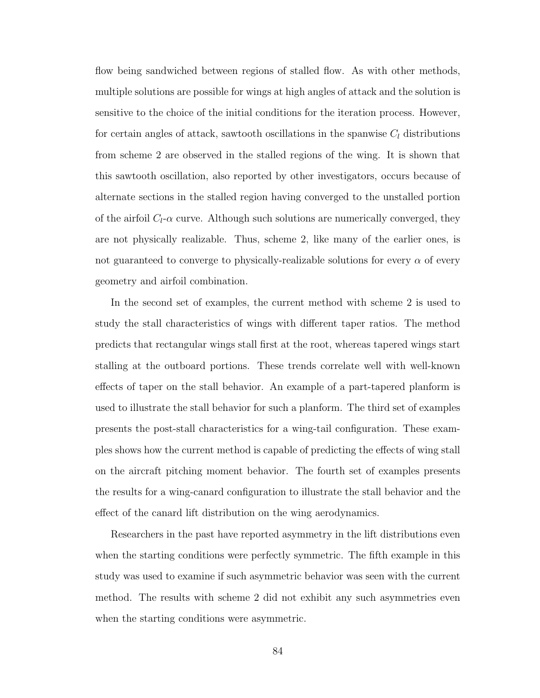flow being sandwiched between regions of stalled flow. As with other methods, multiple solutions are possible for wings at high angles of attack and the solution is sensitive to the choice of the initial conditions for the iteration process. However, for certain angles of attack, sawtooth oscillations in the spanwise  $C_l$  distributions from scheme 2 are observed in the stalled regions of the wing. It is shown that this sawtooth oscillation, also reported by other investigators, occurs because of alternate sections in the stalled region having converged to the unstalled portion of the airfoil  $C_l$ - $\alpha$  curve. Although such solutions are numerically converged, they are not physically realizable. Thus, scheme 2, like many of the earlier ones, is not guaranteed to converge to physically-realizable solutions for every  $\alpha$  of every geometry and airfoil combination.

In the second set of examples, the current method with scheme 2 is used to study the stall characteristics of wings with different taper ratios. The method predicts that rectangular wings stall first at the root, whereas tapered wings start stalling at the outboard portions. These trends correlate well with well-known effects of taper on the stall behavior. An example of a part-tapered planform is used to illustrate the stall behavior for such a planform. The third set of examples presents the post-stall characteristics for a wing-tail configuration. These examples shows how the current method is capable of predicting the effects of wing stall on the aircraft pitching moment behavior. The fourth set of examples presents the results for a wing-canard configuration to illustrate the stall behavior and the effect of the canard lift distribution on the wing aerodynamics.

Researchers in the past have reported asymmetry in the lift distributions even when the starting conditions were perfectly symmetric. The fifth example in this study was used to examine if such asymmetric behavior was seen with the current method. The results with scheme 2 did not exhibit any such asymmetries even when the starting conditions were asymmetric.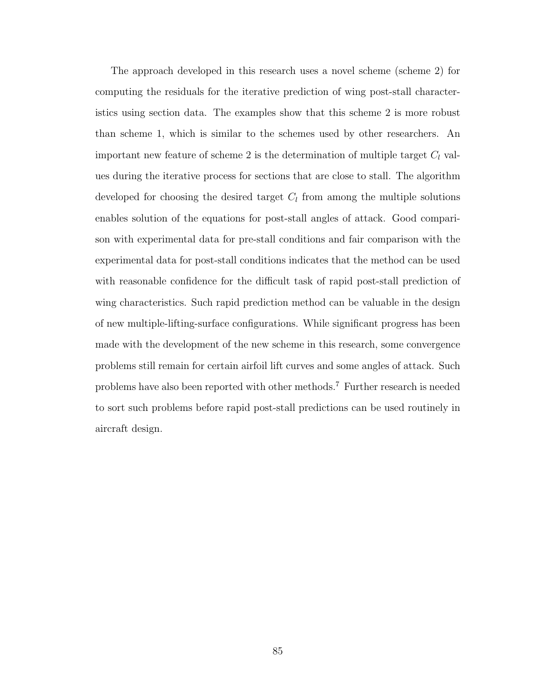The approach developed in this research uses a novel scheme (scheme 2) for computing the residuals for the iterative prediction of wing post-stall characteristics using section data. The examples show that this scheme 2 is more robust than scheme 1, which is similar to the schemes used by other researchers. An important new feature of scheme 2 is the determination of multiple target  $C_l$  values during the iterative process for sections that are close to stall. The algorithm developed for choosing the desired target  $C_l$  from among the multiple solutions enables solution of the equations for post-stall angles of attack. Good comparison with experimental data for pre-stall conditions and fair comparison with the experimental data for post-stall conditions indicates that the method can be used with reasonable confidence for the difficult task of rapid post-stall prediction of wing characteristics. Such rapid prediction method can be valuable in the design of new multiple-lifting-surface configurations. While significant progress has been made with the development of the new scheme in this research, some convergence problems still remain for certain airfoil lift curves and some angles of attack. Such problems have also been reported with other methods.<sup>7</sup> Further research is needed to sort such problems before rapid post-stall predictions can be used routinely in aircraft design.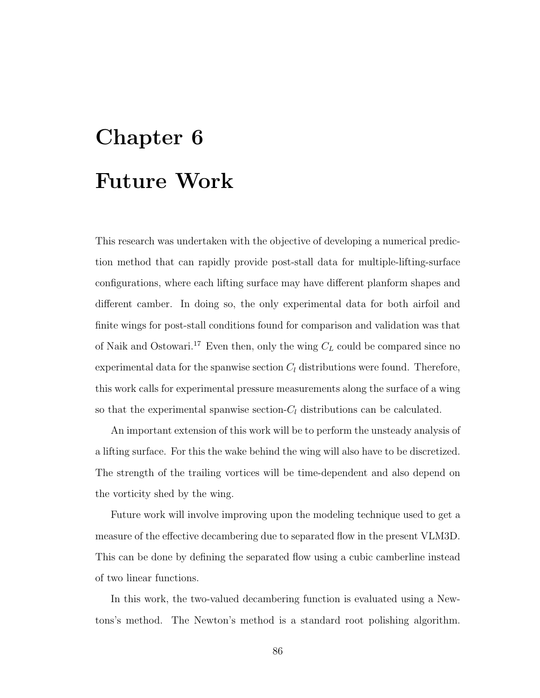# Chapter 6 Future Work

This research was undertaken with the objective of developing a numerical prediction method that can rapidly provide post-stall data for multiple-lifting-surface configurations, where each lifting surface may have different planform shapes and different camber. In doing so, the only experimental data for both airfoil and finite wings for post-stall conditions found for comparison and validation was that of Naik and Ostowari.<sup>17</sup> Even then, only the wing  $C_L$  could be compared since no experimental data for the spanwise section  $C_l$  distributions were found. Therefore, this work calls for experimental pressure measurements along the surface of a wing so that the experimental spanwise section- $C_l$  distributions can be calculated.

An important extension of this work will be to perform the unsteady analysis of a lifting surface. For this the wake behind the wing will also have to be discretized. The strength of the trailing vortices will be time-dependent and also depend on the vorticity shed by the wing.

Future work will involve improving upon the modeling technique used to get a measure of the effective decambering due to separated flow in the present VLM3D. This can be done by defining the separated flow using a cubic camberline instead of two linear functions.

In this work, the two-valued decambering function is evaluated using a Newtons's method. The Newton's method is a standard root polishing algorithm.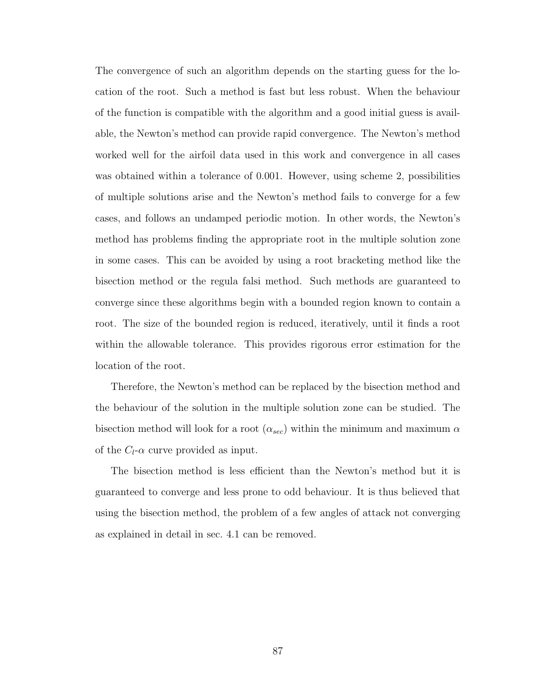The convergence of such an algorithm depends on the starting guess for the location of the root. Such a method is fast but less robust. When the behaviour of the function is compatible with the algorithm and a good initial guess is available, the Newton's method can provide rapid convergence. The Newton's method worked well for the airfoil data used in this work and convergence in all cases was obtained within a tolerance of 0.001. However, using scheme 2, possibilities of multiple solutions arise and the Newton's method fails to converge for a few cases, and follows an undamped periodic motion. In other words, the Newton's method has problems finding the appropriate root in the multiple solution zone in some cases. This can be avoided by using a root bracketing method like the bisection method or the regula falsi method. Such methods are guaranteed to converge since these algorithms begin with a bounded region known to contain a root. The size of the bounded region is reduced, iteratively, until it finds a root within the allowable tolerance. This provides rigorous error estimation for the location of the root.

Therefore, the Newton's method can be replaced by the bisection method and the behaviour of the solution in the multiple solution zone can be studied. The bisection method will look for a root  $(\alpha_{sec})$  within the minimum and maximum  $\alpha$ of the  $C_l$ - $\alpha$  curve provided as input.

The bisection method is less efficient than the Newton's method but it is guaranteed to converge and less prone to odd behaviour. It is thus believed that using the bisection method, the problem of a few angles of attack not converging as explained in detail in sec. 4.1 can be removed.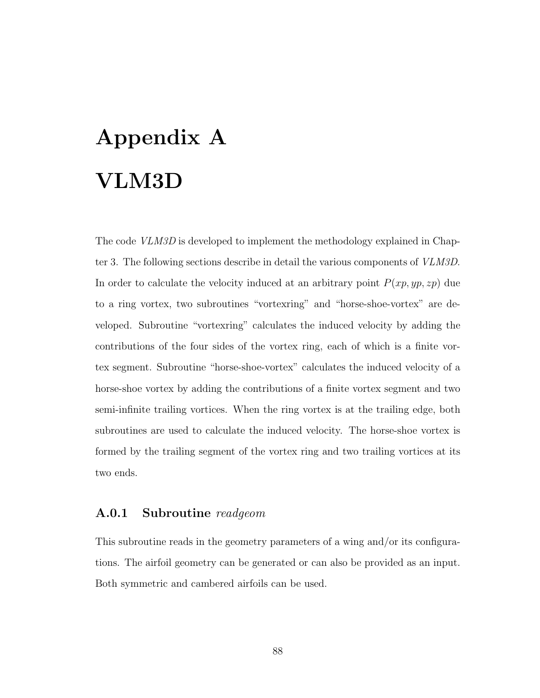# Appendix A VLM3D

The code *VLM3D* is developed to implement the methodology explained in Chapter 3. The following sections describe in detail the various components of VLM3D. In order to calculate the velocity induced at an arbitrary point  $P(xp, yp, zp)$  due to a ring vortex, two subroutines "vortexring" and "horse-shoe-vortex" are developed. Subroutine "vortexring" calculates the induced velocity by adding the contributions of the four sides of the vortex ring, each of which is a finite vortex segment. Subroutine "horse-shoe-vortex" calculates the induced velocity of a horse-shoe vortex by adding the contributions of a finite vortex segment and two semi-infinite trailing vortices. When the ring vortex is at the trailing edge, both subroutines are used to calculate the induced velocity. The horse-shoe vortex is formed by the trailing segment of the vortex ring and two trailing vortices at its two ends.

#### A.0.1 Subroutine readgeom

This subroutine reads in the geometry parameters of a wing and/or its configurations. The airfoil geometry can be generated or can also be provided as an input. Both symmetric and cambered airfoils can be used.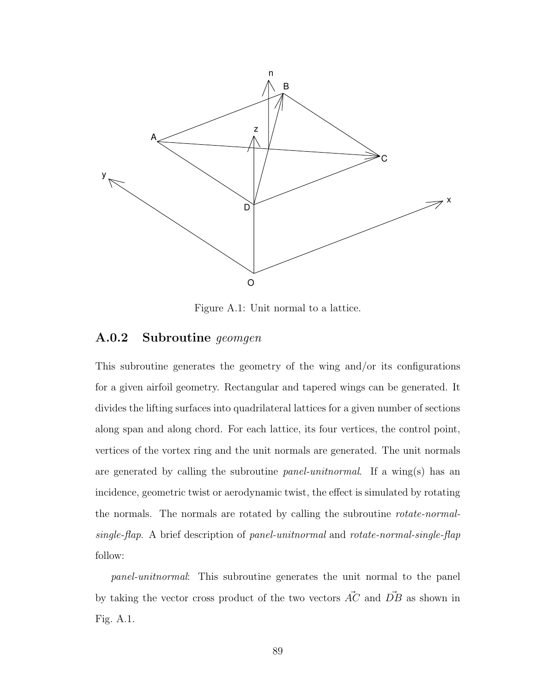

Figure A.1: Unit normal to a lattice.

#### A.0.2 Subroutine geomgen

This subroutine generates the geometry of the wing and/or its configurations for a given airfoil geometry. Rectangular and tapered wings can be generated. It divides the lifting surfaces into quadrilateral lattices for a given number of sections along span and along chord. For each lattice, its four vertices, the control point, vertices of the vortex ring and the unit normals are generated. The unit normals are generated by calling the subroutine *panel-unitnormal*. If a wing(s) has an incidence, geometric twist or aerodynamic twist, the effect is simulated by rotating the normals. The normals are rotated by calling the subroutine rotate-normalsingle-flap. A brief description of panel-unitnormal and rotate-normal-single-flap follow:

panel-unitnormal: This subroutine generates the unit normal to the panel by taking the vector cross product of the two vectors  $\vec{AC}$  and  $\vec{DB}$  as shown in Fig. A.1.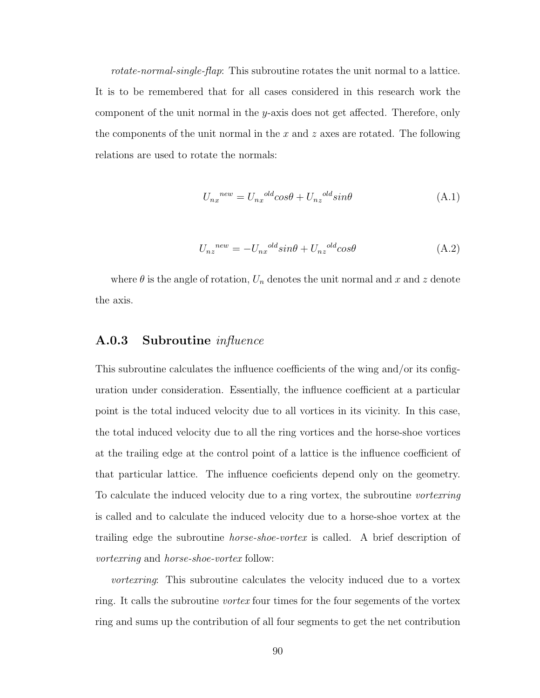rotate-normal-single-flap: This subroutine rotates the unit normal to a lattice. It is to be remembered that for all cases considered in this research work the component of the unit normal in the y-axis does not get affected. Therefore, only the components of the unit normal in the x and z axes are rotated. The following relations are used to rotate the normals:

$$
U_{nx}^{new} = U_{nx}^{old} \cos \theta + U_{nz}^{old} \sin \theta \tag{A.1}
$$

$$
U_{nz}^{new} = -U_{nx}^{old} sin\theta + U_{nz}^{old} cos\theta
$$
 (A.2)

where  $\theta$  is the angle of rotation,  $U_n$  denotes the unit normal and x and z denote the axis.

#### A.0.3 Subroutine influence

This subroutine calculates the influence coefficients of the wing and/or its configuration under consideration. Essentially, the influence coefficient at a particular point is the total induced velocity due to all vortices in its vicinity. In this case, the total induced velocity due to all the ring vortices and the horse-shoe vortices at the trailing edge at the control point of a lattice is the influence coefficient of that particular lattice. The influence coeficients depend only on the geometry. To calculate the induced velocity due to a ring vortex, the subroutine vortexring is called and to calculate the induced velocity due to a horse-shoe vortex at the trailing edge the subroutine horse-shoe-vortex is called. A brief description of vortexring and horse-shoe-vortex follow:

*vortexring*: This subroutine calculates the velocity induced due to a vortex ring. It calls the subroutine vortex four times for the four segements of the vortex ring and sums up the contribution of all four segments to get the net contribution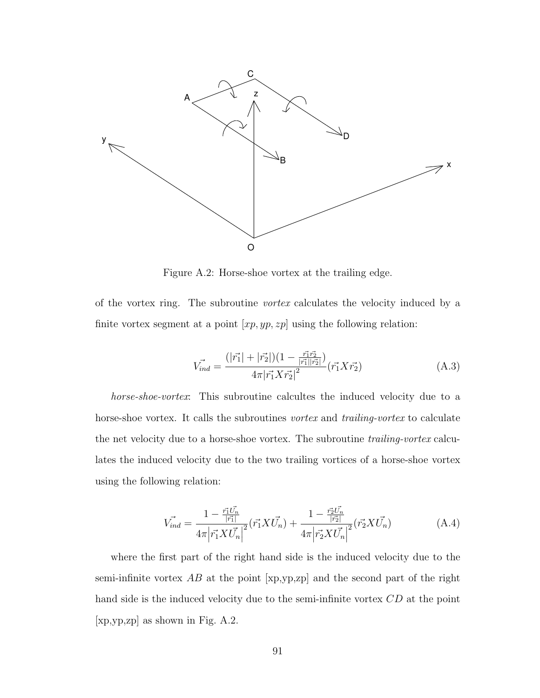

Figure A.2: Horse-shoe vortex at the trailing edge.

of the vortex ring. The subroutine vortex calculates the velocity induced by a finite vortex segment at a point  $[xp, yp, zp]$  using the following relation:

$$
\vec{V_{ind}} = \frac{(|\vec{r_1}| + |\vec{r_2}|)(1 - \frac{\vec{r_1}\vec{r_2}}{|\vec{r_1}||\vec{r_2}|})}{4\pi |\vec{r_1} X \vec{r_2}|^2} (\vec{r_1} X \vec{r_2})
$$
(A.3)

horse-shoe-vortex: This subroutine calcultes the induced velocity due to a horse-shoe vortex. It calls the subroutines vortex and trailing-vortex to calculate the net velocity due to a horse-shoe vortex. The subroutine trailing-vortex calculates the induced velocity due to the two trailing vortices of a horse-shoe vortex using the following relation:

$$
\vec{V_{ind}} = \frac{1 - \frac{\vec{r_1}\vec{U_n}}{|\vec{r_1}|}}{4\pi |\vec{r_1}X\vec{U_n}|^2} (\vec{r_1}X\vec{U_n}) + \frac{1 - \frac{\vec{r_2}\vec{U_n}}{|\vec{r_2}|}}{4\pi |\vec{r_2}X\vec{U_n}|^2} (\vec{r_2}X\vec{U_n})
$$
(A.4)

where the first part of the right hand side is the induced velocity due to the semi-infinite vortex  $AB$  at the point  $[xp,yp,zp]$  and the second part of the right hand side is the induced velocity due to the semi-infinite vortex CD at the point [xp,yp,zp] as shown in Fig. A.2.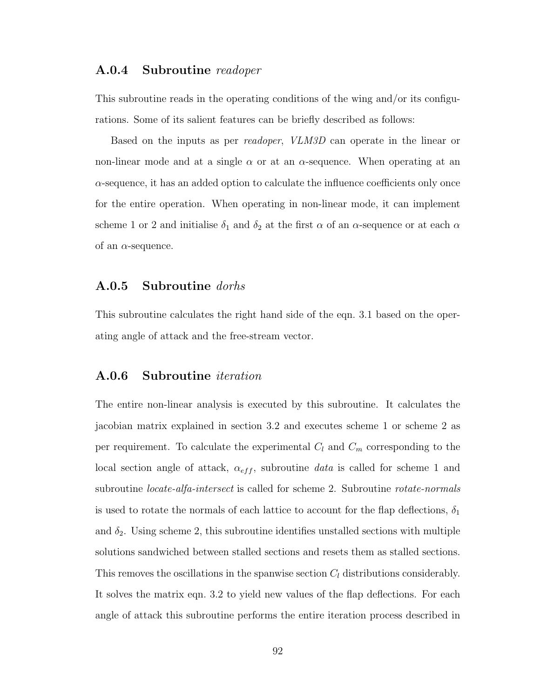#### A.0.4 Subroutine readoper

This subroutine reads in the operating conditions of the wing and/or its configurations. Some of its salient features can be briefly described as follows:

Based on the inputs as per readoper, VLM3D can operate in the linear or non-linear mode and at a single  $\alpha$  or at an  $\alpha$ -sequence. When operating at an  $\alpha$ -sequence, it has an added option to calculate the influence coefficients only once for the entire operation. When operating in non-linear mode, it can implement scheme 1 or 2 and initialise  $\delta_1$  and  $\delta_2$  at the first  $\alpha$  of an  $\alpha$ -sequence or at each  $\alpha$ of an  $\alpha$ -sequence.

#### A.0.5 Subroutine dorhs

This subroutine calculates the right hand side of the eqn. 3.1 based on the operating angle of attack and the free-stream vector.

#### A.0.6 Subroutine iteration

The entire non-linear analysis is executed by this subroutine. It calculates the jacobian matrix explained in section 3.2 and executes scheme 1 or scheme 2 as per requirement. To calculate the experimental  $C_l$  and  $C_m$  corresponding to the local section angle of attack,  $\alpha_{eff}$ , subroutine data is called for scheme 1 and subroutine *locate-alfa-intersect* is called for scheme 2. Subroutine *rotate-normals* is used to rotate the normals of each lattice to account for the flap deflections,  $\delta_1$ and  $\delta_2$ . Using scheme 2, this subroutine identifies unstalled sections with multiple solutions sandwiched between stalled sections and resets them as stalled sections. This removes the oscillations in the spanwise section  $C_l$  distributions considerably. It solves the matrix eqn. 3.2 to yield new values of the flap deflections. For each angle of attack this subroutine performs the entire iteration process described in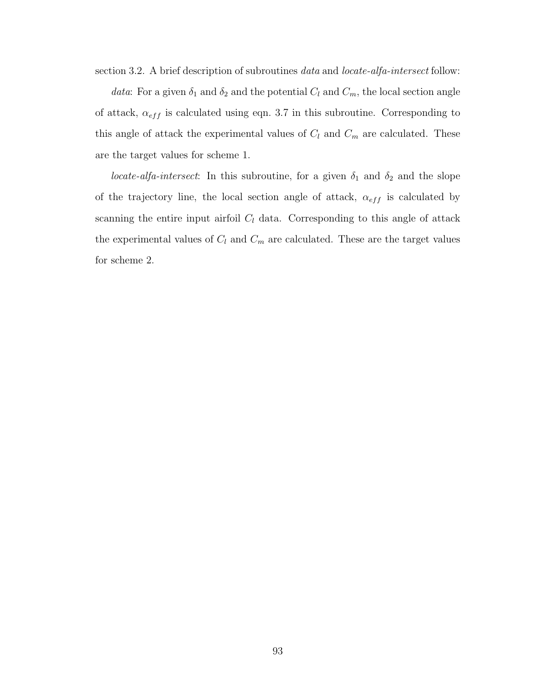section 3.2. A brief description of subroutines *data* and *locate-alfa-intersect* follow:

data: For a given  $\delta_1$  and  $\delta_2$  and the potential  $C_l$  and  $C_m$ , the local section angle of attack,  $\alpha_{eff}$  is calculated using eqn. 3.7 in this subroutine. Corresponding to this angle of attack the experimental values of  $C_l$  and  $C_m$  are calculated. These are the target values for scheme 1.

*locate-alfa-intersect*: In this subroutine, for a given  $\delta_1$  and  $\delta_2$  and the slope of the trajectory line, the local section angle of attack,  $\alpha_{eff}$  is calculated by scanning the entire input airfoil  $C_l$  data. Corresponding to this angle of attack the experimental values of  $C_l$  and  $C_m$  are calculated. These are the target values for scheme 2.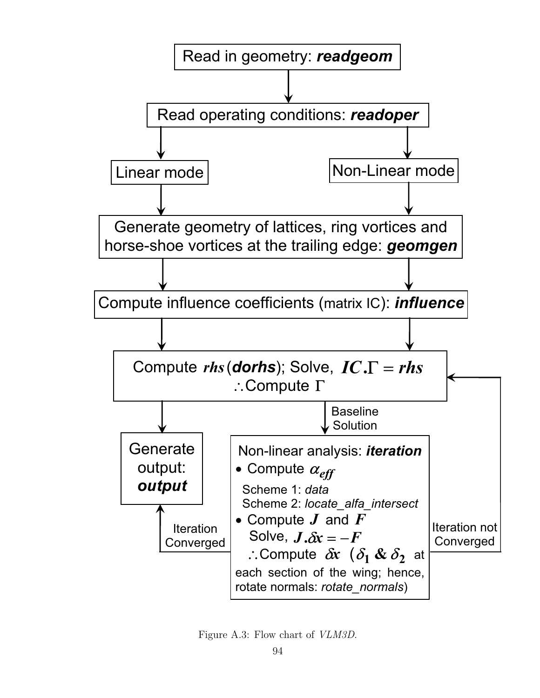

Figure A.3: Flow chart of VLM3D.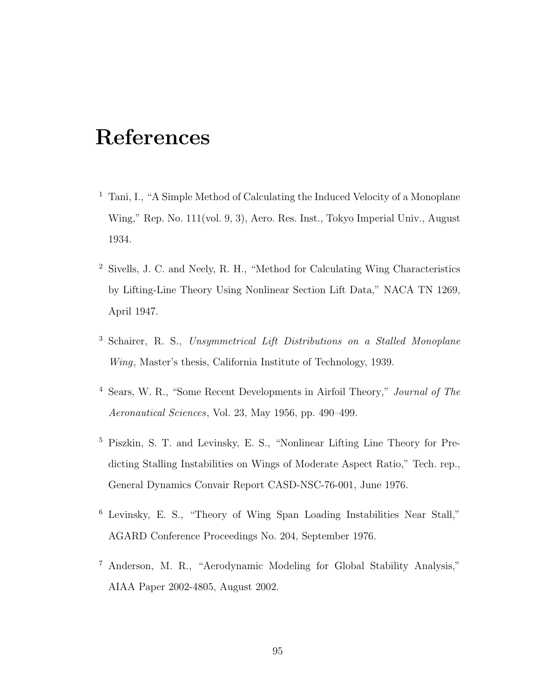## References

- <sup>1</sup> Tani, I., "A Simple Method of Calculating the Induced Velocity of a Monoplane Wing," Rep. No. 111(vol. 9, 3), Aero. Res. Inst., Tokyo Imperial Univ., August 1934.
- <sup>2</sup> Sivells, J. C. and Neely, R. H., "Method for Calculating Wing Characteristics by Lifting-Line Theory Using Nonlinear Section Lift Data," NACA TN 1269, April 1947.
- <sup>3</sup> Schairer, R. S., Unsymmetrical Lift Distributions on a Stalled Monoplane Wing, Master's thesis, California Institute of Technology, 1939.
- <sup>4</sup> Sears, W. R., "Some Recent Developments in Airfoil Theory," Journal of The Aeronautical Sciences, Vol. 23, May 1956, pp. 490–499.
- <sup>5</sup> Piszkin, S. T. and Levinsky, E. S., "Nonlinear Lifting Line Theory for Predicting Stalling Instabilities on Wings of Moderate Aspect Ratio," Tech. rep., General Dynamics Convair Report CASD-NSC-76-001, June 1976.
- <sup>6</sup> Levinsky, E. S., "Theory of Wing Span Loading Instabilities Near Stall," AGARD Conference Proceedings No. 204, September 1976.
- <sup>7</sup> Anderson, M. R., "Aerodynamic Modeling for Global Stability Analysis," AIAA Paper 2002-4805, August 2002.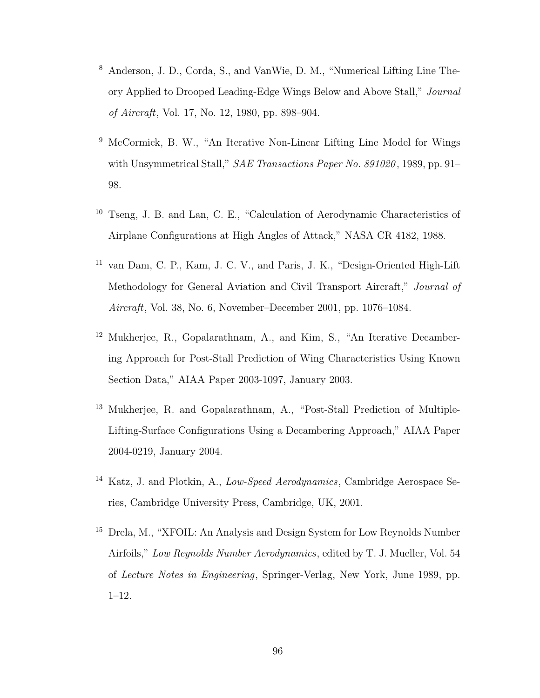- <sup>8</sup> Anderson, J. D., Corda, S., and VanWie, D. M., "Numerical Lifting Line Theory Applied to Drooped Leading-Edge Wings Below and Above Stall," Journal of Aircraft, Vol. 17, No. 12, 1980, pp. 898–904.
- <sup>9</sup> McCormick, B. W., "An Iterative Non-Linear Lifting Line Model for Wings with Unsymmetrical Stall," SAE Transactions Paper No. 891020, 1989, pp. 91-98.
- <sup>10</sup> Tseng, J. B. and Lan, C. E., "Calculation of Aerodynamic Characteristics of Airplane Configurations at High Angles of Attack," NASA CR 4182, 1988.
- <sup>11</sup> van Dam, C. P., Kam, J. C. V., and Paris, J. K., "Design-Oriented High-Lift Methodology for General Aviation and Civil Transport Aircraft," Journal of Aircraft, Vol. 38, No. 6, November–December 2001, pp. 1076–1084.
- <sup>12</sup> Mukherjee, R., Gopalarathnam, A., and Kim, S., "An Iterative Decambering Approach for Post-Stall Prediction of Wing Characteristics Using Known Section Data," AIAA Paper 2003-1097, January 2003.
- <sup>13</sup> Mukherjee, R. and Gopalarathnam, A., "Post-Stall Prediction of Multiple-Lifting-Surface Configurations Using a Decambering Approach," AIAA Paper 2004-0219, January 2004.
- <sup>14</sup> Katz, J. and Plotkin, A., Low-Speed Aerodynamics, Cambridge Aerospace Series, Cambridge University Press, Cambridge, UK, 2001.
- <sup>15</sup> Drela, M., "XFOIL: An Analysis and Design System for Low Reynolds Number Airfoils," Low Reynolds Number Aerodynamics, edited by T. J. Mueller, Vol. 54 of Lecture Notes in Engineering, Springer-Verlag, New York, June 1989, pp. 1–12.